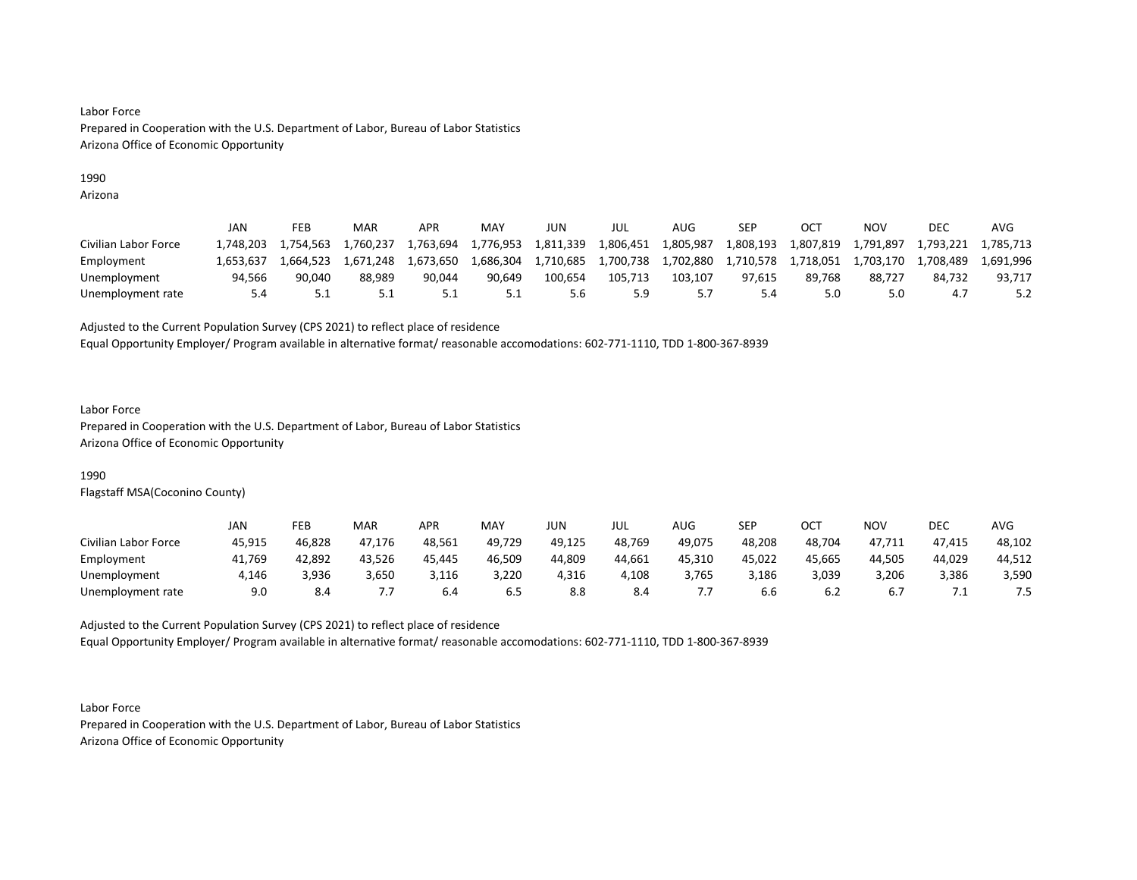## 1990

Arizona

|                      | JAN       | FEB       | <b>MAR</b> | APR       | MAY       | JUN       | JUL       | AUG.      | SEP       | <b>OCT</b> | NOV       | <b>DEC</b> | AVG       |
|----------------------|-----------|-----------|------------|-----------|-----------|-----------|-----------|-----------|-----------|------------|-----------|------------|-----------|
| Civilian Labor Force | 1.748.203 | 1.754.563 | 760,237⊾   | 1.763.694 | 1,776,953 | 1,811,339 | 1,806,451 | 1,805,987 | 1,808,193 | 1,807,819  | 1,791,897 | 1.793.221  | 1.785.713 |
| Employment           | 1.653.637 | 1.664.523 | 1.671.248  | 1.673.650 | 1,686,304 | 1,710,685 | 1,700,738 | 1,702,880 | 1,710,578 | 1,718,051  | 1,703,170 | 1,708,489  | 1.691.996 |
| Unemployment         | 94,566    | 90,040    | 88,989     | 90,044    | 90.649    | 100.654   | 105.713   | 103.107   | 97.615    | 89,768     | 88,727    | 84.732     | 93,717    |
| Unemployment rate    |           | ـ . ـ     | <u>J.L</u> | ـ . ـ     | 5.1       | 5.6       | . 9. ح    |           | 5.4       | 5.0        | 5.0       | 4. .       |           |

Adjusted to the Current Population Survey (CPS 2021) to reflect place of residence

Equal Opportunity Employer/ Program available in alternative format/ reasonable accomodations: 602-771-1110, TDD 1-800-367-8939

#### Labor Force

Prepared in Cooperation with the U.S. Department of Labor, Bureau of Labor Statistics Arizona Office of Economic Opportunity

## 1990

Flagstaff MSA(Coconino County)

|                      | JAN    | FEB    | <b>MAR</b> | APR    | MAY    | JUN    | JUL    | AUG    | SEP    | ост    | NOV    | DEC    | AVG    |
|----------------------|--------|--------|------------|--------|--------|--------|--------|--------|--------|--------|--------|--------|--------|
| Civilian Labor Force | 45,915 | 46,828 | 47.176     | 48,561 | 49,729 | 49,125 | 48,769 | 49,075 | 48,208 | 48,704 | 47,711 | 47,415 | 48,102 |
| Employment           | 41,769 | 42,892 | 43,526     | 45,445 | 46,509 | 44,809 | 44,661 | 45,310 | 45,022 | 45,665 | 44,505 | 44,029 | 44,512 |
| Unemployment         | 1,146  | 3,936  | 3,650      | 3,116  | 3,220  | 4,316  | 4,108  | 3,765  | 3,186  | 3,039  | 3,206  | 3,386  | 3,590  |
| Unemployment rate    | 9.0    | 8.4    |            | 6.4    | .ს ს   | 8.8    | 8.4    |        | b.b    | b.∠    | 6.7    | .      | 7.5    |

Adjusted to the Current Population Survey (CPS 2021) to reflect place of residence Equal Opportunity Employer/ Program available in alternative format/ reasonable accomodations: 602-771-1110, TDD 1-800-367-8939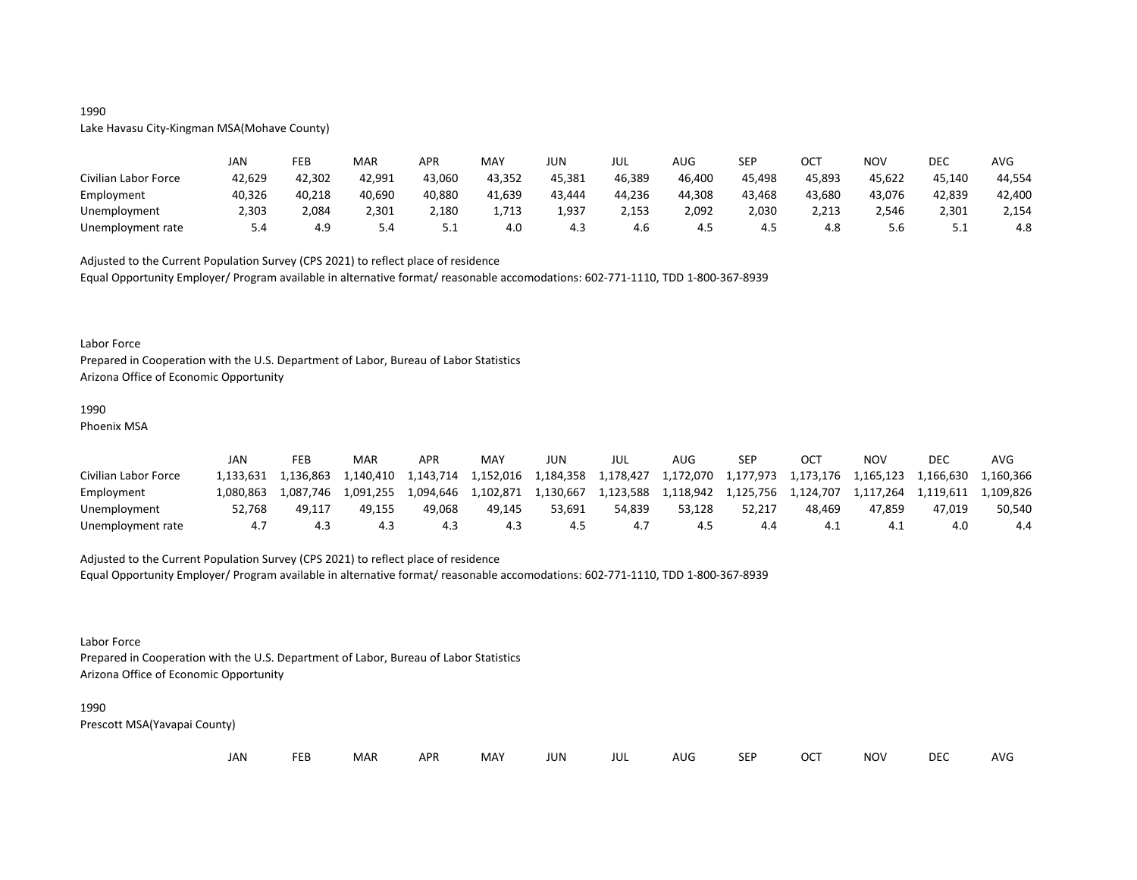## 1990

## Lake Havasu City-Kingman MSA(Mohave County)

|                      | JAN    | FEB    | MAR    | <b>APR</b> | <b>MAY</b> | JUN    | JUL    | AUG    | SEP    | ост    | <b>NOV</b> | DEC    | AVG    |
|----------------------|--------|--------|--------|------------|------------|--------|--------|--------|--------|--------|------------|--------|--------|
| Civilian Labor Force | 42,629 | 42,302 | 42,991 | 43,060     | 43,352     | 45,381 | 46,389 | 46,400 | 45,498 | 45,893 | 45,622     | 45,140 | 44,554 |
| Employment           | 40,326 | 40,218 | 40,690 | 40,880     | 41,639     | 43,444 | 44,236 | 44,308 | 43.468 | 43,680 | 43,076     | 42,839 | 42,400 |
| Unemployment         | 2,303  | 2,084  | 2,301  | 2,180      | 1,713      | 1,937  | 2,153  | 2,092  | 2,030  | 2,213  | 2,546      | 2,301  | 2,154  |
| Unemployment rate    | 5.4    | 4.9    | 5.4    | ـ . ـ      | 4.0        | 4.3    | 4.6    | 4.5    | 4.5    | 4.8    | 5.6        | ـ . ـ  | 4.8    |

Adjusted to the Current Population Survey (CPS 2021) to reflect place of residence

Equal Opportunity Employer/ Program available in alternative format/ reasonable accomodations: 602-771-1110, TDD 1-800-367-8939

#### Labor Force

Prepared in Cooperation with the U.S. Department of Labor, Bureau of Labor Statistics Arizona Office of Economic Opportunity

#### 1990

Phoenix MSA

|                      | JAN       | FEB       | MAR       | APR       | MAY       | JUN       | JUL       | AUG       | SEP       | OCT       | NOV       | <b>DEC</b> | AVG       |
|----------------------|-----------|-----------|-----------|-----------|-----------|-----------|-----------|-----------|-----------|-----------|-----------|------------|-----------|
| Civilian Labor Force | 1.133.631 | 1.136.863 | 1.140.410 | 1.143.714 | 1.152.016 | 1,184,358 | 1,178,427 | 1,172,070 |           |           |           |            | 1.160.366 |
| Employment           | 1.080.863 | 1.087.746 | 1,091,255 | 1.094.646 | 1,102,871 | 1,130,667 | 1,123,588 | 1,118,942 | 1,125,756 | 1.124.707 | 1.117.264 | 1.119.611  | 1.109.826 |
| Unemployment         | 52.768    | 49.117    | 49.155    | 49.068    | 49.145    | 53.691    | 54.839    | 53.128    | 52.217    | 48.469    | 47.859    | 47.019     | 50,540    |
| Unemployment rate    |           |           |           | 4.3       | 4.3       |           |           |           | 4.4       | 4.        | 4.        | 4.0        | 4.4       |

## Adjusted to the Current Population Survey (CPS 2021) to reflect place of residence

Equal Opportunity Employer/ Program available in alternative format/ reasonable accomodations: 602-771-1110, TDD 1-800-367-8939

Labor Force

Prepared in Cooperation with the U.S. Department of Labor, Bureau of Labor Statistics Arizona Office of Economic Opportunity

#### 1990

| JAN | ᄄᄄ | <b>MAR</b> | <b>APR</b> | MAY | JUN | JUL | AUG | <b>SEF</b> | OCT | NOV | <b>DEC</b> | AVG |
|-----|----|------------|------------|-----|-----|-----|-----|------------|-----|-----|------------|-----|
|-----|----|------------|------------|-----|-----|-----|-----|------------|-----|-----|------------|-----|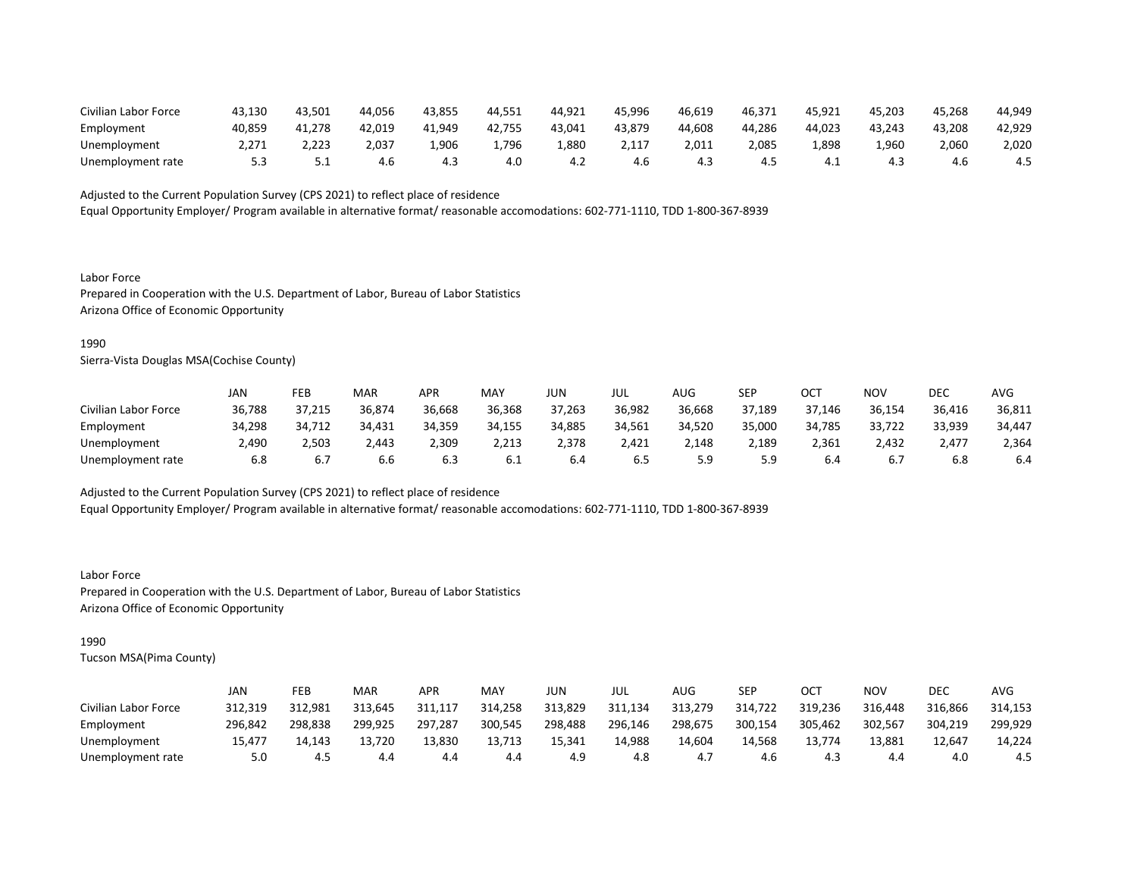| Civilian Labor Force | 43.130 | 43.501 | 44.056 | 43,855 | 44.551 | 44,921 | 45,996 | 46.619 | 46,37 <sup>1</sup> | 45,921 | 45,203 | 45.268 | 44,949 |
|----------------------|--------|--------|--------|--------|--------|--------|--------|--------|--------------------|--------|--------|--------|--------|
| Employment           | 40,859 | 41.278 | 42.019 | 41.949 | 42.755 | 43,041 | 43,879 | 44.608 | 44.286             | 44.023 | 43.243 | 43.208 | 42,929 |
| Unemployment         | 2,271  | 2,223  | 2,037  | .,906  | 1,796  | L,880  | 2,117  | 2.011  | 2,085              | .,898  | 960,،  | 2,060  | 2,020  |
| Unemployment rate    |        | ـ . ـ  | 4.6    | 4.3    | 4.0    | 4.2    | 4.6    | 4.3    | 4.5                |        | 4.3    | 4.0    | 4.5    |

Equal Opportunity Employer/ Program available in alternative format/ reasonable accomodations: 602-771-1110, TDD 1-800-367-8939

Labor Force Prepared in Cooperation with the U.S. Department of Labor, Bureau of Labor Statistics Arizona Office of Economic Opportunity

#### 1990

Sierra-Vista Douglas MSA(Cochise County)

|                      | JAN    | FEB    | <b>MAR</b> | APR    | MAY    | JUN    | JUL    | AUG    | <b>SEP</b> | ост    | NOV    | DEC    | AVG    |
|----------------------|--------|--------|------------|--------|--------|--------|--------|--------|------------|--------|--------|--------|--------|
| Civilian Labor Force | 36,788 | 37,215 | 36,874     | 36,668 | 36,368 | 37,263 | 36,982 | 36,668 | 37,189     | 37,146 | 36,154 | 36,416 | 36,811 |
| Employment           | 34,298 | 34,712 | 34.431     | 34,359 | 34.155 | 34,885 | 34.561 | 34,520 | 35,000     | 34,785 | 33,722 | 33,939 | 34,447 |
| Unemployment         | 2,490  | 2,503  | 2,443      | 2,309  | 2,213  | 2,378  | 2,421  | 2,148  | 2,189      | 2,361  | 2,432  | 2,477  | 2,364  |
| Unemployment rate    | 6.8    | 6.7    | 6.6        | 6.3    | 6.1    | 6.4    | 6.5    | 5.9    | 5.9        | 6.4    | 6.7    | 6.8    | 6.4    |

Adjusted to the Current Population Survey (CPS 2021) to reflect place of residence

Equal Opportunity Employer/ Program available in alternative format/ reasonable accomodations: 602-771-1110, TDD 1-800-367-8939

Labor Force Prepared in Cooperation with the U.S. Department of Labor, Bureau of Labor Statistics Arizona Office of Economic Opportunity

## 1990

|                      | JAN     | FEB     | <b>MAR</b> | APR     | MAY     | JUN     | JUL     | AUG     | SEP     | OCT     | NOV     | DEC     | AVG     |
|----------------------|---------|---------|------------|---------|---------|---------|---------|---------|---------|---------|---------|---------|---------|
| Civilian Labor Force | 312.319 | 312.981 | 313.645    | 311.117 | 314,258 | 313.829 | 311,134 | 313,279 | 314,722 | 319,236 | 316,448 | 316.866 | 314,153 |
| Employment           | 296,842 | 298,838 | 299,925    | 297,287 | 300,545 | 298,488 | 296,146 | 298,675 | 300,154 | 305,462 | 302,567 | 304,219 | 299,929 |
| Unemployment         | 15.477  | 14.143  | 13.720     | 13.830  | 13,713  | 15.341  | 14.988  | 14,604  | 14.568  | 13.774  | 13.881  | 12.647  | 14.224  |
| Unemployment rate    | 5.0     | 4.5     | 4.4        | 4.4     | 4.4     | 4.9     | 4.8     | 4.,     | 4.6     | 4.3     | 4.4     | 4.0     | 4.5     |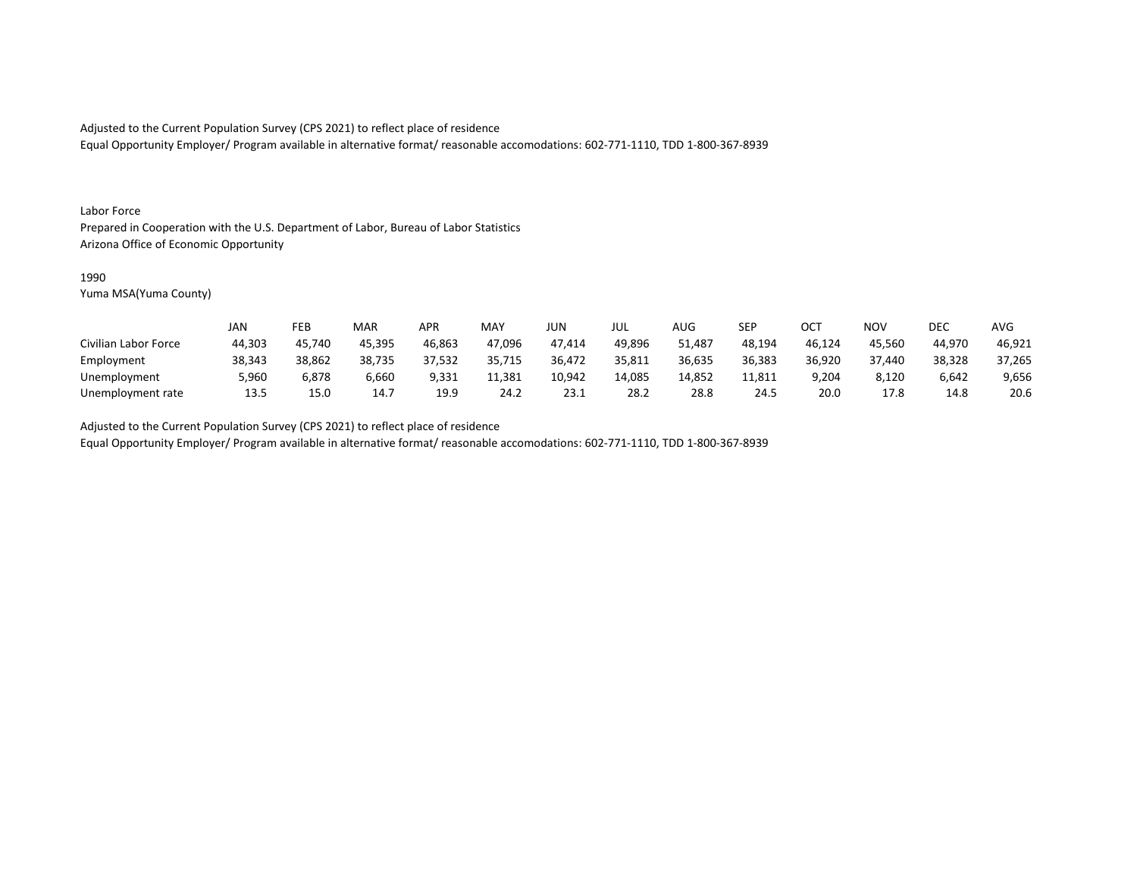Equal Opportunity Employer/ Program available in alternative format/ reasonable accomodations: 602-771-1110, TDD 1-800-367-8939

#### Labor Force

Prepared in Cooperation with the U.S. Department of Labor, Bureau of Labor Statistics Arizona Office of Economic Opportunity

#### 1990

Yuma MSA(Yuma County)

|                      | <b>JAN</b> | FEB    | MAR    | APR    | <b>MAY</b> | JUN    | JUL    | <b>AUG</b> | <b>SEP</b> | ОСТ    | <b>NOV</b> | DEC    | <b>AVG</b> |
|----------------------|------------|--------|--------|--------|------------|--------|--------|------------|------------|--------|------------|--------|------------|
| Civilian Labor Force | 44,303     | 45,740 | 45,395 | 46,863 | 47,096     | 47,414 | 49,896 | 51,487     | 48,194     | 46,124 | 45,560     | 44,970 | 46,921     |
| Employment           | 38,343     | 38,862 | 38,735 | 37,532 | 35,715     | 36,472 | 35,811 | 36,635     | 36,383     | 36,920 | 37.440     | 38,328 | 37,265     |
| Unemployment         | 5,960      | 6,878  | 6,660  | 9,331  | 11,381     | 10,942 | 14,085 | 14,852     | 11,811     | 9,204  | 8,120      | 6,642  | 9,656      |
| Unemployment rate    | 13.5       | 15.0   | 14.7   | 19.9   | 24.2       | 23.1   | 28.2   | 28.8       | 24.5       | 20.0   | 17.8       | 14.8   | 20.6       |

Adjusted to the Current Population Survey (CPS 2021) to reflect place of residence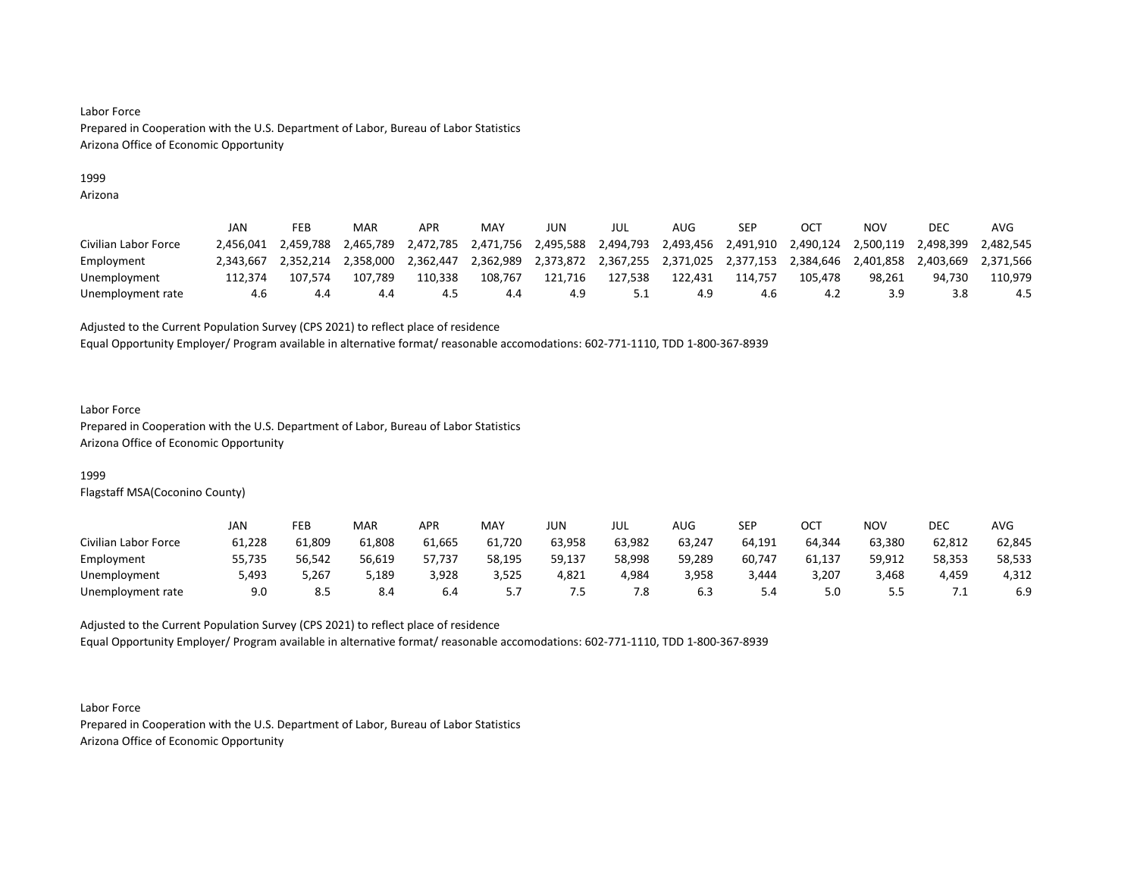## 1999

Arizona

|                      | JAN       | FEB       | MAR       | APR       | MAY       | JUN       | jul       | AUG     | SEP                           |           | NOV       | DEC       | AVG       |
|----------------------|-----------|-----------|-----------|-----------|-----------|-----------|-----------|---------|-------------------------------|-----------|-----------|-----------|-----------|
| Civilian Labor Force | 2.456.041 | 2.459.788 | 2.465.789 | 2,472,785 | 2,471,756 | 2,495,588 | 2,494,793 |         | 2,493,456 2,491,910           | 2,490,124 | 2,500,119 | 2,498,399 | 2.482.545 |
| Employment           | 2.343.667 | 2.352.214 | 2,358,000 | 2,362,447 | 2,362,989 | 2,373,872 |           |         | 2,367,255 2,371,025 2,377,153 | 2,384,646 | 2.401.858 | 2.403.669 | 2.371.566 |
| Unemployment         | 112.374   | 107.574   | 107.789   | 110.338   | 108,767   | 121,716   | 127.538   | 122.431 | 114.757                       | 105.478   | 98.261    | 94.730    | 110.979   |
| Unemployment rate    | 4.6       | 4.4       | 4.4       | 4.5       | 4.4       | 4.9       |           |         | 4.6                           | 4.2       | 3.9       | 3.8       | 4.5       |

Adjusted to the Current Population Survey (CPS 2021) to reflect place of residence

Equal Opportunity Employer/ Program available in alternative format/ reasonable accomodations: 602-771-1110, TDD 1-800-367-8939

#### Labor Force

Prepared in Cooperation with the U.S. Department of Labor, Bureau of Labor Statistics Arizona Office of Economic Opportunity

## 1999

Flagstaff MSA(Coconino County)

|                      | JAN    | FEB    | <b>MAR</b> | APR    | MAY    | JUN    | JUL    | <b>AUG</b> | <b>SEP</b> | ост    | <b>NOV</b> | <b>DEC</b> | <b>AVG</b> |
|----------------------|--------|--------|------------|--------|--------|--------|--------|------------|------------|--------|------------|------------|------------|
| Civilian Labor Force | 61,228 | 61,809 | 61,808     | 61,665 | 61,720 | 63,958 | 63,982 | 63,247     | 64,191     | 64,344 | 63,380     | 62,812     | 62,845     |
| Employment           | 55,735 | 56,542 | 56,619     | 57,737 | 58,195 | 59,137 | 58,998 | 59,289     | 60,747     | 61,137 | 59,912     | 58,353     | 58,533     |
| Unemployment         | 5,493  | 5,267  | 5,189      | 3,928  | 3,525  | 4,821  | 4,984  | 3,958      | 3,444      | 3,207  | 3,468      | 4,459      | 4,312      |
| Unemployment rate    | 9.0    |        | 8.4        | 6.4    |        | ر.,    | 7.8    |            | 5.4        | 5.0    | -<br>      |            | 6.9        |

Adjusted to the Current Population Survey (CPS 2021) to reflect place of residence Equal Opportunity Employer/ Program available in alternative format/ reasonable accomodations: 602-771-1110, TDD 1-800-367-8939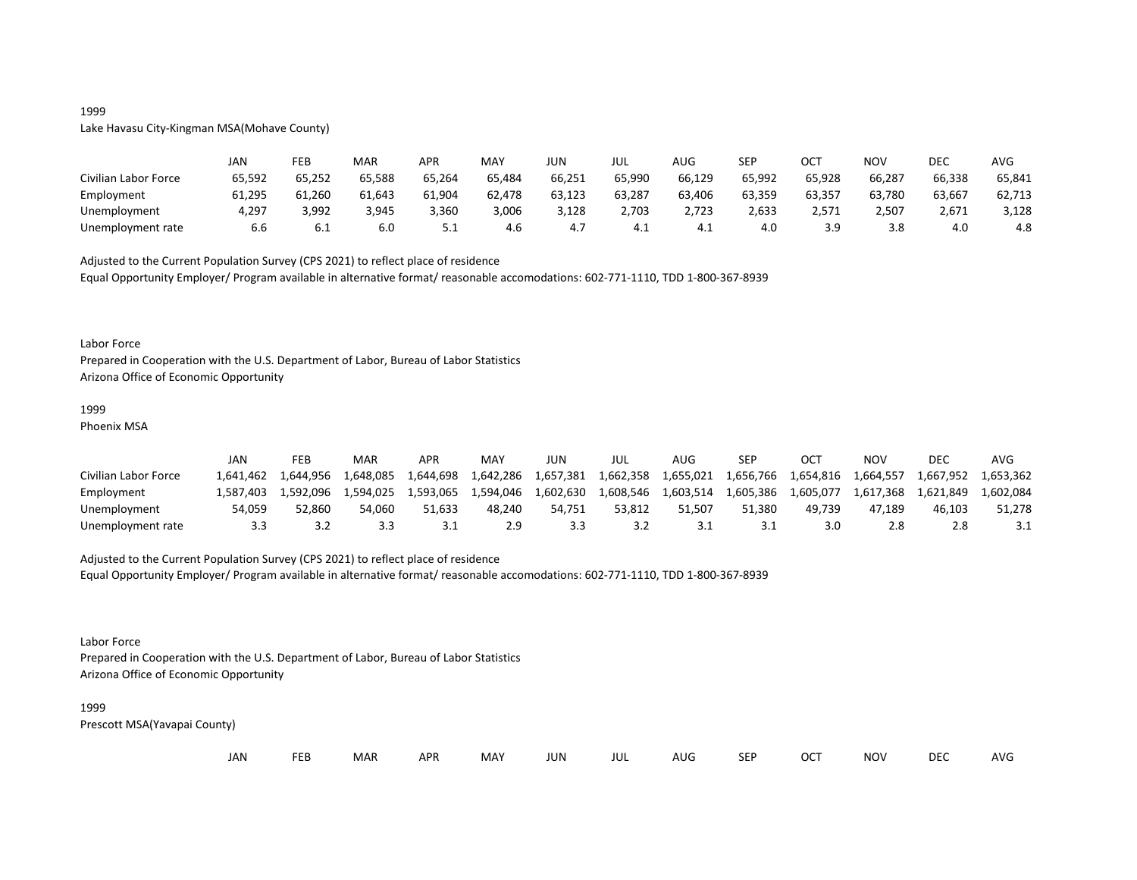## 1999

## Lake Havasu City-Kingman MSA(Mohave County)

|                      | JAN    | FEB    | MAR    | <b>APR</b> | MAY    | JUN    | JUL    | AUG    | SEP    | OCT    | NOV    | DEC    | AVG    |
|----------------------|--------|--------|--------|------------|--------|--------|--------|--------|--------|--------|--------|--------|--------|
| Civilian Labor Force | 65,592 | 65,252 | 65,588 | 65,264     | 65,484 | 66,251 | 65,990 | 66,129 | 65,992 | 65,928 | 66,287 | 66,338 | 65,841 |
| Employment           | 61,295 | 61,260 | 61,643 | 61,904     | 62,478 | 63,123 | 63,287 | 63,406 | 63,359 | 63,357 | 63,780 | 63,667 | 62,713 |
| Unemployment         | 4,297  | 3,992  | 3,945  | 3,360      | 3,006  | 3,128  | 2,703  | 2,723  | 2,633  | 2,571  | 2,507  | 2,671  | 3,128  |
| Unemployment rate    | 6.6    | 6.1    | 6.0    | ـ . ـ      | 4.6    | 4.,    | 4.1    | 4.⊥    | 4.0    | 3.9    | 3.8    | 4.0    | 4.8    |

Adjusted to the Current Population Survey (CPS 2021) to reflect place of residence

Equal Opportunity Employer/ Program available in alternative format/ reasonable accomodations: 602-771-1110, TDD 1-800-367-8939

#### Labor Force

Prepared in Cooperation with the U.S. Department of Labor, Bureau of Labor Statistics Arizona Office of Economic Opportunity

#### 1999

Phoenix MSA

|                      | JAN       | FEB       | MAR       | APR       | <b>MAY</b> | JUN       | JUL       | AUG       | <b>SEP</b> | OC <sup>7</sup> | NOV       | DEC       | AVG       |
|----------------------|-----------|-----------|-----------|-----------|------------|-----------|-----------|-----------|------------|-----------------|-----------|-----------|-----------|
| Civilian Labor Force | 1.641.462 | 1.644.956 | 1,648,085 | 1,644,698 | 1,642,286  | 1,657,381 | 1,662,358 | 1,655,021 | 1,656,766  | 1,654,816       | 1,664,557 | 1,667,952 | 1.653.362 |
| Employment           | 1.587.403 | 1.592.096 | 1.594.025 | 1.593.065 | 1,594,046  | 1,602,630 | 1,608,546 | 1.603.514 | 1,605,386  | 1.605.077       | 1,617,368 | 1.621.849 | 1.602.084 |
| Unemployment         | 54.059    | 52.860    | 54.060    | 51.633    | 48.240     | 54.751    | 53.812    | 51.507    | 51.380     | 49.739          | 47.189    | 46.103    | 51,278    |
| Unemployment rate    | 3.3       |           | 3.3       |           | 2.9        |           | 3.2       |           |            |                 | 2.8       |           |           |

## Adjusted to the Current Population Survey (CPS 2021) to reflect place of residence

Equal Opportunity Employer/ Program available in alternative format/ reasonable accomodations: 602-771-1110, TDD 1-800-367-8939

#### Labor Force

Prepared in Cooperation with the U.S. Department of Labor, Bureau of Labor Statistics Arizona Office of Economic Opportunity

#### 1999

| JAN | ᄄᄄ | <b>MAR</b> | <b>APR</b> | MAY | JUN | JUL | AUG | <b>SEF</b> | OCT | NOV | <b>DEC</b> | AVG |
|-----|----|------------|------------|-----|-----|-----|-----|------------|-----|-----|------------|-----|
|-----|----|------------|------------|-----|-----|-----|-----|------------|-----|-----|------------|-----|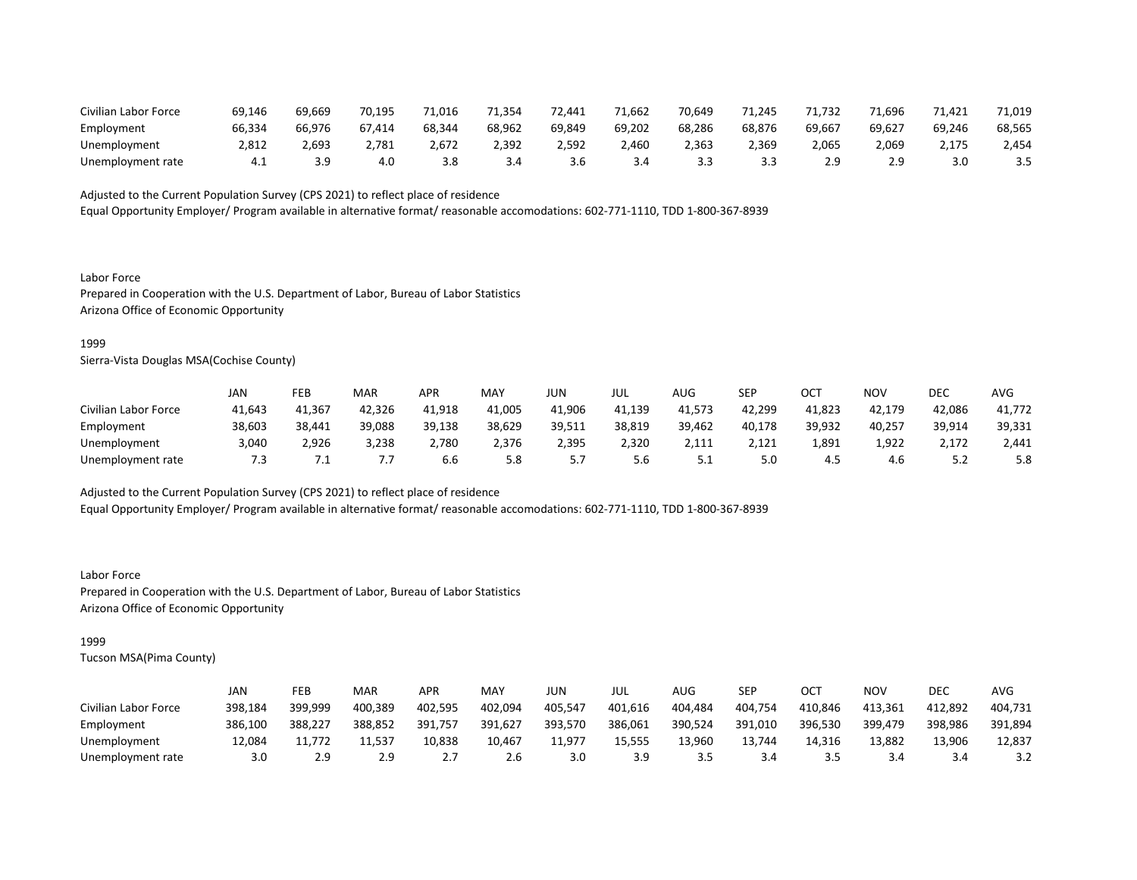| Civilian Labor Force | 69,146 | 69,669 | 70.195 | 71.016 | 71.354 | 72.441 | 71.662 | 70,649 | 1.245  | '1.732 | 71.696 | 71.421 | 71,019 |
|----------------------|--------|--------|--------|--------|--------|--------|--------|--------|--------|--------|--------|--------|--------|
| Employment           | 66,334 | 66.976 | 67.414 | 68.344 | 68,962 | 69,849 | 69,202 | 68,286 | 68,876 | 69,667 | 69,627 | 69,246 | 68,565 |
| Unemployment         | 2,812  | 2,693  | 2,781  | 2,672  | 2,392  | 2.592  | 2,460  | 2,363  | 2,369  | 2,065  | ,069   | 2,175  | 2,454  |
| Unemployment rate    |        |        | 4.0    |        | 3.4    | 3.6    | 3.4    |        |        | ه ۱    | ۱Q     |        |        |

Equal Opportunity Employer/ Program available in alternative format/ reasonable accomodations: 602-771-1110, TDD 1-800-367-8939

Labor Force Prepared in Cooperation with the U.S. Department of Labor, Bureau of Labor Statistics Arizona Office of Economic Opportunity

#### 1999

Sierra-Vista Douglas MSA(Cochise County)

|                      | JAN    | FEB     | <b>MAR</b> | APR    | <b>MAY</b> | JUN      | JUL    | AUG    | <b>SEP</b> | OCT    | NOV    | DEC      | <b>AVG</b> |
|----------------------|--------|---------|------------|--------|------------|----------|--------|--------|------------|--------|--------|----------|------------|
| Civilian Labor Force | 41,643 | 41,367  | 42,326     | 41,918 | 41,005     | 41,906   | 41,139 | 41,573 | 42,299     | 41,823 | 42,179 | 42,086   | 41,772     |
| Employment           | 38,603 | 38,441  | 39,088     | 39,138 | 38,629     | 39,511   | 38,819 | 39,462 | 40,178     | 39,932 | 40,257 | 39,914   | 39,331     |
| Unemployment         | 3,040  | 2,926   | 3,238      | 2,780  | 2,376      | 2,395    | 2,320  | 2,111  | 2,121      | 1,891  | 1,922  | 2,172    | 2,441      |
| Unemployment rate    | 7.3    | $\cdot$ | .,         | 6.6    | 5.8        | <u>.</u> | 5.6    | ــ.    | 5.0        | 4.5    | 4.6    | <u>.</u> | 5.8        |

Adjusted to the Current Population Survey (CPS 2021) to reflect place of residence

Equal Opportunity Employer/ Program available in alternative format/ reasonable accomodations: 602-771-1110, TDD 1-800-367-8939

Labor Force Prepared in Cooperation with the U.S. Department of Labor, Bureau of Labor Statistics Arizona Office of Economic Opportunity

## 1999

|                      | JAN     | <b>FEB</b> | <b>MAR</b> | APR      | MAY     | JUN     | JUL     | AUG     | SEP     | OCT     | NOV     | DEC     | AVG     |
|----------------------|---------|------------|------------|----------|---------|---------|---------|---------|---------|---------|---------|---------|---------|
| Civilian Labor Force | 398,184 | 399,999    | 400,389    | 402,595  | 402,094 | 405,547 | 401,616 | 404.484 | 404,754 | 410,846 | 413,361 | 412.892 | 404,731 |
| Employment           | 386,100 | 388,227    | 388.852    | 391.757  | 391,627 | 393.570 | 386,061 | 390,524 | 391,010 | 396,530 | 399,479 | 398,986 | 391,894 |
| Unemployment         | 12,084  | 11.772     | 11,537     | 10,838   | 10,467  | 11,977  | 15.555  | 13,960  | 13,744  | 14,316  | 13,882  | 13,906  | 12,837  |
| Unemployment rate    | 3.0     | 2.9        | 2.9        | <u>.</u> | 2.6     | 3.0     | 3.9     |         | 3.4     |         | 3.4     | 3.4     | 3.2     |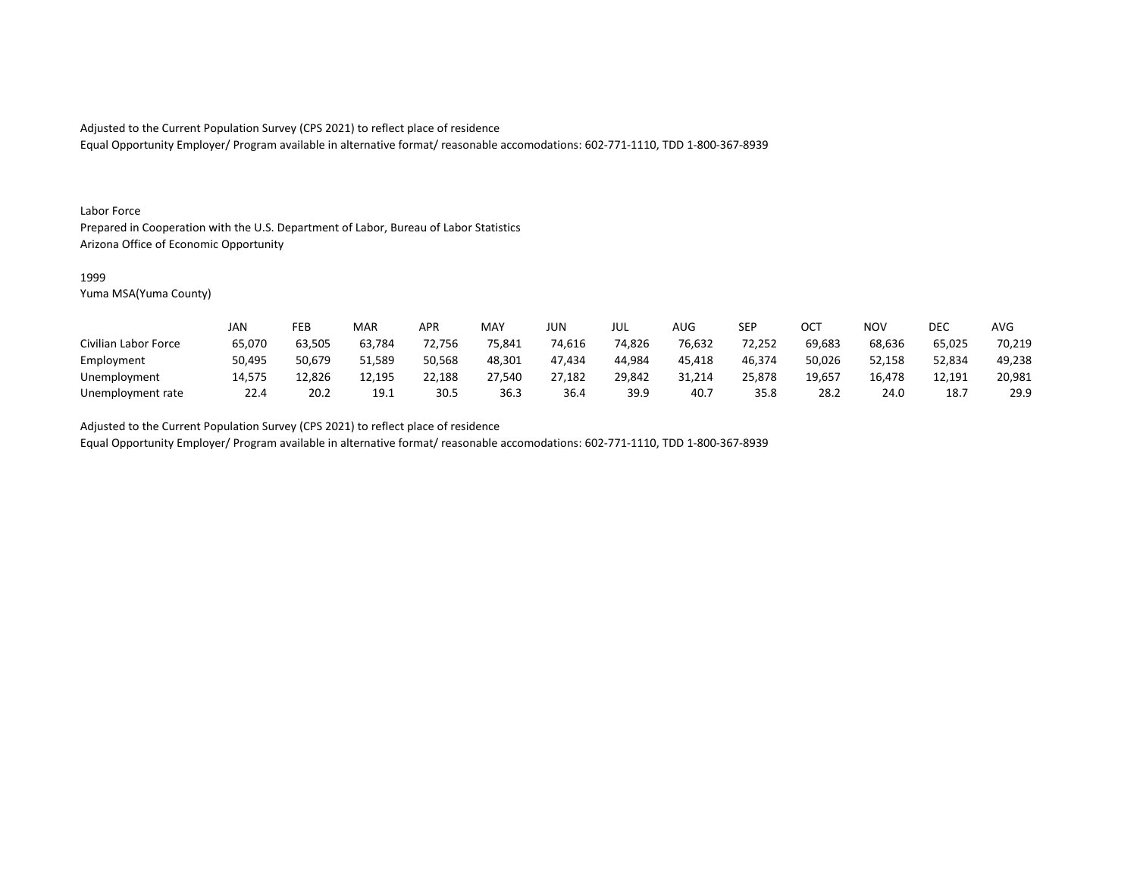Equal Opportunity Employer/ Program available in alternative format/ reasonable accomodations: 602-771-1110, TDD 1-800-367-8939

#### Labor Force

Prepared in Cooperation with the U.S. Department of Labor, Bureau of Labor Statistics Arizona Office of Economic Opportunity

#### 1999

Yuma MSA(Yuma County)

|                      | <b>JAN</b> | FEB    | MAR    | APR    | <b>MAY</b> | JUN    | JUL    | AUG              | <b>SEP</b> | ОСТ    | <b>NOV</b> | DEC    | <b>AVG</b> |
|----------------------|------------|--------|--------|--------|------------|--------|--------|------------------|------------|--------|------------|--------|------------|
| Civilian Labor Force | 65,070     | 63,505 | 63,784 | 72,756 | 75,841     | 74,616 | 74,826 | 76,632           | 72,252     | 69,683 | 68,636     | 65,025 | 70,219     |
| Employment           | 50,495     | 50,679 | 51,589 | 50,568 | 48,301     | 47.434 | 44,984 | 45,418           | 46,374     | 50,026 | 52,158     | 52,834 | 49,238     |
| Unemployment         | 14,575     | 12,826 | 12,195 | 22,188 | 27,540     | 27,182 | 29,842 | 31,214           | 25,878     | 19,657 | 16,478     | 12,191 | 20,981     |
| Unemployment rate    | 22.4       | 20.2   | 19.1   | 30.5   | 36.3       | 36.4   | 39.9   | 40. <sup>-</sup> | 35.8       | 28.2   | 24.0       | 18.7   | 29.9       |

Adjusted to the Current Population Survey (CPS 2021) to reflect place of residence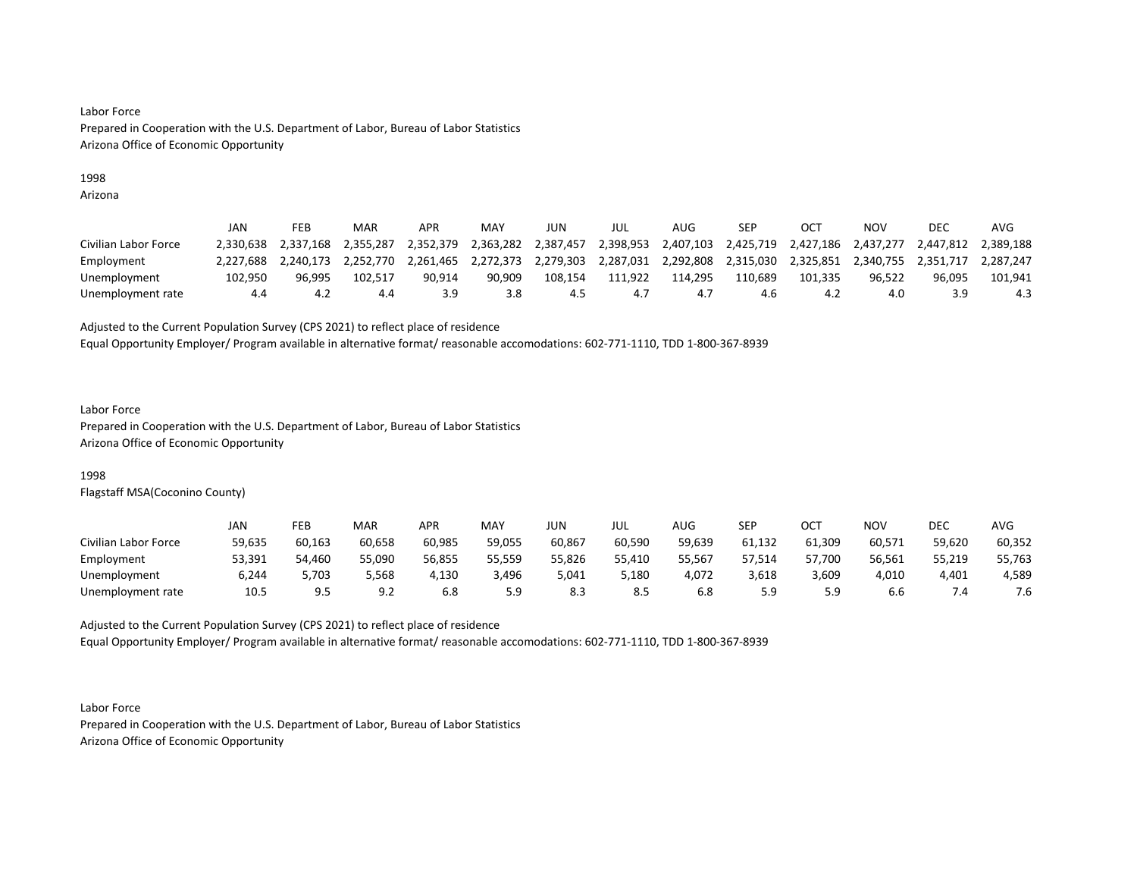## 1998

Arizona

|                      | JAN       | FEB       | <b>MAR</b> | APR       | MAY       | JUN       | JUL       | AUG       | SEP       |           | NOV       | DEC       | AVG       |
|----------------------|-----------|-----------|------------|-----------|-----------|-----------|-----------|-----------|-----------|-----------|-----------|-----------|-----------|
| Civilian Labor Force | 2.330.638 | 2.337.168 | 2.355.287  | 2,352,379 | 2,363,282 | 2,387,457 | 2,398,953 | 2,407,103 | 2,425,719 | 2,427,186 | 2.437.277 | 2,447,812 | 2,389,188 |
| Employment           | 2.227.688 | 2.240.173 | 2.252.770  | 2,261,465 | 2,272,373 | 2,279,303 | 2,287,031 | 2,292,808 | 2,315,030 | 2,325,851 | 2,340,755 | 2,351,717 | 2.287.247 |
| Unemployment         | 102.950   | 96.995    | 102.517    | 90.914    | 90.909    | 108.154   | 111.922   | 114.295   | 110,689   | 101.335   | 96.522    | 96.095    | 101.941   |
| Unemployment rate    | 4.4       | -4.2      | 4.4        | 3.9       | 3.8       | 4.5       | 4.,       | 4.,       | 4.6       | 4.2       | 4.0       | 3.9       | 4.3       |

Adjusted to the Current Population Survey (CPS 2021) to reflect place of residence

Equal Opportunity Employer/ Program available in alternative format/ reasonable accomodations: 602-771-1110, TDD 1-800-367-8939

#### Labor Force

Prepared in Cooperation with the U.S. Department of Labor, Bureau of Labor Statistics Arizona Office of Economic Opportunity

## 1998

Flagstaff MSA(Coconino County)

|                      | JAN    | FEB    | <b>MAR</b> | APR    | MAY    | JUN    | JUL    | <b>AUG</b> | <b>SEP</b> | ост    | <b>NOV</b> | <b>DEC</b> | <b>AVG</b> |
|----------------------|--------|--------|------------|--------|--------|--------|--------|------------|------------|--------|------------|------------|------------|
| Civilian Labor Force | 59,635 | 60,163 | 60,658     | 60,985 | 59,055 | 60,867 | 60,590 | 59,639     | 61,132     | 61,309 | 60,571     | 59,620     | 60,352     |
| Employment           | 53,391 | 54,460 | 55,090     | 56,855 | 55,559 | 55,826 | 55,410 | 55.567     | 57.514     | 57,700 | 56,561     | 55,219     | 55,763     |
| Unemployment         | 6,244  | 5,703  | 5,568      | 4,130  | 3,496  | 5,041  | 5,180  | 4,072      | 3,618      | 3,609  | 4,010      | 4,401      | 4,589      |
| Unemployment rate    | 10.5   |        | 9.2        | 6.8    | 5.9    | 8.3    | 8.5    |            | 5.9        |        | 6.6        |            | 7.6        |

Adjusted to the Current Population Survey (CPS 2021) to reflect place of residence Equal Opportunity Employer/ Program available in alternative format/ reasonable accomodations: 602-771-1110, TDD 1-800-367-8939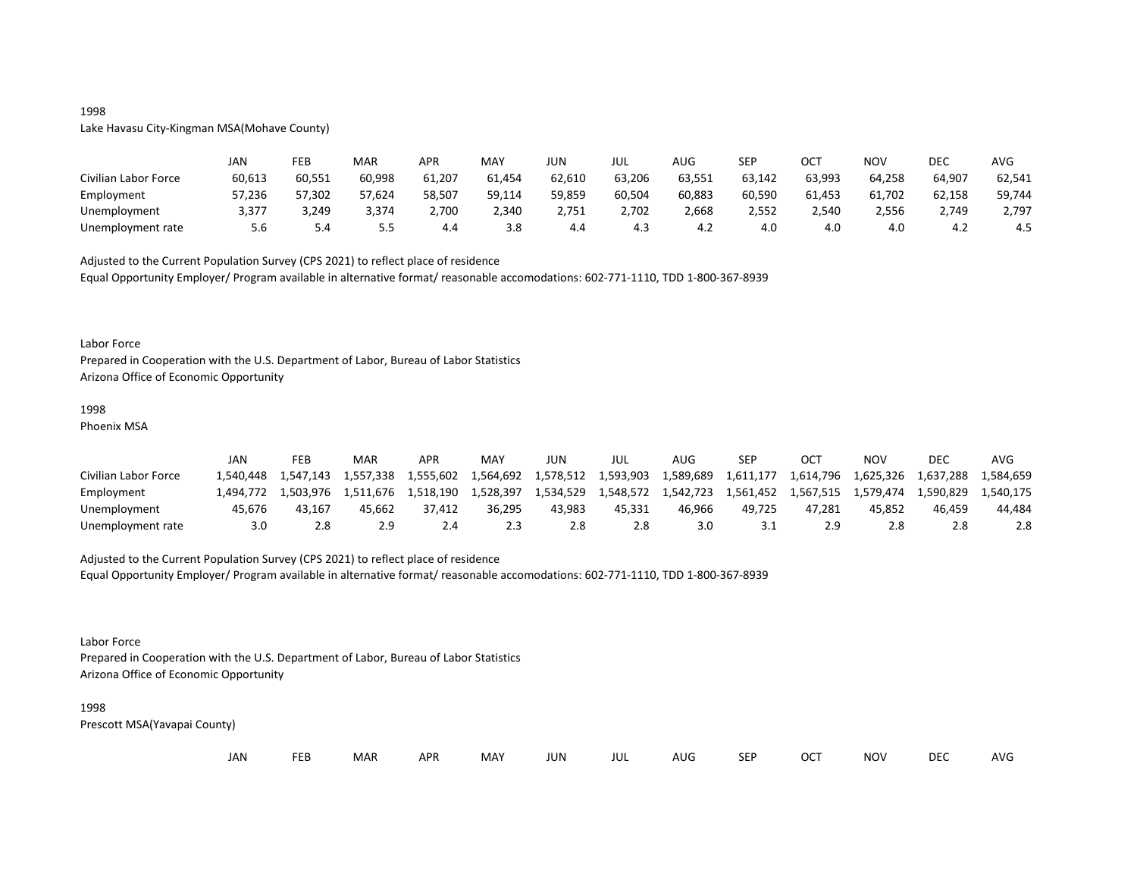## 1998

Lake Havasu City-Kingman MSA(Mohave County)

|                      | JAN    | FEB    | MAR    | APR    | MAY    | JUN    | JUL    | <b>AUG</b> | SEP    | OCT    | NOV    | DEC    | <b>AVG</b> |
|----------------------|--------|--------|--------|--------|--------|--------|--------|------------|--------|--------|--------|--------|------------|
| Civilian Labor Force | 60,613 | 60,551 | 60,998 | 61,207 | 61,454 | 62,610 | 63,206 | 63,551     | 63,142 | 63,993 | 64,258 | 64,907 | 62,541     |
| Employment           | 57,236 | 57,302 | 57,624 | 58,507 | 59,114 | 59,859 | 60,504 | 60,883     | 60,590 | 61,453 | 61,702 | 62,158 | 59,744     |
| Unemployment         | 3,377  | 3,249  | 3,374  | 2,700  | 2,340  | 2,751  | 2,702  | 2,668      | 2,552  | 2,540  | 2,556  | 2,749  | 2,797      |
| Unemployment rate    | 5.6    | 5.4    | כ.כ    | 4.4    | 3.8    | 4.4    | 4.3    | 4.2        | 4.0    | 4.0    | 4.0    | 4.2    | 4.5        |

Adjusted to the Current Population Survey (CPS 2021) to reflect place of residence

Equal Opportunity Employer/ Program available in alternative format/ reasonable accomodations: 602-771-1110, TDD 1-800-367-8939

#### Labor Force

Prepared in Cooperation with the U.S. Department of Labor, Bureau of Labor Statistics Arizona Office of Economic Opportunity

#### 1998

Phoenix MSA

|                      | JAN      | FEB       | MAR       | APR       | MAY       | JUN       | JUL       | AUG.      | <b>SEP</b> | OCT       | NOV       | DEC       | AVG       |
|----------------------|----------|-----------|-----------|-----------|-----------|-----------|-----------|-----------|------------|-----------|-----------|-----------|-----------|
| Civilian Labor Force | .540.448 | L.547.143 | 1,557,338 | 1,555,602 | 1,564,692 | 1,578,512 | 1,593,903 | 1,589,689 | 1,611,177  | 1,614,796 | 1,625,326 | 1,637,288 | 1.584.659 |
| Employment           | .494.772 | 1.503.976 | 1.511.676 | 1.518.190 | 1.528.397 | 1,534,529 | 1,548,572 | 1,542,723 | 1,561,452  | 1.567.515 | 1.579.474 | 1,590,829 | 1.540.175 |
| Unemployment         | 45.676   | 43.167    | 45.662    | 37.412    | 36.295    | 43.983    | 45.331    | 46.966    | 49.725     | 47.281    | 45.852    | 46.459    | 44.484    |
| Unemployment rate    | 3.0      |           |           | 2.4       | 2.3       |           | 2.8       | 3.0       | <u>J.L</u> |           | 2.8       |           | 2.8       |

## Adjusted to the Current Population Survey (CPS 2021) to reflect place of residence

Equal Opportunity Employer/ Program available in alternative format/ reasonable accomodations: 602-771-1110, TDD 1-800-367-8939

Labor Force

Prepared in Cooperation with the U.S. Department of Labor, Bureau of Labor Statistics Arizona Office of Economic Opportunity

#### 1998

| JAN<br><b>FEB</b><br><b>OCT</b><br>MAR<br>MAY<br><b>APR</b><br><b>NOV</b><br>JUN<br><b>SEP</b><br>AUG<br>jul |  |  |  |  |  |  |  |  |  |  |  | <b>DEC</b> | <b>AVG</b> |
|--------------------------------------------------------------------------------------------------------------|--|--|--|--|--|--|--|--|--|--|--|------------|------------|
|--------------------------------------------------------------------------------------------------------------|--|--|--|--|--|--|--|--|--|--|--|------------|------------|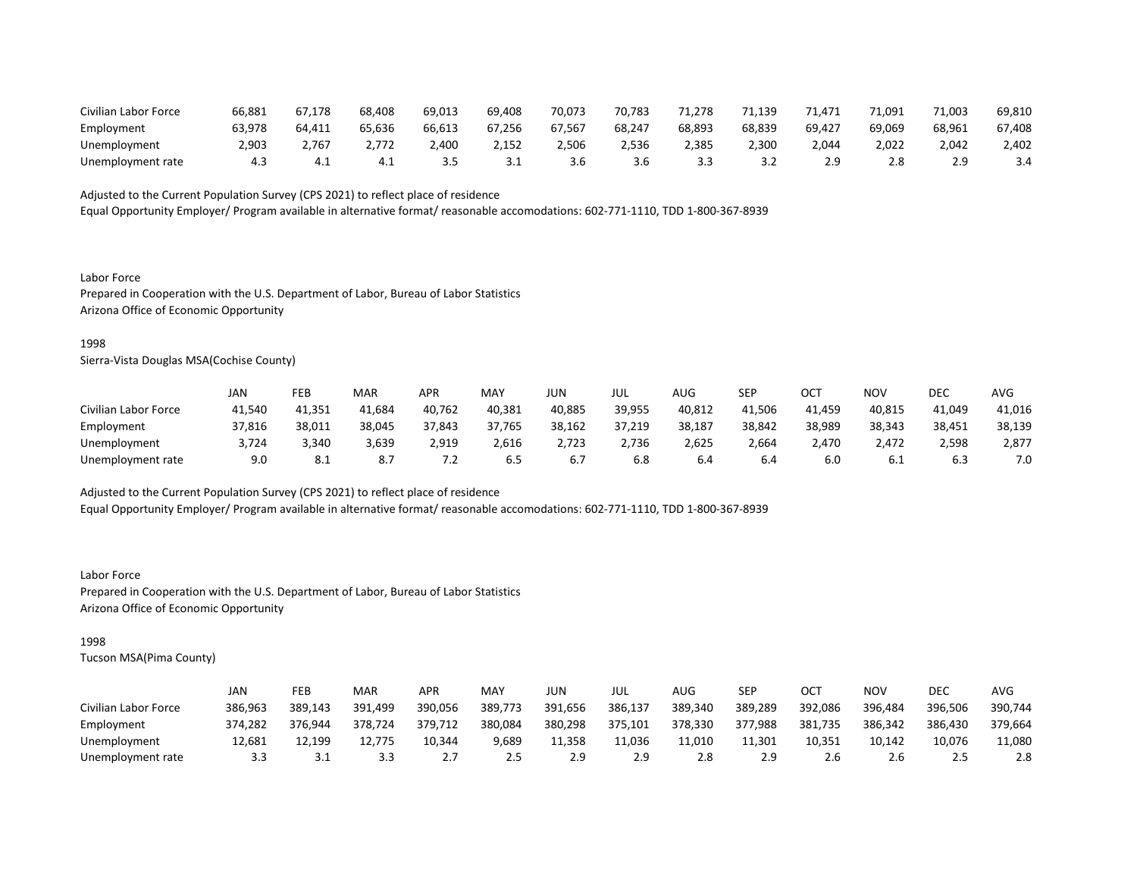| Civilian Labor Force | 66,881 | 67.178 | 68,408 | 69,013 | 69,408 | 70,073 | 70.783 | 71.278 | 71.139 | 71,471 | 71.091           | 71.003 | 69,810 |
|----------------------|--------|--------|--------|--------|--------|--------|--------|--------|--------|--------|------------------|--------|--------|
| Employment           | 63.978 | 64.411 | 65,636 | 66.613 | 67,256 | 67,567 | 68,247 | 68,893 | 68,839 | 69.427 | 69.069           | 68,961 | 67,408 |
| Unemployment         | 2,903  | 2,767  | 2,772  | ,400   | 2,152  | 506.!  | 4,536  | 4,385  | 2,300  | 044.'  | 2,022            | 2.042  | 2,402  |
| Unemployment rate    |        |        | 4.⊥    |        | ـ . ـ  | 3.b    | 3.6    |        |        |        | 2.8 <sup>2</sup> |        |        |

Equal Opportunity Employer/ Program available in alternative format/ reasonable accomodations: 602-771-1110, TDD 1-800-367-8939

Labor Force Prepared in Cooperation with the U.S. Department of Labor, Bureau of Labor Statistics Arizona Office of Economic Opportunity

#### 1998

Sierra-Vista Douglas MSA(Cochise County)

|                      | JAN    | FEB                   | <b>MAR</b> | APR          | MAY    | JUN    | JUL    | AUG    | SEP    | ОСТ    | NOV    | DEC    | AVG    |
|----------------------|--------|-----------------------|------------|--------------|--------|--------|--------|--------|--------|--------|--------|--------|--------|
| Civilian Labor Force | 41,540 | 41,351                | 41,684     | 40,762       | 40,381 | 40,885 | 39,955 | 40,812 | 41,506 | 41,459 | 40,815 | 41,049 | 41,016 |
| Employment           | 37,816 | 38,011                | 38,045     | 37,843       | 37,765 | 38,162 | 37,219 | 38,187 | 38,842 | 38,989 | 38,343 | 38,451 | 38,139 |
| Unemployment         | 3,724  | 3,340                 | 3,639      | 2,919        | 2,616  | 2,723  | 2,736  | 2,625  | 2,664  | 2.470  | 2.472  | 2,598  | 2,877  |
| Unemployment rate    | 9.0    | O <sub>1</sub><br>O.L |            | . <u>. .</u> | 6.5    |        | 6.8    | b.4    | 6.4    | 6.0    | 0.1    | b.3    | 7.0    |

Adjusted to the Current Population Survey (CPS 2021) to reflect place of residence

Equal Opportunity Employer/ Program available in alternative format/ reasonable accomodations: 602-771-1110, TDD 1-800-367-8939

Labor Force Prepared in Cooperation with the U.S. Department of Labor, Bureau of Labor Statistics Arizona Office of Economic Opportunity

## 1998

|                      | JAN     | FEB     | <b>MAR</b> | APR     | MAY     | JUN     | JUL     | AUG     | <b>SEP</b> | OCT     | NOV     | DEC     | AVG     |
|----------------------|---------|---------|------------|---------|---------|---------|---------|---------|------------|---------|---------|---------|---------|
| Civilian Labor Force | 386,963 | 389,143 | 391,499    | 390,056 | 389,773 | 391,656 | 386,137 | 389,340 | 389,289    | 392,086 | 396,484 | 396,506 | 390,744 |
| Employment           | 374,282 | 376.944 | 378,724    | 379,712 | 380,084 | 380,298 | 375,101 | 378,330 | 377,988    | 381,735 | 386,342 | 386,430 | 379,664 |
| Unemployment         | 12.681  | 12.199  | 12.775     | 10.344  | 9,689   | 11,358  | 11.036  | 11.010  | 11.301     | 10,351  | 10.142  | 10,076  | 11,080  |
| Unemployment rate    | 3.3     | ـ . ـ   | 3.3        |         | 2.5     |         | 2.9     |         | 2.9        | 2.b     | 2.b     |         | 2.8     |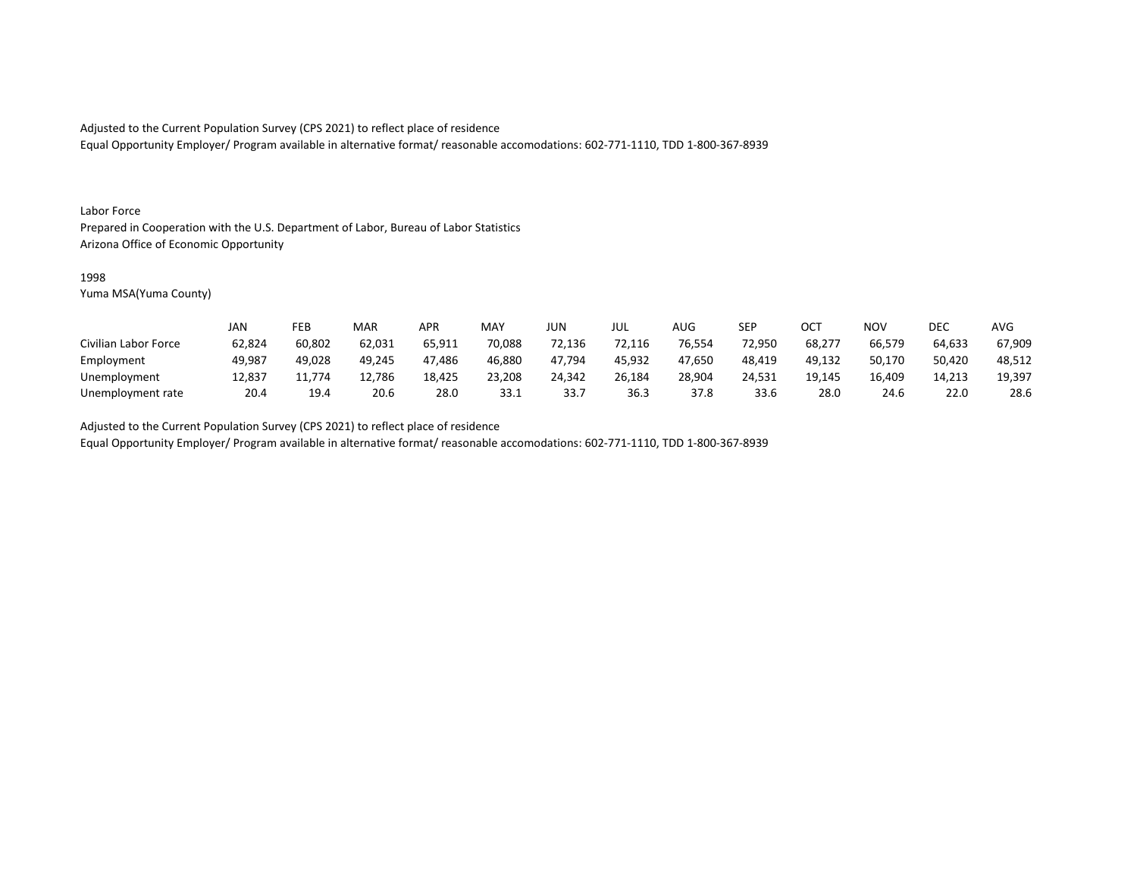Equal Opportunity Employer/ Program available in alternative format/ reasonable accomodations: 602-771-1110, TDD 1-800-367-8939

#### Labor Force

Prepared in Cooperation with the U.S. Department of Labor, Bureau of Labor Statistics Arizona Office of Economic Opportunity

#### 1998

Yuma MSA(Yuma County)

|                      | JAN    | FEB    | MAR    | APR    | <b>MAY</b> | JUN    | JUL    | <b>AUG</b> | <b>SEP</b> | ОСТ    | <b>NOV</b> | DEC    | <b>AVG</b> |
|----------------------|--------|--------|--------|--------|------------|--------|--------|------------|------------|--------|------------|--------|------------|
| Civilian Labor Force | 62,824 | 60,802 | 62,031 | 65,911 | 70,088     | 72,136 | 72,116 | 76,554     | 72,950     | 68,277 | 66,579     | 64,633 | 67,909     |
| Employment           | 49,987 | 49,028 | 49.245 | 47,486 | 46,880     | 47,794 | 45.932 | 47,650     | 48,419     | 49,132 | 50,170     | 50,420 | 48,512     |
| Unemployment         | 12,837 | 11.774 | 12,786 | 18,425 | 23,208     | 24,342 | 26,184 | 28,904     | 24,531     | 19.145 | 16,409     | 14,213 | 19,397     |
| Unemployment rate    | 20.4   | 19.4   | 20.6   | 28.0   | 33.1       | 33.7   | 36.3   | 37.8       | 33.6       | 28.0   | 24.6       | 22.0   | 28.6       |

Adjusted to the Current Population Survey (CPS 2021) to reflect place of residence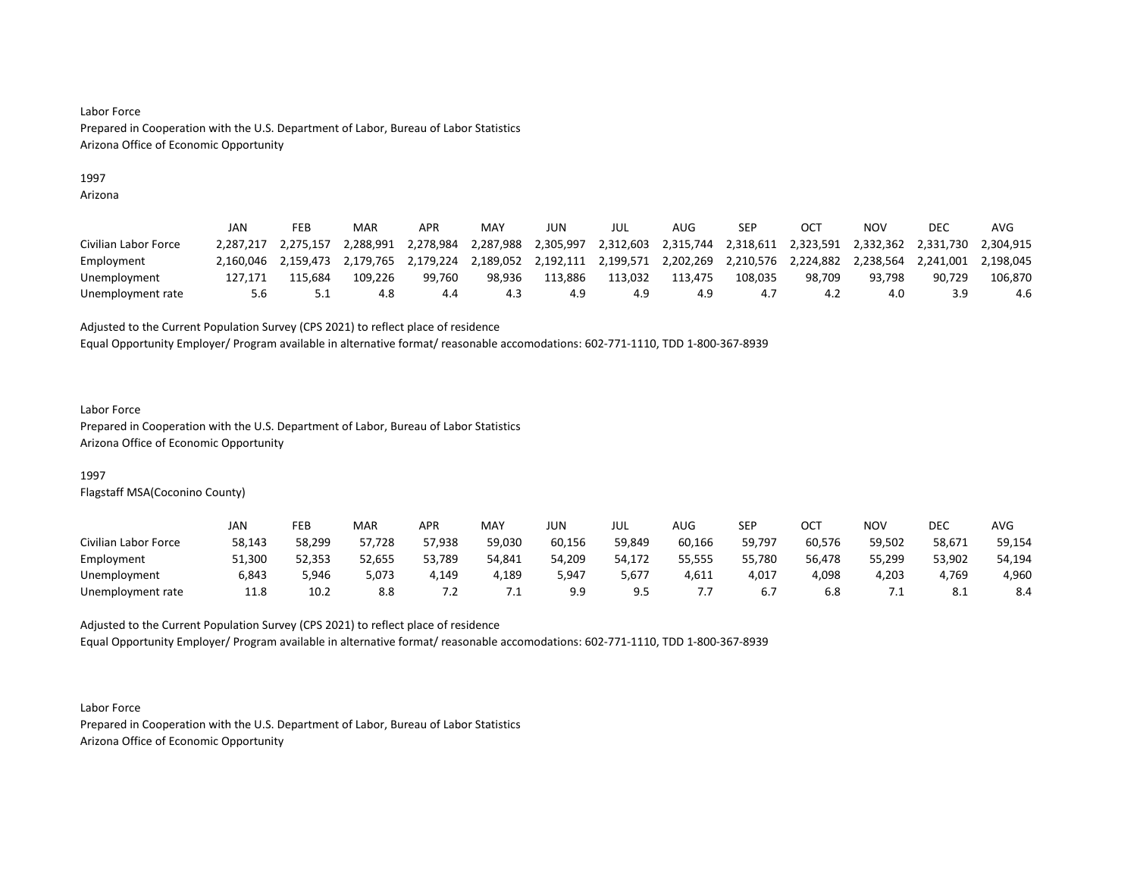## 1997

Arizona

|                      | JAN       | FEB       | MAR       | APR       | MAY       | JUN       | JUL       | AUG       | <b>SEP</b> | OC <sup>7</sup> | NOV       | <b>DEC</b>          | AVG       |
|----------------------|-----------|-----------|-----------|-----------|-----------|-----------|-----------|-----------|------------|-----------------|-----------|---------------------|-----------|
| Civilian Labor Force | 2.287.217 | 2.275.157 | 2.288.991 | 2,278,984 | 2,287,988 | 2.305.997 | 2,312,603 | 2,315,744 | 2,318,611  | 2,323,591       | 2,332,362 | 2,331,730 2,304,915 |           |
| Employment           | 2.160.046 | 2.159.473 | 2.179.765 | 2,179,224 | 2,189,052 | 2,192,111 | 2,199,571 | 2,202,269 | 2,210,576  | 2,224,882       | 2,238,564 | 2,241,001           | 2.198.045 |
| Unemployment         | 127.171   | L15.684   | 109.226   | 99.760    | 98.936    | 113.886   | 113.032   | 113.475   | 108.035    | 98.709          | 93.798    | 90.729              | 106,870   |
| Unemployment rate    | 5.6       | ـ . ـ     | 4.8       | 4.4       | 4.3       | 4.9       | 4.9       |           |            | 4,              | 4.0       |                     | 4.6       |

Adjusted to the Current Population Survey (CPS 2021) to reflect place of residence

Equal Opportunity Employer/ Program available in alternative format/ reasonable accomodations: 602-771-1110, TDD 1-800-367-8939

#### Labor Force

Prepared in Cooperation with the U.S. Department of Labor, Bureau of Labor Statistics Arizona Office of Economic Opportunity

## 1997

Flagstaff MSA(Coconino County)

|                      | JAN    | FEB    | <b>MAR</b> | APR       | MAY    | JUN -  | JUL            | AUG    | SEP    | OCT    | <b>NOV</b> | <b>DEC</b> | AVG    |
|----------------------|--------|--------|------------|-----------|--------|--------|----------------|--------|--------|--------|------------|------------|--------|
| Civilian Labor Force | 58,143 | 58,299 | 57,728     | 57,938    | 59,030 | 60,156 | 59,849         | 60,166 | 59,797 | 60,576 | 59,502     | 58,671     | 59,154 |
| Employment           | 51,300 | 52,353 | 52,655     | 53,789    | 54,841 | 54,209 | 54.172         | 55,555 | 55,780 | 56,478 | 55,299     | 53,902     | 54,194 |
| Unemployment         | 6,843  | 5.946  | 5,073      | 4,149     | 4,189  | 5,947  | 5,677          | 4,611  | 4,017  | 4,098  | 4,203      | 4,769      | 4,960  |
| Unemployment rate    | 11.8   | 10.2   | 8.8        | $\cdot$ . | .      | 9.9    | ף מ<br><b></b> |        | b.,    | ხ.შ    | . . L      | -8.1       | 8.4    |

Adjusted to the Current Population Survey (CPS 2021) to reflect place of residence Equal Opportunity Employer/ Program available in alternative format/ reasonable accomodations: 602-771-1110, TDD 1-800-367-8939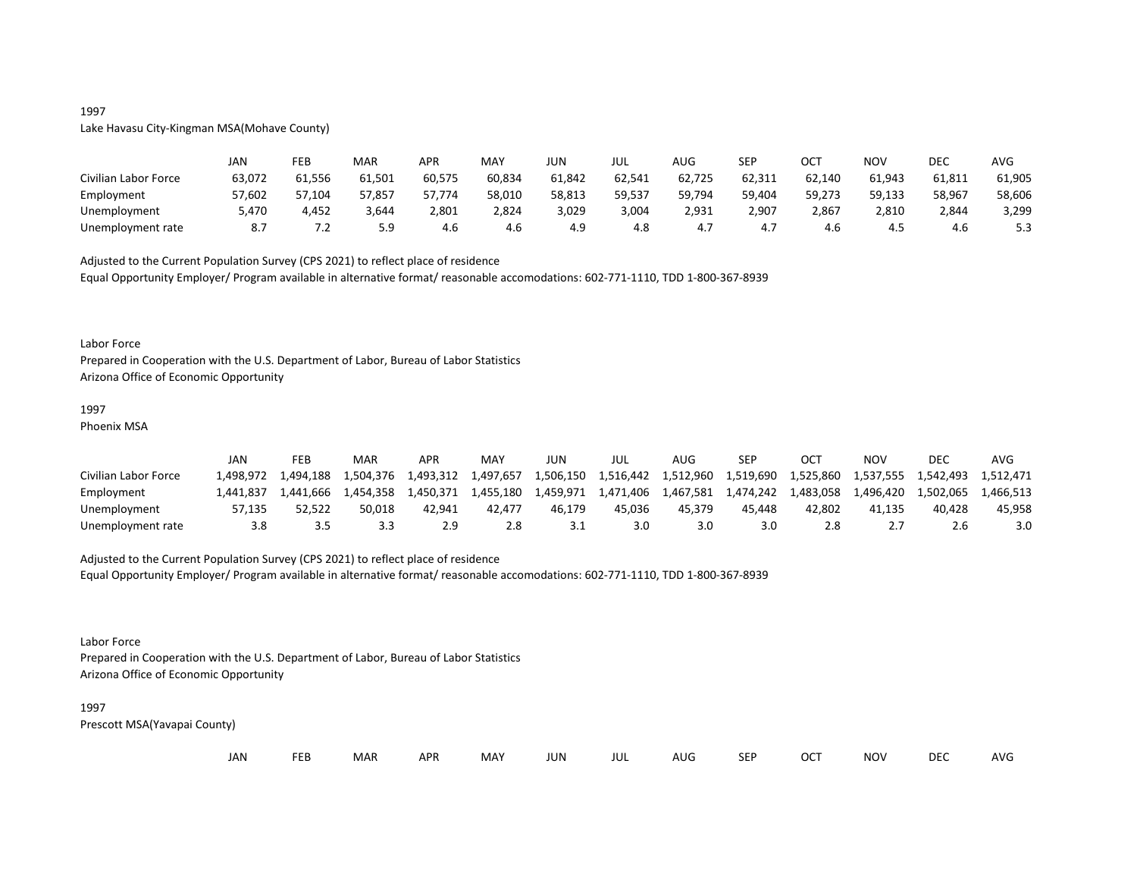# Lake Havasu City-Kingman MSA(Mohave County)

|                      | JAN    | FEB    | MAR    | APR    | MAY    | JUN    | JUL    | AUG    | <b>SEP</b> | ост    | NOV    | DEC    | AVG    |
|----------------------|--------|--------|--------|--------|--------|--------|--------|--------|------------|--------|--------|--------|--------|
| Civilian Labor Force | 63,072 | 61,556 | 61,501 | 60,575 | 60,834 | 61,842 | 62,541 | 62,725 | 62,311     | 62,140 | 61,943 | 61,811 | 61,905 |
| Employment           | 57,602 | 57,104 | 57,857 | 57,774 | 58,010 | 58,813 | 59,537 | 59,794 | 59,404     | 59,273 | 59,133 | 58,967 | 58,606 |
| Unemployment         | 5,470  | 4,452  | 3,644  | 2,801  | 2,824  | 3,029  | 3,004  | 2,931  | 2,907      | 2,867  | 2,810  | 2,844  | 3,299  |
| Unemployment rate    | -8.7   | ے. '   | 5.9    | 4.6    | 4.6    | 4.9    | 4.8    | 4.,    | 4.,        | 4.0    | 4.J    | 4.6    | 5.3    |

Adjusted to the Current Population Survey (CPS 2021) to reflect place of residence Equal Opportunity Employer/ Program available in alternative format/ reasonable accomodations: 602-771-1110, TDD 1-800-367-8939

#### Labor Force

Prepared in Cooperation with the U.S. Department of Labor, Bureau of Labor Statistics Arizona Office of Economic Opportunity

## 1997

Phoenix MSA

|                      | JAN      | FEB       | MAR       | APR       | MAY       | JUN       | JUL       | AUG.      | SEP       | ост       | NOV       | DEC       | AVG       |
|----------------------|----------|-----------|-----------|-----------|-----------|-----------|-----------|-----------|-----------|-----------|-----------|-----------|-----------|
| Civilian Labor Force | .498.972 | 1.494.188 | 1.504.376 | 1,493,312 | 1,497,657 | 1,506,150 | 1.516.442 | 1,512,960 | 1,519,690 | 1,525,860 | 1.537.555 | 1.542.493 | 1.512.471 |
| Employment           | .441.837 | 1.441.666 | 1.454.358 | 1.450.371 | 1,455,180 | 1.459.971 | 1,471,406 | 1,467,581 | 1.474.242 | 1.483.058 | 1,496,420 | 1.502.065 | 1,466,513 |
| Unemployment         | 57.135   | 52.522    | 50.018    | 42.941    | 42.477    | 46.179    | 45.036    | 45.379    | 45.448    | 42.802    | 41.135    | 40.428    | 45.958    |
| Unemployment rate    | 3.8      |           | 3.3       | 2.9       | 2.8       |           | 3.0       | 3.0       | 3.0       | 2.8       |           | ∠.b       | 3.0       |

#### Adjusted to the Current Population Survey (CPS 2021) to reflect place of residence

Equal Opportunity Employer/ Program available in alternative format/ reasonable accomodations: 602-771-1110, TDD 1-800-367-8939

#### Labor Force

Prepared in Cooperation with the U.S. Department of Labor, Bureau of Labor Statistics Arizona Office of Economic Opportunity

## 1997

Prescott MSA(Yavapai County)

| JAN |  | <b>FEB</b> | MAR | <b>APR</b> | MAY | JUN | JUL | AUG | <b>SEP</b> | <b>OCT</b> | <b>NOV</b> | <b>DEC</b> | AVG |
|-----|--|------------|-----|------------|-----|-----|-----|-----|------------|------------|------------|------------|-----|
|-----|--|------------|-----|------------|-----|-----|-----|-----|------------|------------|------------|------------|-----|

## 1997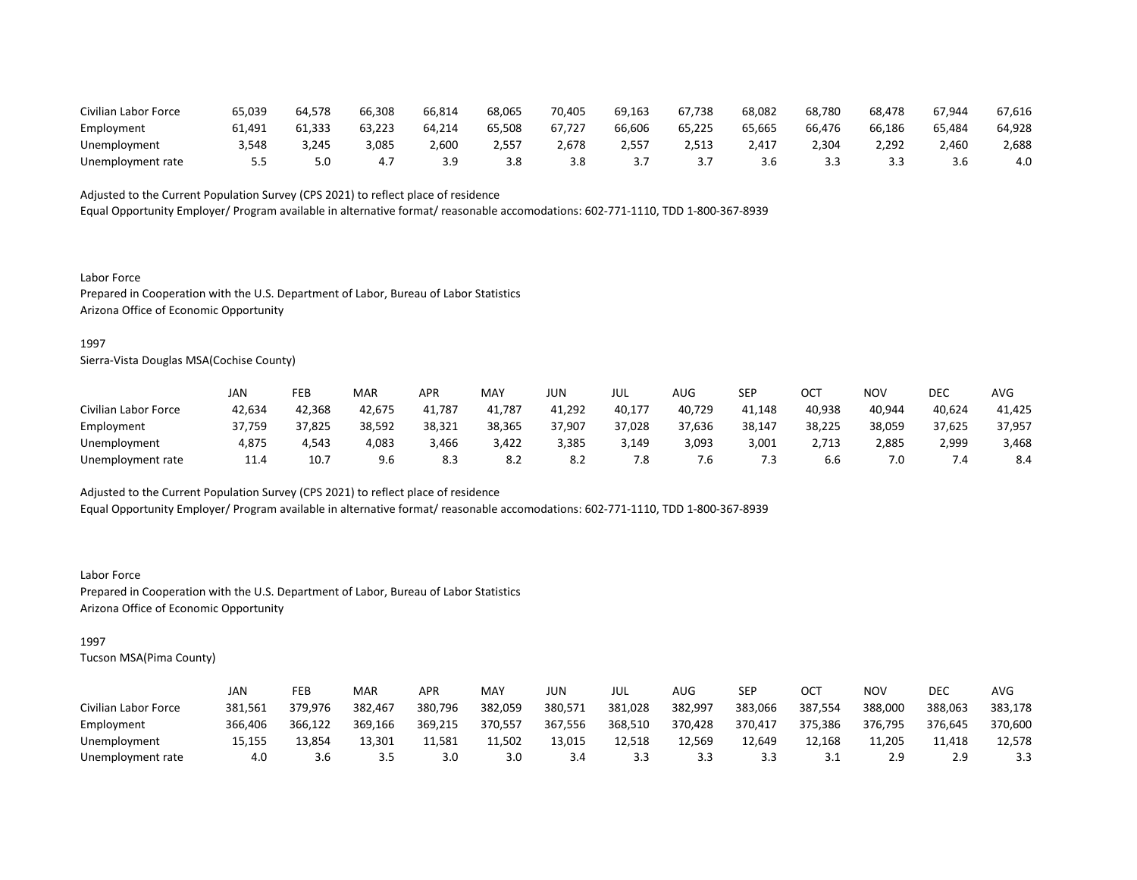| Civilian Labor Force | 65,039 | 64.578 | 66,308 | 66,814 | 68,065 | 70.405 | 69,163 | 67.738 | 68,082 | 68,780 | 68.478 | 67,944 | 67,616 |
|----------------------|--------|--------|--------|--------|--------|--------|--------|--------|--------|--------|--------|--------|--------|
| Employment           | 61.491 | 61.333 | 63,223 | 64.214 | 65.508 | 67.727 | 66.606 | 65.225 | 65.665 | 66.476 | 66.186 | 65,484 | 64,928 |
| Unemployment         | \.548  | 3,245  | 3,085  | 500,   | ′ לל,∠ | 1,678  | 2,557  | 2.513  | 417. [ | .304   | 2,292  | 2,460  | 2,688  |
| Unemployment rate    |        |        | 4.7    | 3 Q    | 3.8    | 3.8    |        |        | 3.6    |        |        |        | 4.0    |

Equal Opportunity Employer/ Program available in alternative format/ reasonable accomodations: 602-771-1110, TDD 1-800-367-8939

Labor Force Prepared in Cooperation with the U.S. Department of Labor, Bureau of Labor Statistics Arizona Office of Economic Opportunity

#### 1997

Sierra-Vista Douglas MSA(Cochise County)

|                      | JAN    | FEB    | <b>MAR</b> | APR    | MAY    | JUN    | JUL    | AUG    | <b>SEP</b> | OCT    | NOV    | DEC    | AVG    |
|----------------------|--------|--------|------------|--------|--------|--------|--------|--------|------------|--------|--------|--------|--------|
| Civilian Labor Force | 42,634 | 42,368 | 42,675     | 41,787 | 41,787 | 41,292 | 40,177 | 40,729 | 41,148     | 40,938 | 40,944 | 40,624 | 41,425 |
| Employment           | 37,759 | 37,825 | 38,592     | 38,321 | 38,365 | 37,907 | 37,028 | 37,636 | 38,147     | 38,225 | 38,059 | 37,625 | 37,957 |
| Unemployment         | 4,875  | 4.543  | 4,083      | 3,466  | 3,422  | 3,385  | 3,149  | 3,093  | 3,001      | 2,713  | 2,885  | 2,999  | 3,468  |
| Unemployment rate    | 11.4   | 10.7   | 9.6        | 8.3    | 8.2    | 8.2    | 7.8    | .b     | 7.3        | b.b    | 7.0    | .4     | 8.4    |

Adjusted to the Current Population Survey (CPS 2021) to reflect place of residence

Equal Opportunity Employer/ Program available in alternative format/ reasonable accomodations: 602-771-1110, TDD 1-800-367-8939

Labor Force Prepared in Cooperation with the U.S. Department of Labor, Bureau of Labor Statistics Arizona Office of Economic Opportunity

## 1997

|                      | JAN     | FEB     | <b>MAR</b> | APR     | MAY     | JUN     | JUL     | AUG     | <b>SEP</b> | OCT     | NOV     | DEC     | AVG     |
|----------------------|---------|---------|------------|---------|---------|---------|---------|---------|------------|---------|---------|---------|---------|
| Civilian Labor Force | 381,561 | 379.976 | 382,467    | 380,796 | 382,059 | 380,571 | 381,028 | 382,997 | 383,066    | 387,554 | 388,000 | 388,063 | 383,178 |
| Employment           | 366,406 | 366,122 | 369,166    | 369,215 | 370,557 | 367,556 | 368,510 | 370,428 | 370,417    | 375,386 | 376,795 | 376,645 | 370,600 |
| Unemployment         | 15.155  | 13.854  | 13,301     | 11.581  | 11.502  | 13,015  | 12.518  | 12.569  | 12.649     | 12.168  | 11.205  | 11.418  | 12,578  |
| Unemployment rate    | 4.0     | 3.6     | 3.5        | 3.0     | 3.0     | 3.4     | 3.3     |         | 3.3        |         | 2.9     |         |         |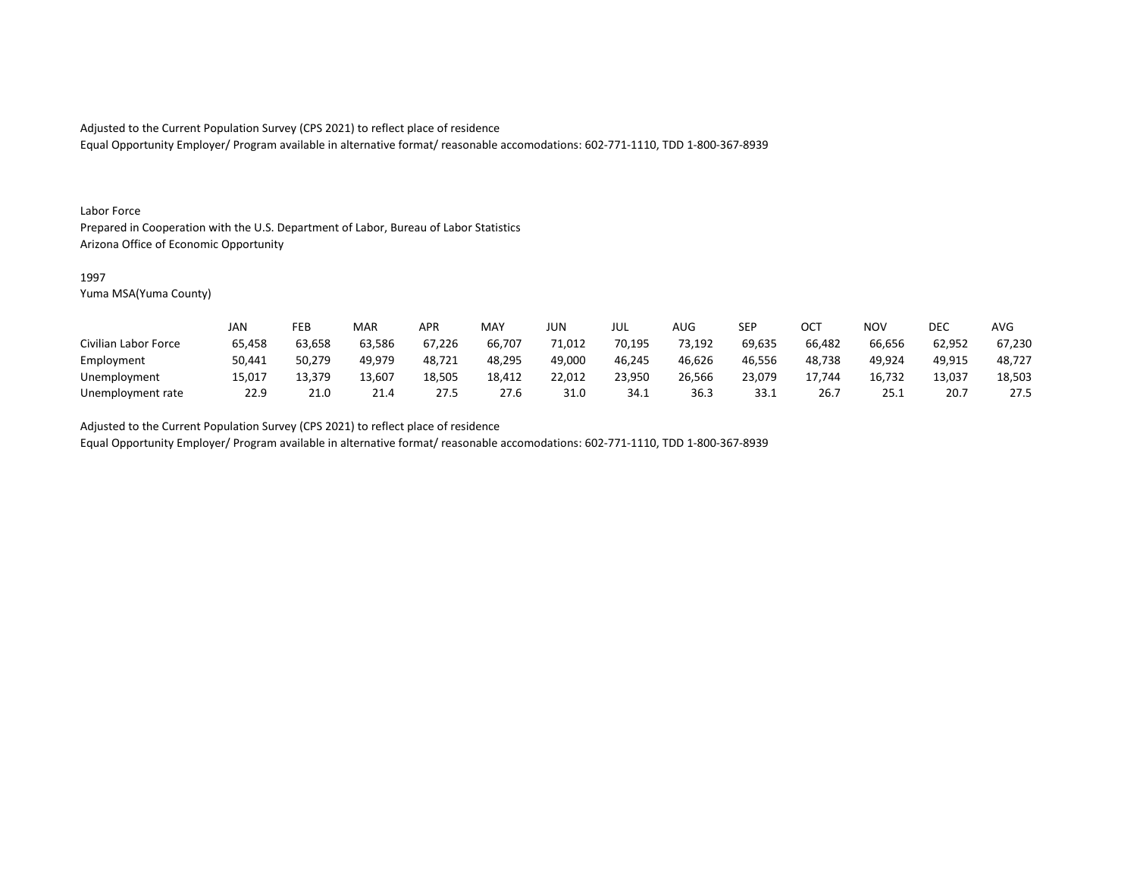Equal Opportunity Employer/ Program available in alternative format/ reasonable accomodations: 602-771-1110, TDD 1-800-367-8939

#### Labor Force

Prepared in Cooperation with the U.S. Department of Labor, Bureau of Labor Statistics Arizona Office of Economic Opportunity

#### 1997

Yuma MSA(Yuma County)

|                      | <b>JAN</b> | FEB    | MAR    | APR    | <b>MAY</b> | JUN    | JUL    | AUG    | <b>SEP</b> | ОСТ    | <b>NOV</b> | DEC    | <b>AVG</b> |
|----------------------|------------|--------|--------|--------|------------|--------|--------|--------|------------|--------|------------|--------|------------|
| Civilian Labor Force | 65,458     | 63,658 | 63,586 | 67,226 | 66,707     | 71,012 | 70,195 | 73,192 | 69,635     | 66,482 | 66,656     | 62,952 | 67,230     |
| Employment           | 50,441     | 50,279 | 49.979 | 48,721 | 48,295     | 49,000 | 46,245 | 46,626 | 46,556     | 48,738 | 49.924     | 49,915 | 48,727     |
| Unemployment         | 15,017     | 13,379 | 13,607 | 18,505 | 18,412     | 22,012 | 23,950 | 26,566 | 23.079     | 17.744 | 16,732     | 13,037 | 18,503     |
| Unemployment rate    | 22.9       | 21.0   | 21.4   | 27.5   | 27.6       | 31.0   | 34.1   | 36.3   | 33.1       | 26.7   | 25.1       | 20.1   | 27.5       |

Adjusted to the Current Population Survey (CPS 2021) to reflect place of residence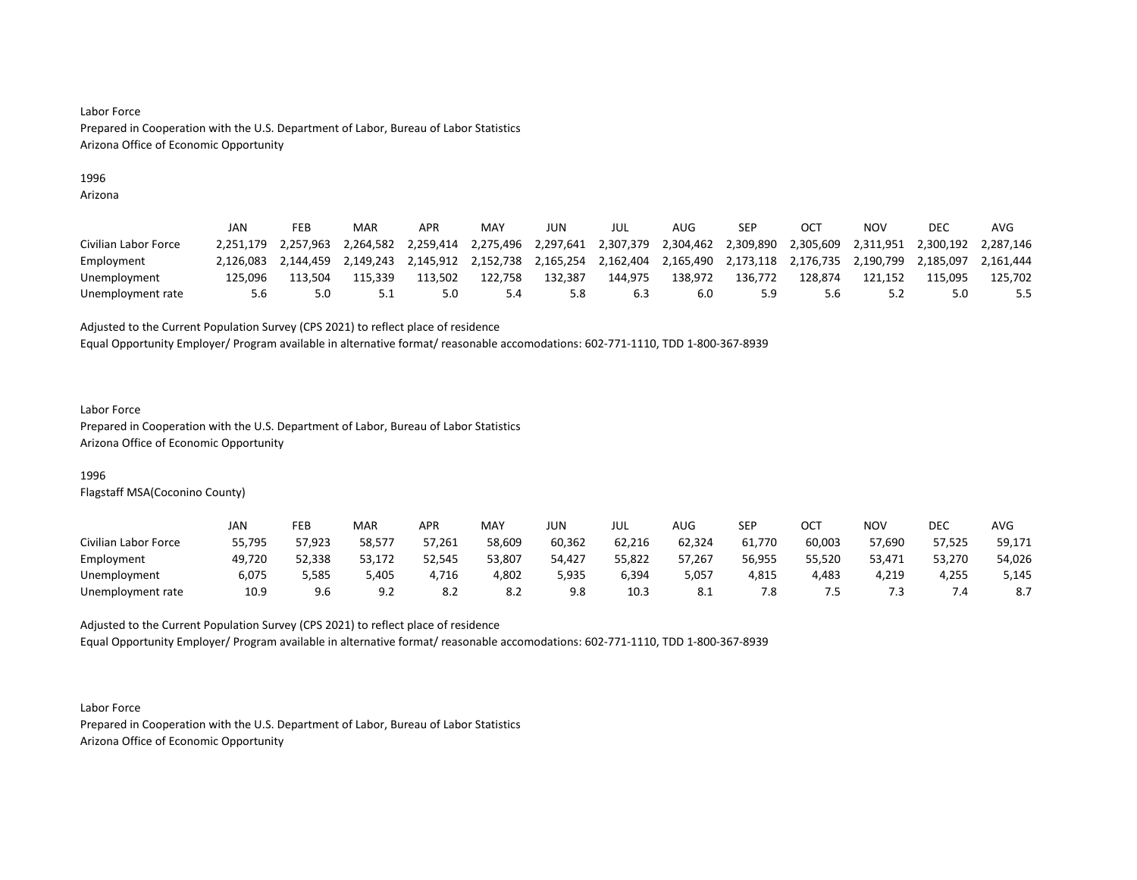## 1996

Arizona

|                      | JAN       | FEB       | MAR       | APR       | MAY       | JUN       | JUL       | AUG                 | SEP       | <b>OCT</b> | NOV       | DEC       | AVG       |
|----------------------|-----------|-----------|-----------|-----------|-----------|-----------|-----------|---------------------|-----------|------------|-----------|-----------|-----------|
| Civilian Labor Force | 2.251.179 | 2.257.963 | 2.264.582 | 2.259.414 | 2,275,496 | 2,297,641 | 2,307,379 | 2,304,462 2,309,890 |           | 2,305,609  | 2.311.951 | 2.300.192 | 2.287.146 |
| Employment           | 2.126.083 | 2.144.459 | 2.149.243 | 2.145.912 | 2,152,738 | 2.165.254 | 2,162,404 | 2,165,490           | 2.173.118 | 2,176,735  | 2.190.799 | 2.185.097 | 2.161.444 |
| Unemployment         | 125.096   | L13.504   | 115.339   | 113.502   | 122.758   | 132.387   | 144.975   | 138.972             | 136.772   | 128.874    | 121.152   | 115.095   | 125,702   |
| Unemployment rate    | 5.6       |           | 5.1       | 5.0       | 5.4       | 5.8       |           |                     | 5.9       | 5.6        | 57        | 5.0       | 5.5       |

Adjusted to the Current Population Survey (CPS 2021) to reflect place of residence

Equal Opportunity Employer/ Program available in alternative format/ reasonable accomodations: 602-771-1110, TDD 1-800-367-8939

#### Labor Force

Prepared in Cooperation with the U.S. Department of Labor, Bureau of Labor Statistics Arizona Office of Economic Opportunity

## 1996

Flagstaff MSA(Coconino County)

|                      | JAN    | FEB    | <b>MAR</b> | APR    | MAY    | JUN    | JUL    | AUG    | SEP    | ост    | NOV    | DEC    | AVG    |
|----------------------|--------|--------|------------|--------|--------|--------|--------|--------|--------|--------|--------|--------|--------|
| Civilian Labor Force | 55,795 | 57,923 | 58,577     | 57,261 | 58,609 | 60,362 | 62,216 | 62,324 | 61,770 | 60,003 | 57,690 | 57,525 | 59,171 |
| Employment           | 49,720 | 52,338 | 53,172     | 52,545 | 53,807 | 54,427 | 55,822 | 57,267 | 56,955 | 55,520 | 53,471 | 53,270 | 54,026 |
| Unemployment         | 6,075  | 5,585  | 5,405      | 4,716  | 4,802  | 5,935  | 6,394  | 5,057  | 4,815  | 4,483  | 4,219  | 4,255  | 5,145  |
| Unemployment rate    | 10.9   | 9.6    | 9.2        | -8.2   | 8.2    | 9.8    | 10.3   | 8.1    | 7.8    |        |        |        | 8.7    |

Adjusted to the Current Population Survey (CPS 2021) to reflect place of residence Equal Opportunity Employer/ Program available in alternative format/ reasonable accomodations: 602-771-1110, TDD 1-800-367-8939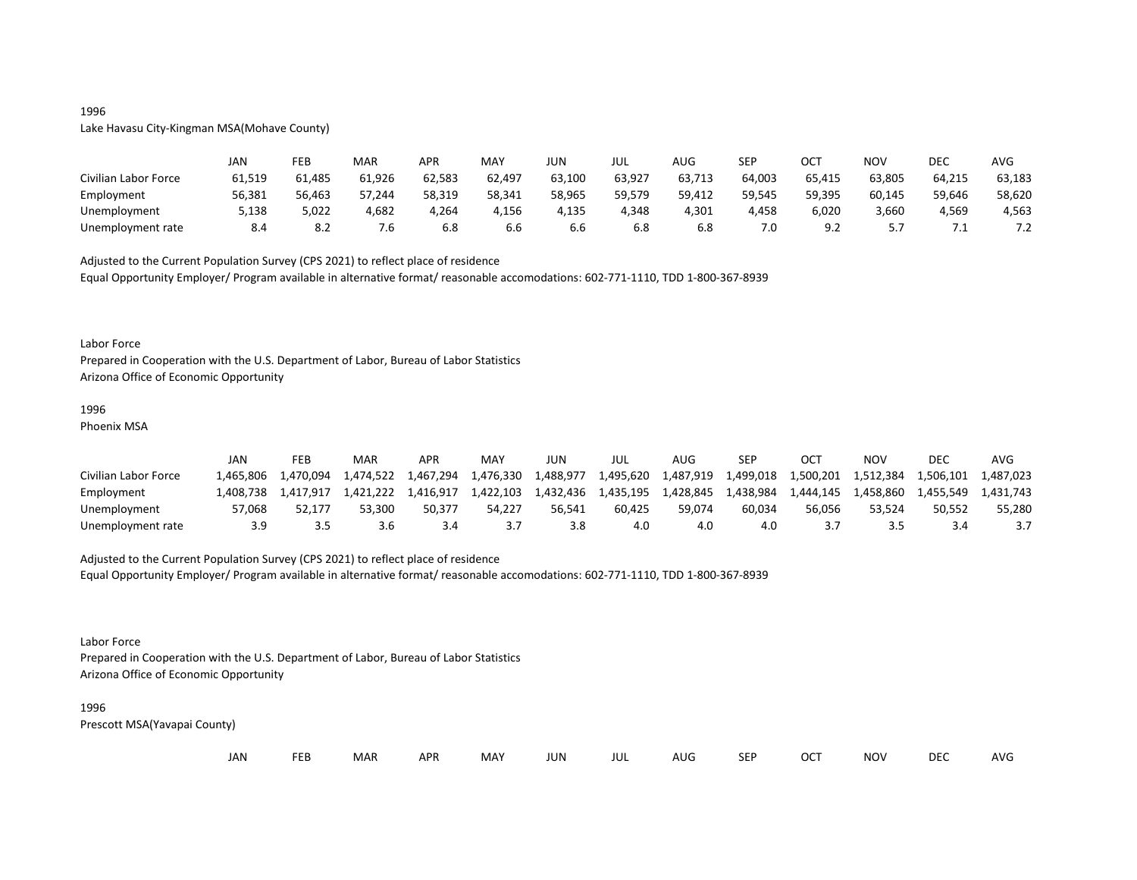## 1996

Lake Havasu City-Kingman MSA(Mohave County)

|                      | JAN    | FEB    | MAR    | APR    | MAY                  | JUN    | JUL    | <b>AUG</b> | SEP    | ост            | <b>NOV</b> | DEC    | <b>AVG</b>   |
|----------------------|--------|--------|--------|--------|----------------------|--------|--------|------------|--------|----------------|------------|--------|--------------|
| Civilian Labor Force | 61,519 | 61,485 | 61,926 | 62,583 | 62,497               | 63,100 | 63,927 | 63,713     | 64,003 | 65,415         | 63,805     | 64,215 | 63,183       |
| Employment           | 56,381 | 56,463 | 57,244 | 58,319 | 58,341               | 58,965 | 59,579 | 59,412     | 59,545 | 59,395         | 60,145     | 59,646 | 58,620       |
| Unemployment         | 5,138  | 5,022  | 4,682  | 4,264  | 4,156                | 4,135  | 4.348  | 4,301      | 4,458  | 6,020          | 3,660      | 4,569  | 4,563        |
| Unemployment rate    | 8.4    | 8.2    | /.ხ    | 6.8    | $\sim$ $\sim$<br>b.b | 6.6    | 6.8    | 6.8        | 7.0    | ΩĆ<br><u>.</u> | <u>.,</u>  | .      | . . <u>.</u> |

Adjusted to the Current Population Survey (CPS 2021) to reflect place of residence

Equal Opportunity Employer/ Program available in alternative format/ reasonable accomodations: 602-771-1110, TDD 1-800-367-8939

#### Labor Force

Prepared in Cooperation with the U.S. Department of Labor, Bureau of Labor Statistics Arizona Office of Economic Opportunity

## 1996

Phoenix MSA

|                      | JAN      | FEB       | MAR       | <b>APR</b> | MA <sup>V</sup> | JUN       | JUL       | AUG       | <b>SEP</b> | ОСТ       | NOV       | DEC       | AVG       |
|----------------------|----------|-----------|-----------|------------|-----------------|-----------|-----------|-----------|------------|-----------|-----------|-----------|-----------|
| Civilian Labor Force | .465.806 | 1.470.094 | 1,474,522 | 1,467,294  | 1,476,330       | 1,488,977 | 1,495,620 | 1,487,919 | 1,499,018  | 1,500,201 | 1,512,384 | 1.506.101 | 1,487,023 |
| Employment           | .408.738 | 1.417.917 | 1.421.222 | 1.416.917  | 1,422,103       | 1,432,436 | 1.435.195 | 1,428,845 | 1,438,984  | 1,444,145 | 1,458,860 | 1.455.549 | 1.431.743 |
| Unemployment         | 57.068   | 52.177    | 53.300    | 50.377     | 54.227          | 56.541    | 60.425    | 59.074    | 60.034     | 56.056    | 53.524    | 50.552    | 55.280    |
| Unemployment rate    | 3.9      |           | 3.6       |            |                 |           | 4.0       | 4.0       | 4.0        |           | י ג       |           |           |

## Adjusted to the Current Population Survey (CPS 2021) to reflect place of residence

Equal Opportunity Employer/ Program available in alternative format/ reasonable accomodations: 602-771-1110, TDD 1-800-367-8939

#### Labor Force

Prepared in Cooperation with the U.S. Department of Labor, Bureau of Labor Statistics Arizona Office of Economic Opportunity

#### 1996

| JAN<br><b>FEB</b><br><b>OCT</b><br>MAR<br>MAY<br><b>APR</b><br><b>NOV</b><br>JUN<br><b>SEP</b><br>AUG<br>jul |  |  |  |  |  |  |  |  |  |  |  | <b>DEC</b> | <b>AVG</b> |
|--------------------------------------------------------------------------------------------------------------|--|--|--|--|--|--|--|--|--|--|--|------------|------------|
|--------------------------------------------------------------------------------------------------------------|--|--|--|--|--|--|--|--|--|--|--|------------|------------|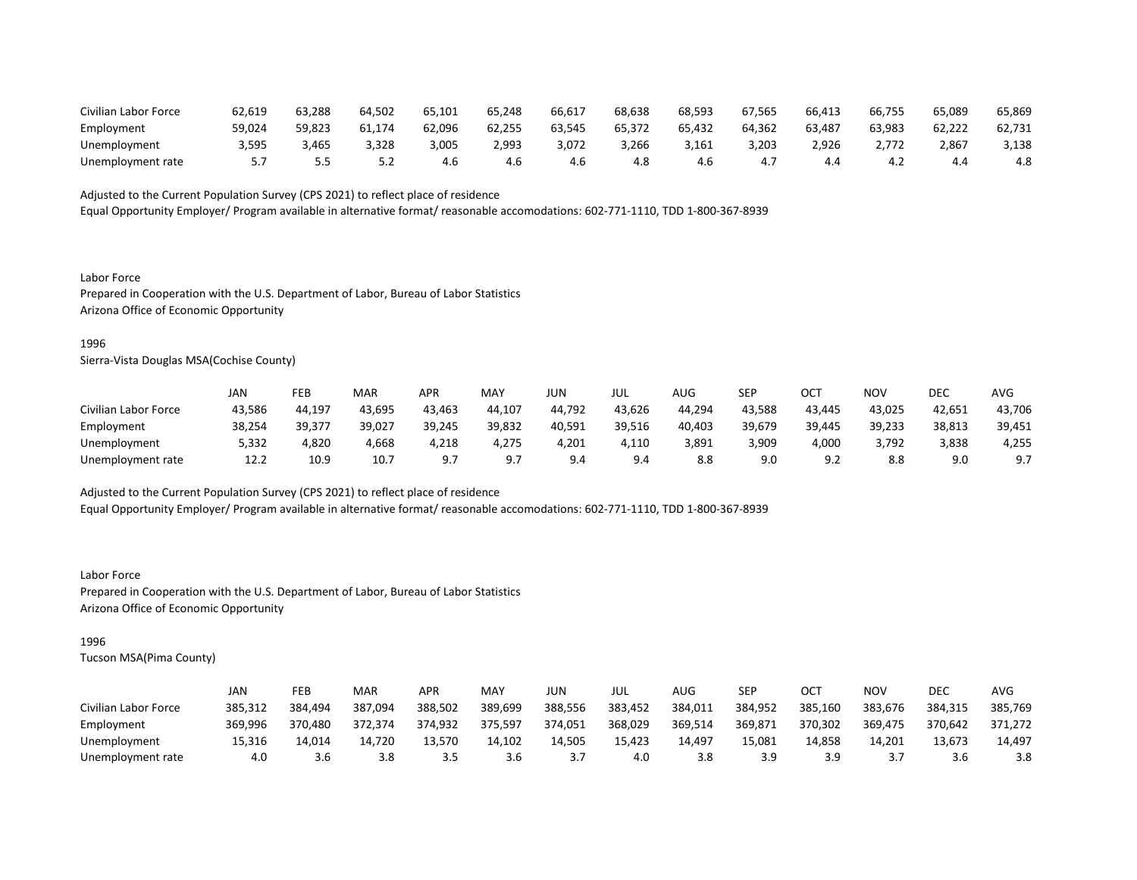| Civilian Labor Force | 62,619 | 63,288 | 64.502 | 65,101 | 65,248 | 66,617 | 68,638 | 68,593 | 67.565 | 66,413        | 66,755 | 65,089 | 65,869 |
|----------------------|--------|--------|--------|--------|--------|--------|--------|--------|--------|---------------|--------|--------|--------|
| Employment           | 59,024 | 59,823 | 61,174 | 62.096 | 62,255 | 63,545 | 65,372 | 65,432 | 64.362 | 63,487        | 63,983 | 62.222 | 62,731 |
| Unemployment         | 3,595  | ,465   | 3,328  | 3,005  | 2,993  | 3,072  | 3,266  | 3,161  | 3,203  | <u>926, י</u> | 2.772  | 2,867  | 3,138  |
| Unemployment rate    |        |        | ے . ۔  | 4.6    | 4.6    | 4.t    | 4.8    | 4.b    | 4.,    |               | ے.4    |        | 4.8    |

Equal Opportunity Employer/ Program available in alternative format/ reasonable accomodations: 602-771-1110, TDD 1-800-367-8939

Labor Force Prepared in Cooperation with the U.S. Department of Labor, Bureau of Labor Statistics Arizona Office of Economic Opportunity

#### 1996

Sierra-Vista Douglas MSA(Cochise County)

|                      | JAN    | FEB    | <b>MAR</b> | APR    | MAY    | JUN    | JUL    | AUG    | SEP    | OCT    | NOV    | DEC    | AVG    |
|----------------------|--------|--------|------------|--------|--------|--------|--------|--------|--------|--------|--------|--------|--------|
| Civilian Labor Force | 43,586 | 44,197 | 43,695     | 43,463 | 44,107 | 44,792 | 43,626 | 44,294 | 43,588 | 43,445 | 43,025 | 42,651 | 43,706 |
| Employment           | 38,254 | 39,377 | 39,027     | 39,245 | 39,832 | 40,591 | 39,516 | 40,403 | 39,679 | 39,445 | 39,233 | 38,813 | 39,451 |
| Unemployment         | 5,332  | 4,820  | 4,668      | 4,218  | 4,275  | 4,201  | 4,110  | 3,891  | 3,909  | 4,000  | 3,792  | 3,838  | 4,255  |
| Unemployment rate    | 12.2   | 10.9   | 10.7       |        |        | 9.4    | 9.4    | 8.8    | 9.0    |        | 8.8    | 9.0    | 9.7    |

Adjusted to the Current Population Survey (CPS 2021) to reflect place of residence

Equal Opportunity Employer/ Program available in alternative format/ reasonable accomodations: 602-771-1110, TDD 1-800-367-8939

Labor Force Prepared in Cooperation with the U.S. Department of Labor, Bureau of Labor Statistics Arizona Office of Economic Opportunity

## 1996

|                      | JAN     | FEB     | <b>MAR</b> | APR     | MAY     | JUN     | JUL     | AUG     | <b>SEP</b> | OCT     | NOV     | DEC     | AVG     |
|----------------------|---------|---------|------------|---------|---------|---------|---------|---------|------------|---------|---------|---------|---------|
| Civilian Labor Force | 385,312 | 384.494 | 387,094    | 388,502 | 389,699 | 388,556 | 383,452 | 384,011 | 384,952    | 385,160 | 383,676 | 384,315 | 385,769 |
| Employment           | 369,996 | 370,480 | 372,374    | 374,932 | 375.597 | 374,051 | 368,029 | 369,514 | 369,871    | 370,302 | 369,475 | 370,642 | 371,272 |
| Unemployment         | 15.316  | 14.014  | 14.720     | 13.570  | 14.102  | 14.505  | 15.423  | 14.497  | 15.081     | 14.858  | 14.201  | 13,673  | 14,497  |
| Unemployment rate    | 4.0     | 3.6     | 3.8        |         | 3.6     |         | 4.0     | 3.8     | 3.9        |         |         | 3.O     | 3.8     |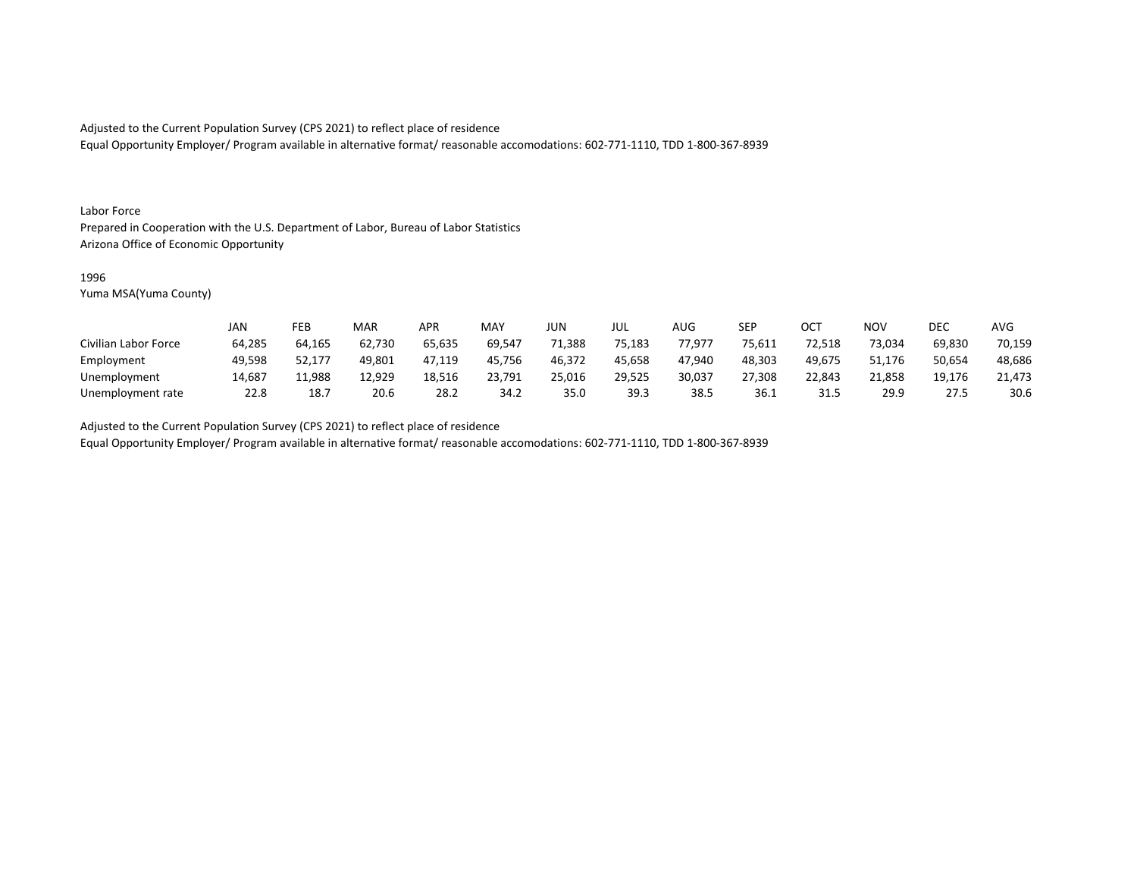Equal Opportunity Employer/ Program available in alternative format/ reasonable accomodations: 602-771-1110, TDD 1-800-367-8939

#### Labor Force

Prepared in Cooperation with the U.S. Department of Labor, Bureau of Labor Statistics Arizona Office of Economic Opportunity

#### 1996

Yuma MSA(Yuma County)

|                      | JAN    | FEB    | MAR    | APR    | <b>MAY</b> | <b>JUN</b> | JUL    | <b>AUG</b> | <b>SEP</b> | ОСТ    | <b>NOV</b> | DEC    | <b>AVG</b> |
|----------------------|--------|--------|--------|--------|------------|------------|--------|------------|------------|--------|------------|--------|------------|
| Civilian Labor Force | 64,285 | 64,165 | 62,730 | 65,635 | 69,547     | 71,388     | 75,183 | 77,977     | 75,611     | 72,518 | 73,034     | 69,830 | 70,159     |
| Employment           | 49,598 | 52,177 | 49,801 | 47,119 | 45.756     | 46,372     | 45,658 | 47.940     | 48,303     | 49.675 | 51,176     | 50,654 | 48,686     |
| Unemployment         | 14,687 | 11,988 | 12,929 | 18,516 | 23,791     | 25,016     | 29,525 | 30,037     | 27,308     | 22,843 | 21.858     | 19.176 | 21,473     |
| Unemployment rate    | 22.8   | 18.7   | 20.6   | 28.2   | 34.2       | 35.0       | 39.3   | 38.5       | 36.1       | 31.5   | 29.9       | 27.5   | 30.6       |

Adjusted to the Current Population Survey (CPS 2021) to reflect place of residence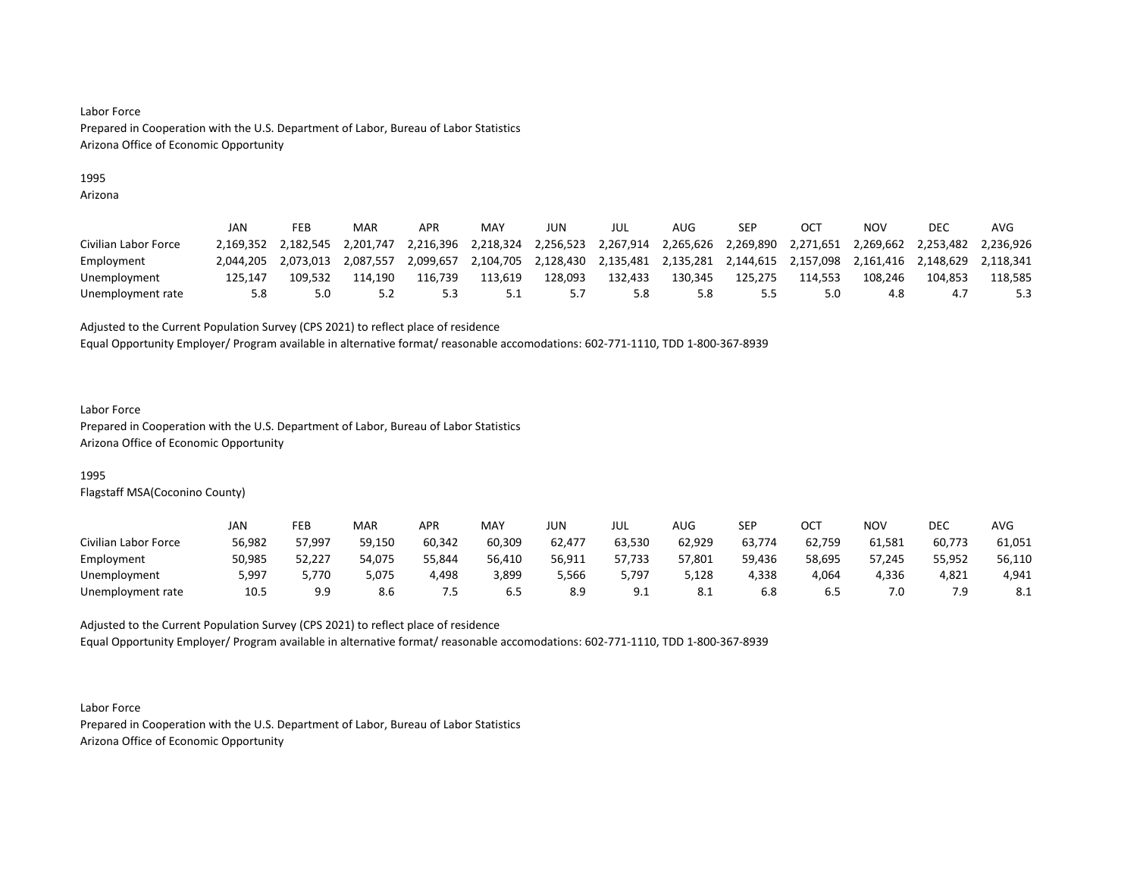## 1995

Arizona

|                      | JAN       | FEB       | MAR       | APR       | MAY       | JUN       | jul       | AUG     | SEP                             |           | NOV       | DEC       | AVG       |
|----------------------|-----------|-----------|-----------|-----------|-----------|-----------|-----------|---------|---------------------------------|-----------|-----------|-----------|-----------|
| Civilian Labor Force | 2.169.352 | 2.182.545 | 2.201.747 | 2.216.396 | 2.218.324 | 2,256,523 | 2,267,914 |         | 2,265,626 2,269,890             | 2,271,651 | 2,269,662 | 2.253.482 | 2.236.926 |
| Employment           | 2.044.205 | 2.073.013 | 2.087.557 | 2.099.657 | 2.104.705 | 2.128.430 | 2,135,481 |         | 2,135,281  2,144,615  2,157,098 |           | 2.161.416 | 2.148.629 | 2.118.341 |
| Unemployment         | 125.147   | 109.532   | 114.190   | 116.739   | 113,619   | L28,093   | 132,433   | 130.345 | 125,275                         | 114.553   | 108.246   | 104.853   | 118,585   |
| Unemployment rate    | 5.8       |           |           |           | 5.1       |           | 5.8       | 5.8     | כ.כ                             |           | 4.8       | 4. .      | 5.3       |

Adjusted to the Current Population Survey (CPS 2021) to reflect place of residence

Equal Opportunity Employer/ Program available in alternative format/ reasonable accomodations: 602-771-1110, TDD 1-800-367-8939

#### Labor Force

Prepared in Cooperation with the U.S. Department of Labor, Bureau of Labor Statistics Arizona Office of Economic Opportunity

## 1995

Flagstaff MSA(Coconino County)

|                      | JAN    | FEB    | <b>MAR</b> | APR    | <b>MAY</b> | JUN    | JUL        | AUG    | <b>SED</b><br>ᇰᄂᆝ | ост    | NOV    | DEC    | AVG        |
|----------------------|--------|--------|------------|--------|------------|--------|------------|--------|-------------------|--------|--------|--------|------------|
| Civilian Labor Force | 56,982 | 57,997 | 59,150     | 60,342 | 60,309     | 62,477 | 63,530     | 62,929 | 63,774            | 62,759 | 61,581 | 60,773 | 61,051     |
| Employment           | 50,985 | 52,227 | 54,075     | 55,844 | 56,410     | 56,911 | 57,733     | 57,801 | 59,436            | 58,695 | 57,245 | 55,952 | 56,110     |
| Unemployment         | 5,997  | 5,770  | 5,075      | 4,498  | 3,899      | 5,566  | 5,797      | 5,128  | 4,338             | 4,064  | 4,336  | 4,821  | 4,941      |
| Unemployment rate    | 10.5   | 9.9    | 8.6        | .5     | 6.5        | 8.9    | 9 1<br>し・エ | 8.1    | 6.8               |        | 7.0    | 7 Q    | <b>0.1</b> |

Adjusted to the Current Population Survey (CPS 2021) to reflect place of residence Equal Opportunity Employer/ Program available in alternative format/ reasonable accomodations: 602-771-1110, TDD 1-800-367-8939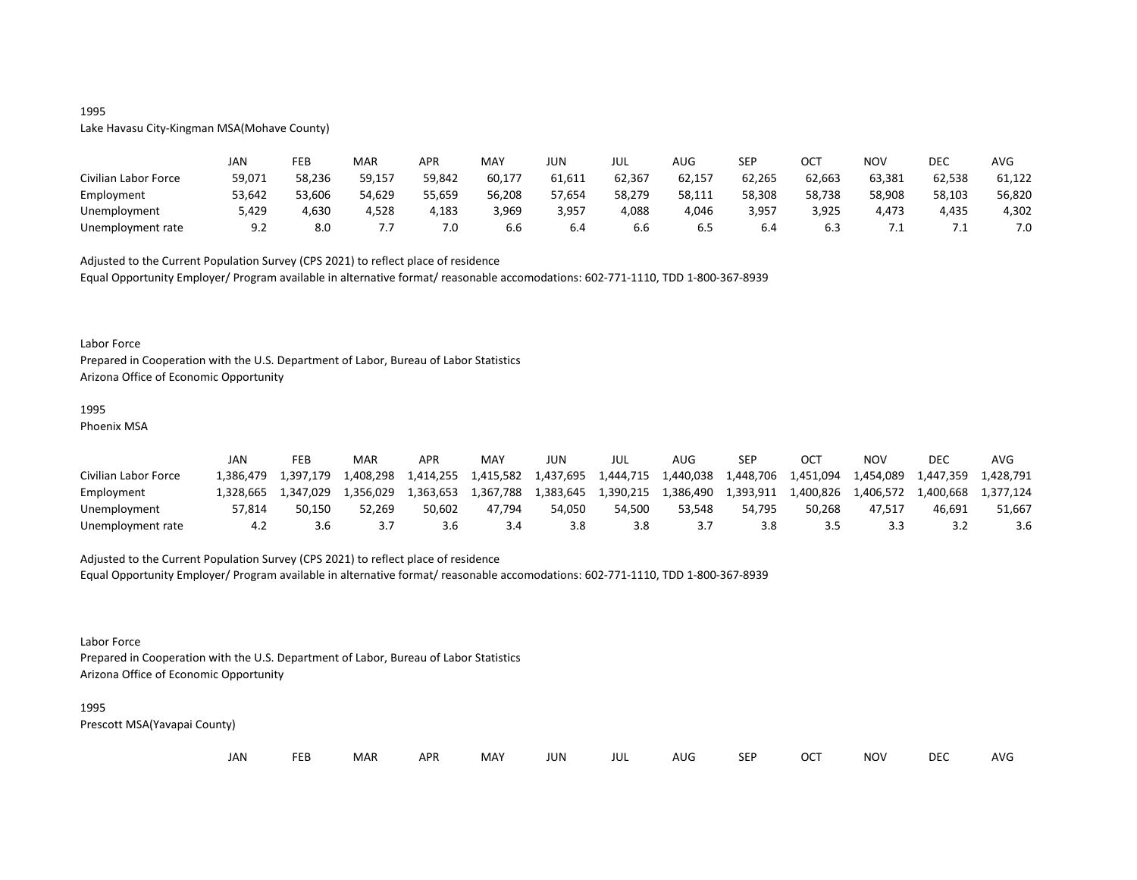## 1995

## Lake Havasu City-Kingman MSA(Mohave County)

|                      | <b>JAN</b> | <b>FEB</b> | MAR    | APR    | MAY    | JUN    | JUL    | AUG    | <b>SEP</b> | ост    | NOV    | DEC    | <b>AVG</b> |
|----------------------|------------|------------|--------|--------|--------|--------|--------|--------|------------|--------|--------|--------|------------|
| Civilian Labor Force | 59,071     | 58,236     | 59,157 | 59,842 | 60,177 | 61,611 | 62,367 | 62,157 | 62,265     | 62,663 | 63,381 | 62,538 | 61,122     |
| Employment           | 53,642     | 53,606     | 54,629 | 55,659 | 56,208 | 57,654 | 58,279 | 58,111 | 58,308     | 58,738 | 58,908 | 58,103 | 56,820     |
| Unemployment         | 5,429      | 4,630      | 4,528  | 4,183  | 3,969  | 3,957  | 4,088  | 4,046  | 3,957      | 3,925  | 4,473  | 4,435  | 4,302      |
| Unemployment rate    | 9.2        | 8.0        | ,,,    | 7.0    | 6.6    | b.4    | b.b    | 0.S    | 6.4        |        |        |        | 7.0        |

Adjusted to the Current Population Survey (CPS 2021) to reflect place of residence Equal Opportunity Employer/ Program available in alternative format/ reasonable accomodations: 602-771-1110, TDD 1-800-367-8939

#### Labor Force

Prepared in Cooperation with the U.S. Department of Labor, Bureau of Labor Statistics Arizona Office of Economic Opportunity

## 1995

Phoenix MSA

|                      | JAN       | FEB       | MAR       | APR       | MAY       | JUN       | JUL       | AUG                 | SEP       | OCT       | NOV       | DEC       | AVG       |
|----------------------|-----------|-----------|-----------|-----------|-----------|-----------|-----------|---------------------|-----------|-----------|-----------|-----------|-----------|
| Civilian Labor Force | 1.386.479 | 1.397.179 | 1,408,298 | 1,414,255 | 1,415,582 | 1,437,695 |           | 1,444,715 1,440,038 | 1,448,706 | 1,451,094 | 1,454,089 | 1,447,359 | 1.428.791 |
| Employment           | 1.328.665 | 1.347.029 | 1.356.029 | 1.363.653 | 1,367,788 | 1,383,645 | 1,390,215 | 1,386,490           | 1,393,911 | 1,400,826 |           |           |           |
| Unemployment         | 57.814    | 50.150    | 52.269    | 50.602    | 47.794    | 54.050    | 54.500    | 53.548              | 54.795    | 50.268    | 47.517    | 46.691    | 51.667    |
| Unemployment rate    |           | 3.6       |           |           | 3.4       |           | 3.8       |                     | 3.8       |           |           |           | 3.6       |

## Adjusted to the Current Population Survey (CPS 2021) to reflect place of residence

Equal Opportunity Employer/ Program available in alternative format/ reasonable accomodations: 602-771-1110, TDD 1-800-367-8939

#### Labor Force

Prepared in Cooperation with the U.S. Department of Labor, Bureau of Labor Statistics Arizona Office of Economic Opportunity

#### 1995

| JAN |  | <b>FEB</b> | MAR | <b>APR</b> | MAY | JUN | JUL | AUG | <b>SEP</b> | <b>OCT</b> | <b>NOV</b> | <b>DEC</b> | AVG |
|-----|--|------------|-----|------------|-----|-----|-----|-----|------------|------------|------------|------------|-----|
|-----|--|------------|-----|------------|-----|-----|-----|-----|------------|------------|------------|------------|-----|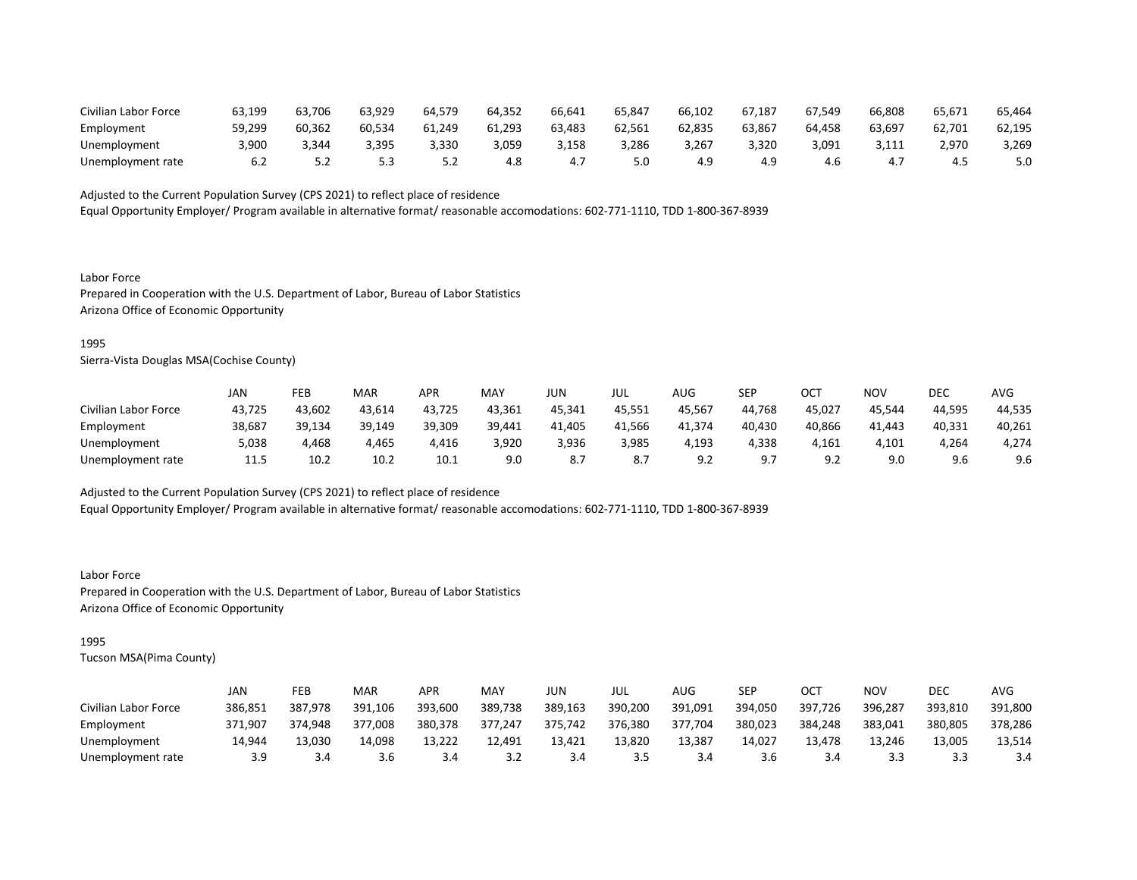| Civilian Labor Force | 63,199 | 63,706 | 63,929 | 64,579 | 64,352 | 66,641 | 65,847 | 66,102 | 67.187 | 67.549 | 66,808 | 65,671 | 65,464 |
|----------------------|--------|--------|--------|--------|--------|--------|--------|--------|--------|--------|--------|--------|--------|
| Employment           | 59.299 | 60.362 | 60,534 | 61,249 | 61,293 | 63,483 | 62,561 | 62.835 | 63.867 | 64.458 | 63,697 | 62,701 | 62,195 |
| Unemployment         | 3,900  | .344   | 3,395  | 3,330  | 3,059  | 3,158  | 3,286  | 3,267  | 3,320  | 3,091  | 3,111  | 2,970  | 3,269  |
| Unemployment rate    |        |        |        |        | 4.8    | 4.,    | 5.0    |        |        |        | 4.,    | -4.    | 5.0    |

Equal Opportunity Employer/ Program available in alternative format/ reasonable accomodations: 602-771-1110, TDD 1-800-367-8939

Labor Force Prepared in Cooperation with the U.S. Department of Labor, Bureau of Labor Statistics Arizona Office of Economic Opportunity

#### 1995

Sierra-Vista Douglas MSA(Cochise County)

|                      | JAN    | FEB    | <b>MAR</b> | APR    | MAY    | JUN    | JUL    | AUG             | <b>SEP</b>      | OCT            | NOV    | DEC    | AVG    |
|----------------------|--------|--------|------------|--------|--------|--------|--------|-----------------|-----------------|----------------|--------|--------|--------|
| Civilian Labor Force | 43,725 | 43,602 | 43,614     | 43,725 | 43,361 | 45,341 | 45,551 | 45,567          | 44,768          | 45,027         | 45,544 | 44,595 | 44,535 |
| Employment           | 38,687 | 39,134 | 39,149     | 39,309 | 39,441 | 41.405 | 41,566 | 41.374          | 40,430          | 40,866         | 41.443 | 40,331 | 40,261 |
| Unemployment         | 5,038  | 4,468  | 4,465      | 4,416  | 3,920  | 3,936  | 3,985  | 4,193           | 4,338           | 4,161          | 4,101  | 4,264  | 4,274  |
| Unemployment rate    | 11.5   | 10.2   | 10.2       | 10.1   | 9.0    | 8.7    | 8.7    | ر ۵<br><u>.</u> | 9 7<br><u>.</u> | ΩC<br><u>.</u> | 9.0    | 9.6    | 9.6    |

Adjusted to the Current Population Survey (CPS 2021) to reflect place of residence

Equal Opportunity Employer/ Program available in alternative format/ reasonable accomodations: 602-771-1110, TDD 1-800-367-8939

Labor Force Prepared in Cooperation with the U.S. Department of Labor, Bureau of Labor Statistics Arizona Office of Economic Opportunity

## 1995

|                      | JAN     | FEB     | <b>MAR</b> | APR           | MAY     | JUN     | JUL     | AUG     | <b>SEP</b> | OCT     | NOV     | DEC     | AVG     |
|----------------------|---------|---------|------------|---------------|---------|---------|---------|---------|------------|---------|---------|---------|---------|
| Civilian Labor Force | 386,851 | 387.978 | 391,106    | 393,600       | 389,738 | 389,163 | 390,200 | 391,091 | 394,050    | 397,726 | 396,287 | 393,810 | 391,800 |
| Employment           | 371,907 | 374.948 | 377,008    | 380,378       | 377,247 | 375,742 | 376,380 | 377,704 | 380,023    | 384,248 | 383,041 | 380,805 | 378,286 |
| Unemployment         | 14.944  | 13.030  | 14.098     | 13,222        | 12.491  | 13.421  | 13,820  | 13,387  | 14.027     | 13,478  | 13.246  | 13,005  | 13.514  |
| Unemployment rate    | 3.9     | 3.4     | 3.6        | $3.4^{\circ}$ | 3.2     | 3.4     | 3.5     | 3.4     | 3.6        | 3.4     | 3.3     |         | 3.4     |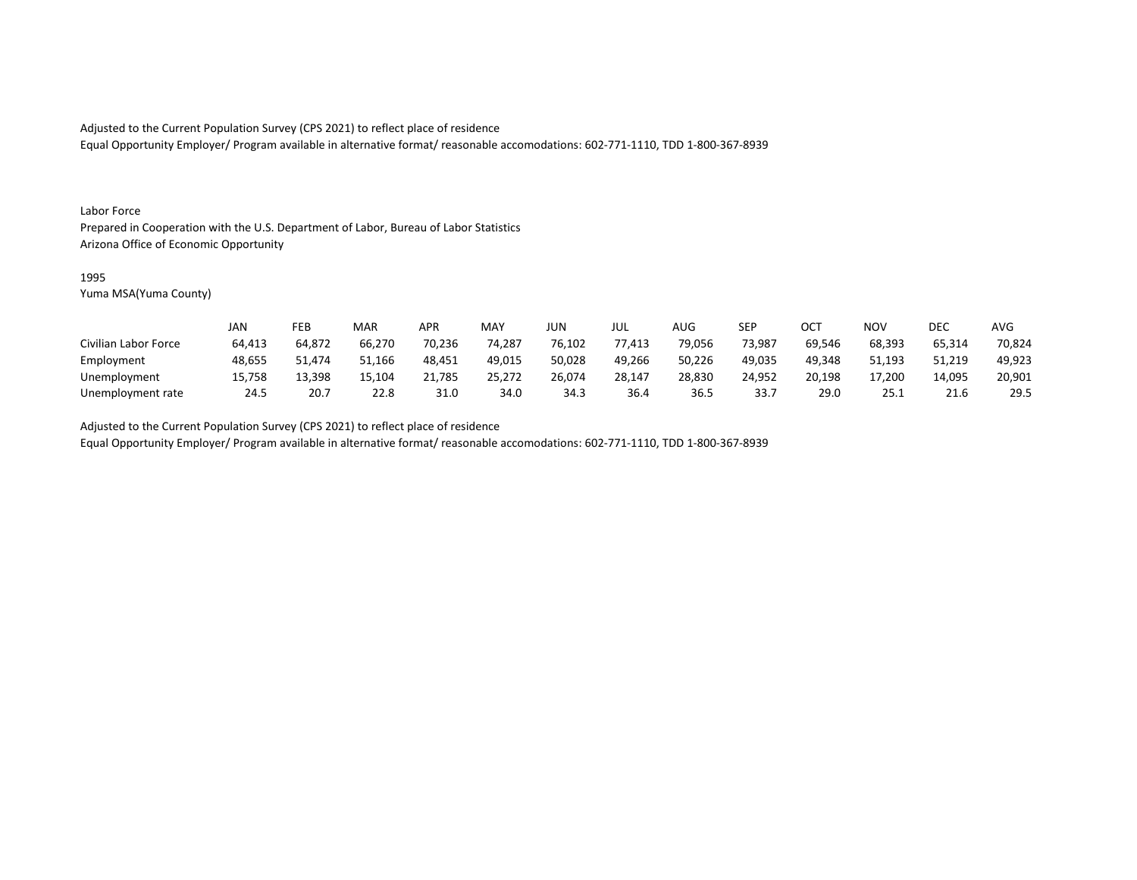Equal Opportunity Employer/ Program available in alternative format/ reasonable accomodations: 602-771-1110, TDD 1-800-367-8939

#### Labor Force

Prepared in Cooperation with the U.S. Department of Labor, Bureau of Labor Statistics Arizona Office of Economic Opportunity

#### 1995

Yuma MSA(Yuma County)

|                      | JAN    | FEB    | MAR    | APR    | <b>MAY</b> | <b>JUN</b> | JUL    | <b>AUG</b> | <b>SEP</b> | ОСТ    | <b>NOV</b> | <b>DEC</b> | <b>AVG</b> |
|----------------------|--------|--------|--------|--------|------------|------------|--------|------------|------------|--------|------------|------------|------------|
| Civilian Labor Force | 64,413 | 64,872 | 66,270 | 70,236 | 74,287     | 76,102     | 77,413 | 79,056     | 73,987     | 69,546 | 68,393     | 65,314     | 70,824     |
| Employment           | 48,655 | 51.474 | 51,166 | 48,451 | 49,015     | 50,028     | 49,266 | 50,226     | 49.035     | 49.348 | 51,193     | 51,219     | 49,923     |
| Unemployment         | 15,758 | 13,398 | 15,104 | 21,785 | 25,272     | 26,074     | 28,147 | 28,830     | 24,952     | 20,198 | 17,200     | 14,095     | 20,901     |
| Unemployment rate    | 24.5   | 20.7   | 22.8   | 31.0   | 34.0       | 34.3       | 36.4   | 36.5       | 33.7       | 29.0   | 25.1       | 21.6       | 29.5       |

Adjusted to the Current Population Survey (CPS 2021) to reflect place of residence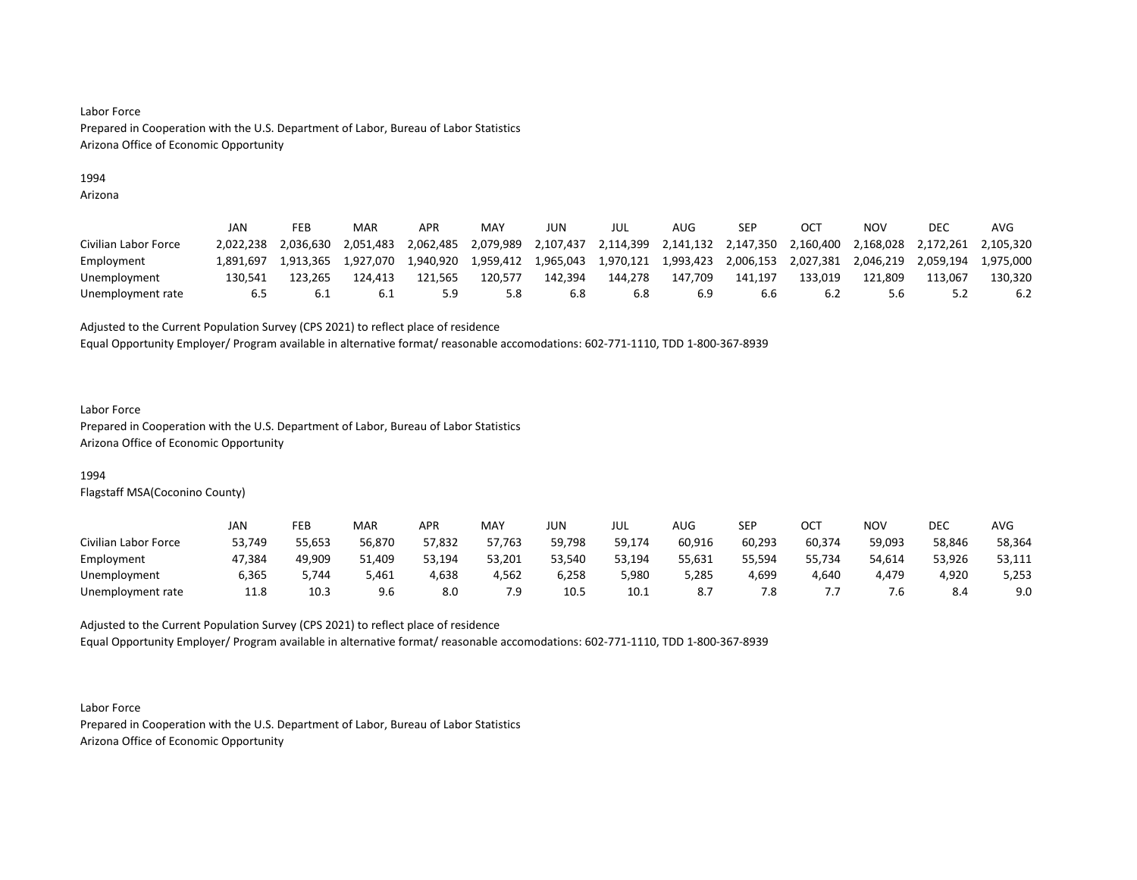## 1994

Arizona

|                      | JAN       | FEB       | MAR       | APR       | MAY       | JUN       | jul       | AUG                 | SEP       |           | NOV       | DEC       | AVG       |
|----------------------|-----------|-----------|-----------|-----------|-----------|-----------|-----------|---------------------|-----------|-----------|-----------|-----------|-----------|
| Civilian Labor Force | 2.022.238 | 2.036.630 | 2.051.483 | 2,062,485 | 2,079,989 | 2,107,437 | 2,114,399 | 2,141,132 2,147,350 |           | 2,160,400 | 2,168,028 | 2,172,261 | 2,105,320 |
| Employment           | 1.891.697 | 1.913.365 | 1,927,070 | 1,940,920 | 1,959,412 | 1,965,043 | 1,970,121 | 1,993,423           | 2,006,153 | 2,027,381 | 2,046,219 | 2,059,194 | 1.975.000 |
| Unemployment         | 130.541   | L23.265   | 124.413   | 121.565   | 120,577   | 142.394   | 144.278   | 147.709             | 141.197   | 133.019   | 121.809   | 113.067   | 130.320   |
| Unemployment rate    | 6.5       |           |           |           | 5.8       | 6.8       | 6.8       |                     | b.b       | b.∠       | 5.6       |           | 6.2       |

Adjusted to the Current Population Survey (CPS 2021) to reflect place of residence

Equal Opportunity Employer/ Program available in alternative format/ reasonable accomodations: 602-771-1110, TDD 1-800-367-8939

#### Labor Force

Prepared in Cooperation with the U.S. Department of Labor, Bureau of Labor Statistics Arizona Office of Economic Opportunity

## 1994

Flagstaff MSA(Coconino County)

|                      | JAN    | FEB    | <b>MAR</b> | APR    | <b>MAY</b> | JUN    | JUL    | AUG    | SEP    | ост    | NOV    | DEC    | AVG    |
|----------------------|--------|--------|------------|--------|------------|--------|--------|--------|--------|--------|--------|--------|--------|
| Civilian Labor Force | 53,749 | 55,653 | 56,870     | 57,832 | 57,763     | 59,798 | 59,174 | 60,916 | 60,293 | 60,374 | 59,093 | 58,846 | 58,364 |
| Employment           | 47,384 | 49,909 | 1,409د     | 53,194 | 53,201     | 53,540 | 53,194 | 55,631 | 55,594 | 55,734 | 54,614 | 53,926 | 53,111 |
| Unemployment         | 6,365  | -744.د | 5,461      | 4,638  | 4,562      | 6,258  | 5,980  | 5,285  | 4,699  | 4,640  | 4,479  | 4,920  | 5,253  |
| Unemployment rate    | 11.8   | 10.3   | 9.6        | 8.0    | 7.9        | 10.5   | 10.1   |        | 7.8    |        | ' .ხ   | 8.4    | 9.0    |

Adjusted to the Current Population Survey (CPS 2021) to reflect place of residence Equal Opportunity Employer/ Program available in alternative format/ reasonable accomodations: 602-771-1110, TDD 1-800-367-8939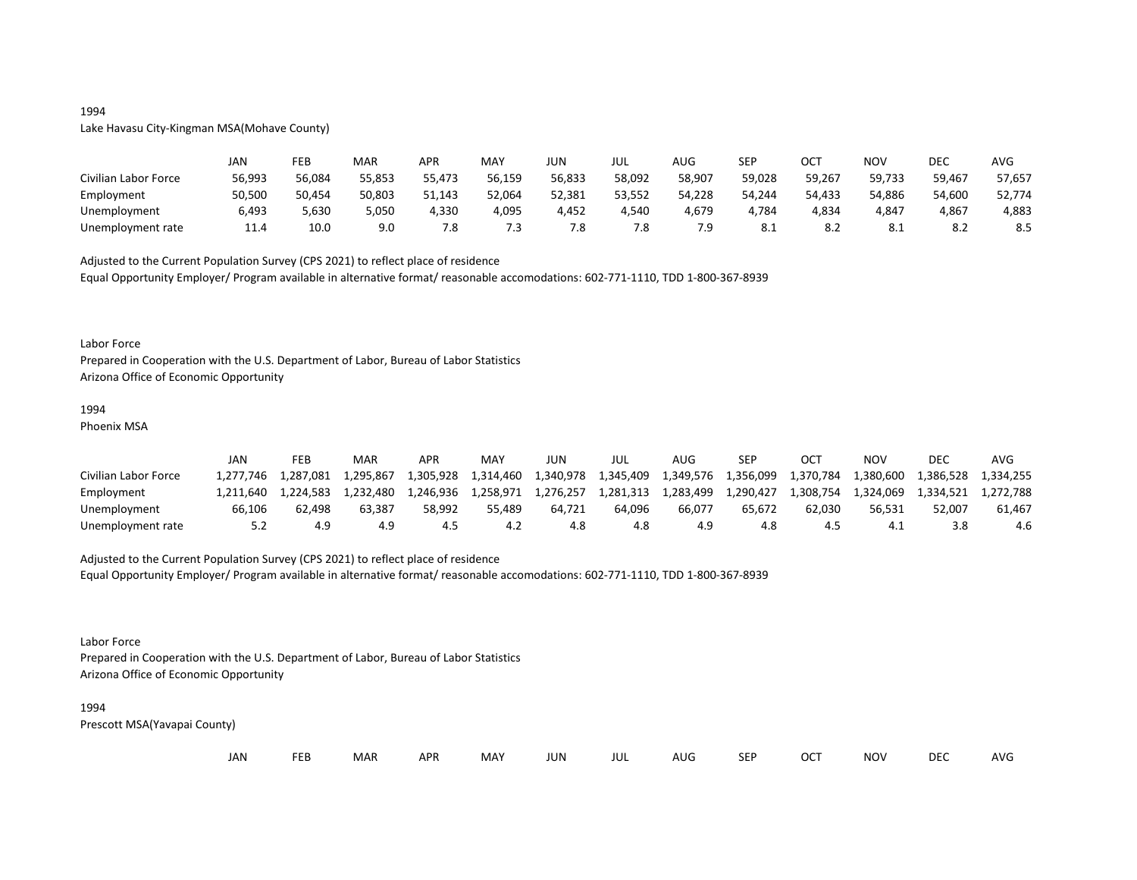## 1994

## Lake Havasu City-Kingman MSA(Mohave County)

|                      | JAN    | FEB    | MAR    | <b>APR</b> | <b>MAY</b> | JUN    | JUL    | AUG    | <b>SEP</b> | ОСТ    | <b>NOV</b> | <b>DEC</b> | <b>AVG</b> |
|----------------------|--------|--------|--------|------------|------------|--------|--------|--------|------------|--------|------------|------------|------------|
| Civilian Labor Force | 56,993 | 56,084 | 55,853 | 55,473     | 56,159     | 56,833 | 58,092 | 58,907 | 59,028     | 59,267 | 59,733     | 59,467     | 57,657     |
| Employment           | 50,500 | 50,454 | 50,803 | 51,143     | 52,064     | 52,381 | 53,552 | 54,228 | 54,244     | 54,433 | 54,886     | 54,600     | 52,774     |
| Unemployment         | 6,493  | 5,630  | 5,050  | 4,330      | 4,095      | 4,452  | 4,540  | 4,679  | 4,784      | 4,834  | 4,847      | 4,867      | 4,883      |
| Unemployment rate    | 11.4   | 10.0   | 9.0    | 7.8        | 7.3        | 7.8    | 7.8    | 7.9    | 8.1        |        | O. L       | റ<br>o.z   | 8.5        |

Adjusted to the Current Population Survey (CPS 2021) to reflect place of residence

Equal Opportunity Employer/ Program available in alternative format/ reasonable accomodations: 602-771-1110, TDD 1-800-367-8939

#### Labor Force

Prepared in Cooperation with the U.S. Department of Labor, Bureau of Labor Statistics Arizona Office of Economic Opportunity

#### 1994

Phoenix MSA

|                      | JAN       | FEB       | MAR       | APR       | MAY       | JUN       | JUL       | AUG       | <b>SEP</b>          | OC <sup>7</sup> | NOV                 | DEC       | AVG       |
|----------------------|-----------|-----------|-----------|-----------|-----------|-----------|-----------|-----------|---------------------|-----------------|---------------------|-----------|-----------|
| Civilian Labor Force | 1.277.746 | 1.287.081 | 1,295,867 | 1,305,928 | 1,314,460 | 1,340,978 | 1,345,409 |           | 1,349,576 1,356,099 | 1,370,784       | 1,380,600 $\degree$ | 1,386,528 | 1.334.255 |
| Employment           | 1.211.640 | 1.224.583 | 1.232.480 | 1.246.936 | 1.258.971 | 1.276.257 | 1,281,313 | 1,283,499 | 1,290,427           | 1,308,754       | 1.324.069           | 1.334.521 | 1.272.788 |
| Unemployment         | 66.106    | 62.498    | 63.387    | 58.992    | 55.489    | 64.721    | 64.096    | 66.077    | 65.672              | 62.030          | 56.531              | 52.007    | 61.467    |
| Unemployment rate    | 5.2       | 4.9       | 4.9       |           | 4.2       | 4.8       | 4.8       |           |                     |                 | 4.1                 |           | 4.6       |

## Adjusted to the Current Population Survey (CPS 2021) to reflect place of residence

Equal Opportunity Employer/ Program available in alternative format/ reasonable accomodations: 602-771-1110, TDD 1-800-367-8939

#### Labor Force

Prepared in Cooperation with the U.S. Department of Labor, Bureau of Labor Statistics Arizona Office of Economic Opportunity

#### 1994

| JAN<br><b>FEB</b><br><b>OCT</b><br>MAR<br>MAY<br><b>APR</b><br><b>NOV</b><br>JUN<br><b>SEP</b><br>AUG<br>jul |  |  |  |  |  |  |  |  |  |  |  | <b>DEC</b> | <b>AVG</b> |
|--------------------------------------------------------------------------------------------------------------|--|--|--|--|--|--|--|--|--|--|--|------------|------------|
|--------------------------------------------------------------------------------------------------------------|--|--|--|--|--|--|--|--|--|--|--|------------|------------|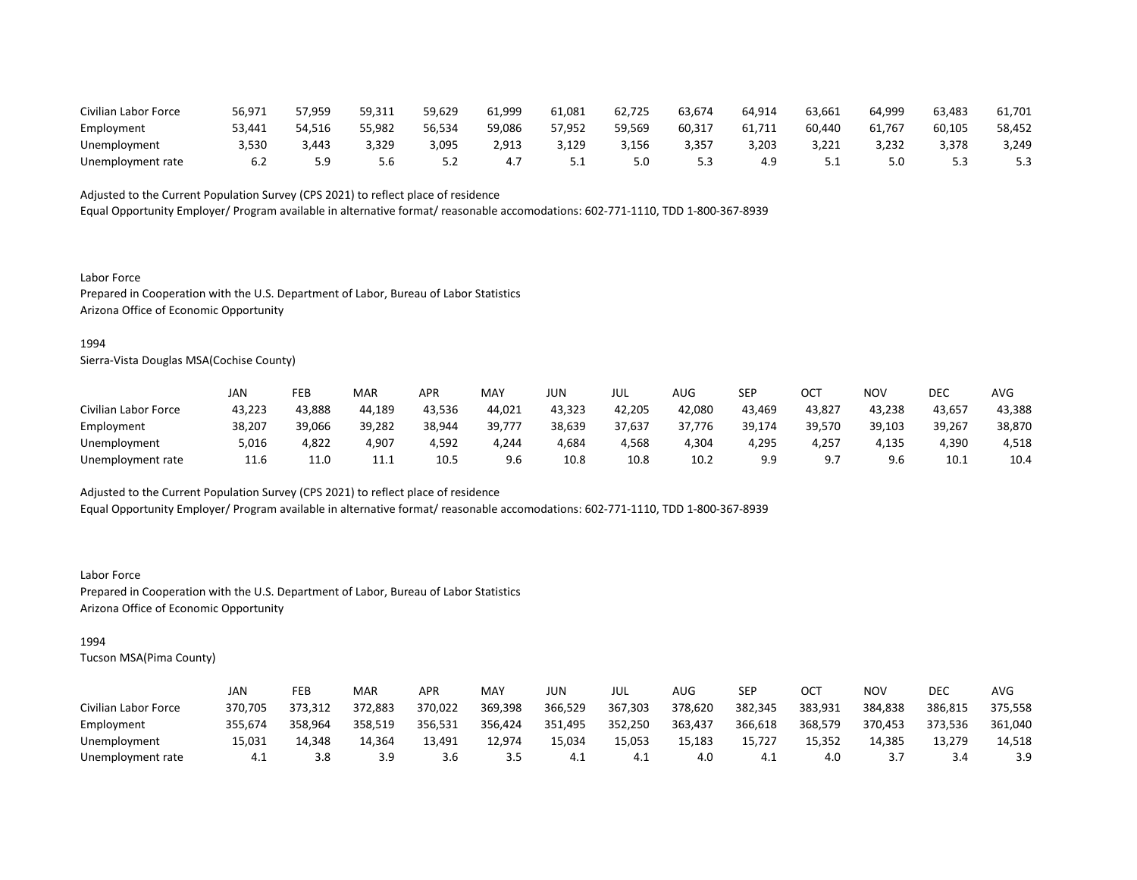| Civilian Labor Force | 56,971 | 57,959 | 59,311 | 59,629 | 61,999 | 61,081 | 62,725 | 63,674 | 64,914 | 63,661 | 64,999 | 63,483 | 61,701 |
|----------------------|--------|--------|--------|--------|--------|--------|--------|--------|--------|--------|--------|--------|--------|
| Employment           | 53,441 | 54,516 | 55,982 | 56,534 | 59,086 | 57.952 | 59,569 | 60,31  | 61,711 | 60,440 | 61,767 | 60,105 | 58,452 |
| Unemployment         | 3,530  | 3.443  | 3,329  | 3,095  | 2,913  | 129ء   | 3,156  | 3,357  | 3,203  | 3,221  | 3,232  | 3,378  | 3,249  |
| Unemployment rate    |        |        |        |        | 4.7    |        | 5.0    |        | 4.9    |        | 5.0    |        | 5.3    |

Equal Opportunity Employer/ Program available in alternative format/ reasonable accomodations: 602-771-1110, TDD 1-800-367-8939

Labor Force Prepared in Cooperation with the U.S. Department of Labor, Bureau of Labor Statistics Arizona Office of Economic Opportunity

#### 1994

Sierra-Vista Douglas MSA(Cochise County)

|                      | JAN    | FEB    | <b>MAR</b> | APR    | MAY    | JUN    | JUL    | AUG    | SEP    | OCT    | NOV    | DEC    | <b>AVG</b> |
|----------------------|--------|--------|------------|--------|--------|--------|--------|--------|--------|--------|--------|--------|------------|
| Civilian Labor Force | 43,223 | 43,888 | 44,189     | 43,536 | 44,021 | 43,323 | 42,205 | 42,080 | 43,469 | 43,827 | 43,238 | 43,657 | 43,388     |
| Employment           | 38,207 | 39,066 | 39,282     | 38,944 | 39,777 | 38,639 | 37,637 | 37,776 | 39,174 | 39,570 | 39,103 | 39,267 | 38,870     |
| Unemployment         | 5,016  | 4,822  | 4,907      | 4,592  | 4,244  | 4,684  | 4,568  | 4,304  | 4,295  | 4,257  | 4,135  | 4,390  | 4,518      |
| Unemployment rate    | 11.6   | 11.0   | 11.1       | 10.5   | 9.6    | 10.8   | 10.8   | 10.2   | 9.9    | Q 7    | 9.6    | 10.1   | 10.4       |

Adjusted to the Current Population Survey (CPS 2021) to reflect place of residence

Equal Opportunity Employer/ Program available in alternative format/ reasonable accomodations: 602-771-1110, TDD 1-800-367-8939

Labor Force Prepared in Cooperation with the U.S. Department of Labor, Bureau of Labor Statistics Arizona Office of Economic Opportunity

## 1994

|                      | JAN     | FEB     | <b>MAR</b> | APR     | MAY     | JUN     | JUL     | AUG     | SEP     | ОСТ     | NOV     | DEC     | AVG     |
|----------------------|---------|---------|------------|---------|---------|---------|---------|---------|---------|---------|---------|---------|---------|
| Civilian Labor Force | 370.705 | 373.312 | 372.883    | 370.022 | 369,398 | 366,529 | 367,303 | 378,620 | 382,345 | 383,931 | 384,838 | 386,815 | 375,558 |
| Employment           | 355,674 | 358,964 | 358,519    | 356,531 | 356,424 | 351,495 | 352,250 | 363,437 | 366,618 | 368,579 | 370,453 | 373,536 | 361,040 |
| Unemployment         | 15.031  | 14.348  | 14.364     | 13.491  | 12.974  | 15.034  | 15,053  | 15.183  | 15.727  | 15,352  | 14.385  | 13.279  | 14,518  |
| Unemployment rate    | 4.1     | 3.8     | 3.9        | 3.6     | 3.5     | 4.⊥     | 4.1     | 4.0     | 4.1     | 4.0     |         | 3.4     | 3.9     |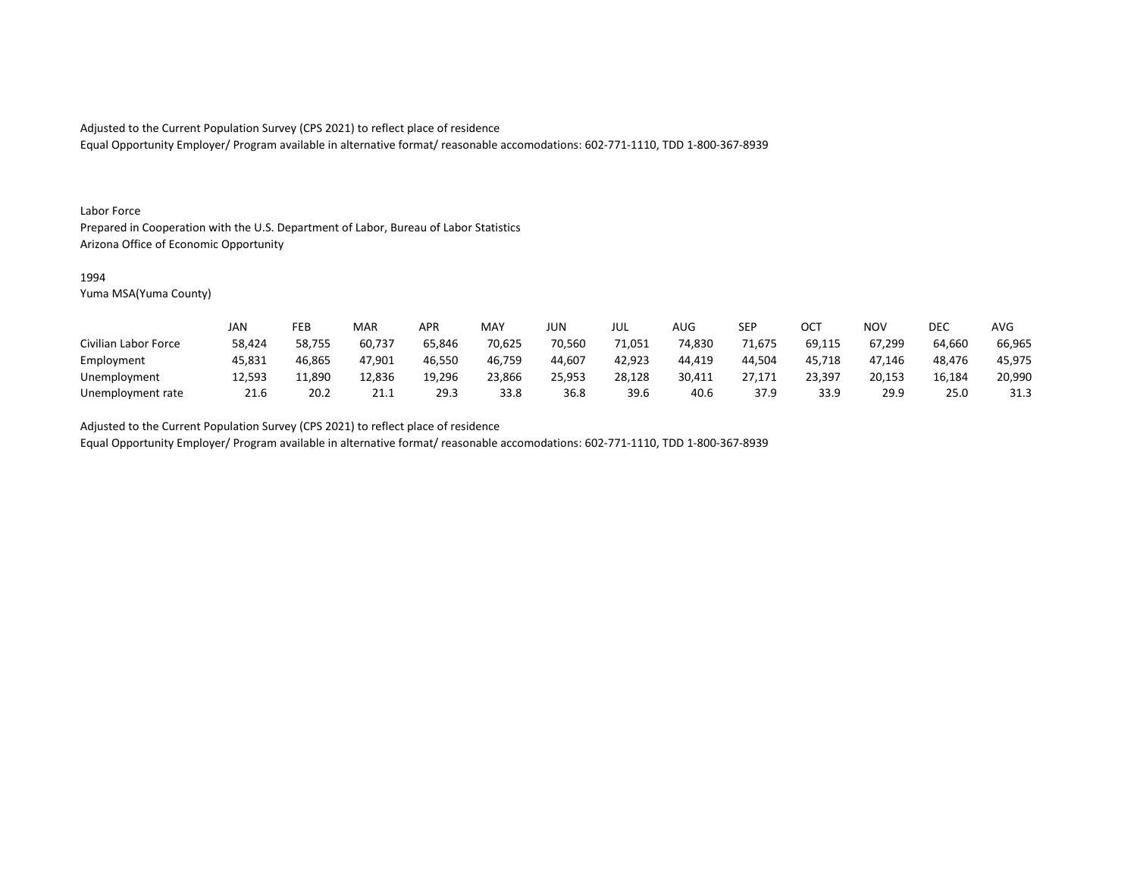Equal Opportunity Employer/ Program available in alternative format/ reasonable accomodations: 602-771-1110, TDD 1-800-367-8939

#### Labor Force

Prepared in Cooperation with the U.S. Department of Labor, Bureau of Labor Statistics Arizona Office of Economic Opportunity

#### 1994

Yuma MSA(Yuma County)

|                      | JAN    | FEB    | MAR    | APR    | <b>MAY</b> | <b>JUN</b> | JUL    | <b>AUG</b> | <b>SEP</b> | ОСТ    | <b>NOV</b> | DEC    | <b>AVG</b> |
|----------------------|--------|--------|--------|--------|------------|------------|--------|------------|------------|--------|------------|--------|------------|
| Civilian Labor Force | 58,424 | 58,755 | 60,737 | 65,846 | 70,625     | 70,560     | 71,051 | 74,830     | 71,675     | 69,115 | 67,299     | 64,660 | 66,965     |
| Employment           | 45,831 | 46,865 | 47,901 | 46,550 | 46,759     | 44,607     | 42,923 | 44.419     | 44.504     | 45,718 | 47.146     | 48.476 | 45,975     |
| Unemployment         | 12,593 | 11,890 | 12,836 | 19,296 | 23,866     | 25,953     | 28,128 | 30,411     | 27.171     | 23,397 | 20,153     | 16,184 | 20,990     |
| Unemployment rate    | 21.6   | 20.2   | 21.1   | 29.3   | 33.8       | 36.8       | 39.6   | -40.6      | 37.9       | 33.9   | 29.9       | 25.0   | 31.3       |

Adjusted to the Current Population Survey (CPS 2021) to reflect place of residence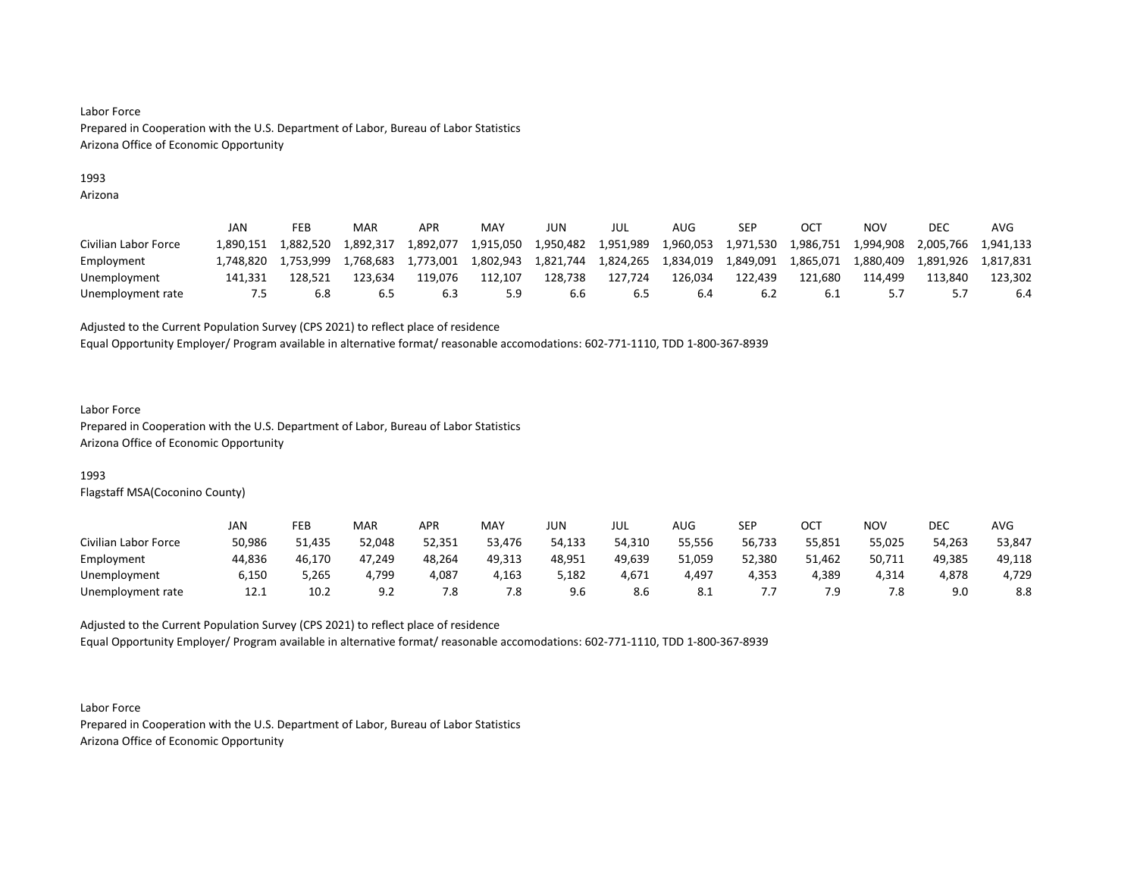## 1993

Arizona

|                      | JAN       | FEB       | <b>MAR</b> | APR       | MAY       | JUN       | JUL       | AUG       | SEP       | <b>OCT</b> | NOV       | DEC       | AVG       |
|----------------------|-----------|-----------|------------|-----------|-----------|-----------|-----------|-----------|-----------|------------|-----------|-----------|-----------|
| Civilian Labor Force | 1.890.151 | 1.882.520 | 1.892.317  | 1.892.077 | 1,915,050 | 1,950,482 | 1,951,989 | 1,960,053 | 1,971,530 | 1,986,751  | 1.994.908 | 2,005,766 | 1.941.133 |
| Employment           | 1.748.820 | 1.753.999 | 1,768,683  | 1,773,001 | 1,802,943 | 1,821,744 | 1,824,265 | 1,834,019 | 1,849,091 | 1,865,071  | 1,880,409 | 1,891,926 | 1.817.831 |
| Unemployment         | 141.331   | 128.521   | 123.634    | 119.076   | 112.107   | 128.738   | 127,724   | 126.034   | 122.439   | 121.680    | 114.499   | 113.840   | 123.302   |
| Unemployment rate    | כ. '      | 6.8       | 6.5        |           | 5.9       | b.b       | 6.5       |           | 6.2       | b.⊥        |           |           | 6.4       |

Adjusted to the Current Population Survey (CPS 2021) to reflect place of residence

Equal Opportunity Employer/ Program available in alternative format/ reasonable accomodations: 602-771-1110, TDD 1-800-367-8939

#### Labor Force

Prepared in Cooperation with the U.S. Department of Labor, Bureau of Labor Statistics Arizona Office of Economic Opportunity

## 1993

Flagstaff MSA(Coconino County)

|                      | JAN    | FEB    | <b>MAR</b> | APR    | MAY    | JUN    | JUL    | AUG    | SEP    | ост    | NOV    | DEC    | AVG    |
|----------------------|--------|--------|------------|--------|--------|--------|--------|--------|--------|--------|--------|--------|--------|
| Civilian Labor Force | 50,986 | 51,435 | 52.048     | 52,351 | 53,476 | 54,133 | 54,310 | 55,556 | 56,733 | 55,851 | 55,025 | 54,263 | 53,847 |
| Employment           | 44,836 | 46,170 | 47,249     | 48,264 | 49,313 | 48,951 | 49,639 | 51,059 | 52,380 | 51,462 | 50,711 | 49,385 | 49,118 |
| Unemployment         | 6,150  | 5,265  | 4,799      | 4,087  | 4,163  | 5,182  | 4,671  | 4,497  | 4,353  | 4,389  | 4,314  | 4,878  | 4,729  |
| Unemployment rate    | 12.1   | 10.2   | 9.2        | 7.8    | 7.8    | 9.6    | 8.6    | 8.1    |        |        | 7.8    | 9.0    | 8.8    |

Adjusted to the Current Population Survey (CPS 2021) to reflect place of residence Equal Opportunity Employer/ Program available in alternative format/ reasonable accomodations: 602-771-1110, TDD 1-800-367-8939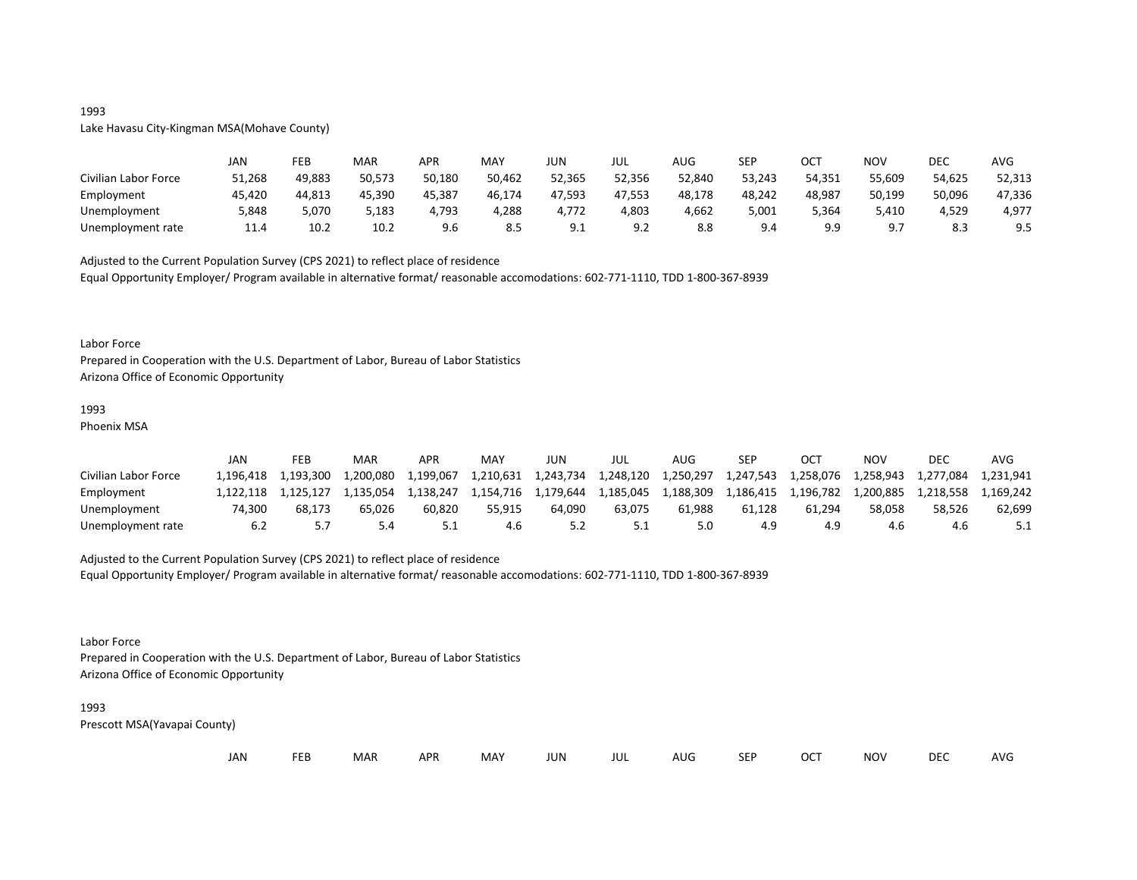## 1993

## Lake Havasu City-Kingman MSA(Mohave County)

|                      | JAN    | FEB    | MAR    | APR    | MAY    | JUN             | JUL             | <b>AUG</b> | <b>SEP</b> | ост        | <b>NOV</b>  | <b>DEC</b> | <b>AVG</b> |
|----------------------|--------|--------|--------|--------|--------|-----------------|-----------------|------------|------------|------------|-------------|------------|------------|
| Civilian Labor Force | 51,268 | 49,883 | 50,573 | 50,180 | 50,462 | 52,365          | 52,356          | 52,840     | 53,243     | 54,351     | 55,609      | 54,625     | 52,313     |
| Employment           | 45,420 | 44,813 | 45,390 | 45,387 | 46,174 | 47,593          | 47.553          | 48,178     | 48,242     | 48,987     | 50.199      | 50,096     | 47,336     |
| Unemployment         | 5,848  | 5,070  | 5,183  | 4.793  | 4,288  | 4,772           | 4,803           | 4,662      | 5.001      | 5,364      | 5,410       | 4,529      | 4,977      |
| Unemployment rate    | 11.4   | 10.2   | 10.2   | 9.6    | 8.5    | Q 1<br><u>.</u> | Q 7<br><u>.</u> | 8.8        | 9.4        | q q<br>- - | $Q \bar{z}$ | οc<br>د.ه  | 9.5        |

Adjusted to the Current Population Survey (CPS 2021) to reflect place of residence Equal Opportunity Employer/ Program available in alternative format/ reasonable accomodations: 602-771-1110, TDD 1-800-367-8939

#### Labor Force

Prepared in Cooperation with the U.S. Department of Labor, Bureau of Labor Statistics Arizona Office of Economic Opportunity

## 1993

Phoenix MSA

|                      | JAN      | FEB       | MAR       | APR       | MAY       | JUN       | JUL       | <b>AUG</b> | SEP       | ост       | NOV       | DEC       | AVG       |
|----------------------|----------|-----------|-----------|-----------|-----------|-----------|-----------|------------|-----------|-----------|-----------|-----------|-----------|
| Civilian Labor Force | .196.418 | 1.193.300 | 1.200.080 | 1.199.067 | 1,210,631 | 1.243.734 | 1.248.120 | 1,250,297  | 1,247,543 | 1.258.076 | 1.258.943 | 1.277.084 | 1.231.941 |
| Employment           | .122.118 | 1.125.127 | 1,135,054 | 1,138,247 | 1,154,716 | 1.179.644 | 1,185,045 | 1,188,309  | 1,186,415 | 1,196,782 | 1,200,885 | 1.218.558 | 1,169,242 |
| Unemployment         | 74.300   | 68.173    | 65.026    | 60.820    | 55.915    | 64.090    | 63.075    | 61.988     | 61.128    | 61.294    | 58.058    | 58.526    | 62,699    |
| Unemployment rate    | 6.2      |           | 5.4       |           | 4.6       |           | 5.1       |            | 4.9       | 4.9       | 4.6       | 4.0       |           |

#### Adjusted to the Current Population Survey (CPS 2021) to reflect place of residence

Equal Opportunity Employer/ Program available in alternative format/ reasonable accomodations: 602-771-1110, TDD 1-800-367-8939

#### Labor Force

Prepared in Cooperation with the U.S. Department of Labor, Bureau of Labor Statistics Arizona Office of Economic Opportunity

#### 1993

| JAN<br><b>FEB</b><br><b>OCT</b><br>MAR<br>MAY<br><b>APR</b><br><b>NOV</b><br>JUN<br><b>SEP</b><br>AUG<br>jul |  |  |  |  |  |  |  |  |  |  |  | <b>DEC</b> | <b>AVG</b> |
|--------------------------------------------------------------------------------------------------------------|--|--|--|--|--|--|--|--|--|--|--|------------|------------|
|--------------------------------------------------------------------------------------------------------------|--|--|--|--|--|--|--|--|--|--|--|------------|------------|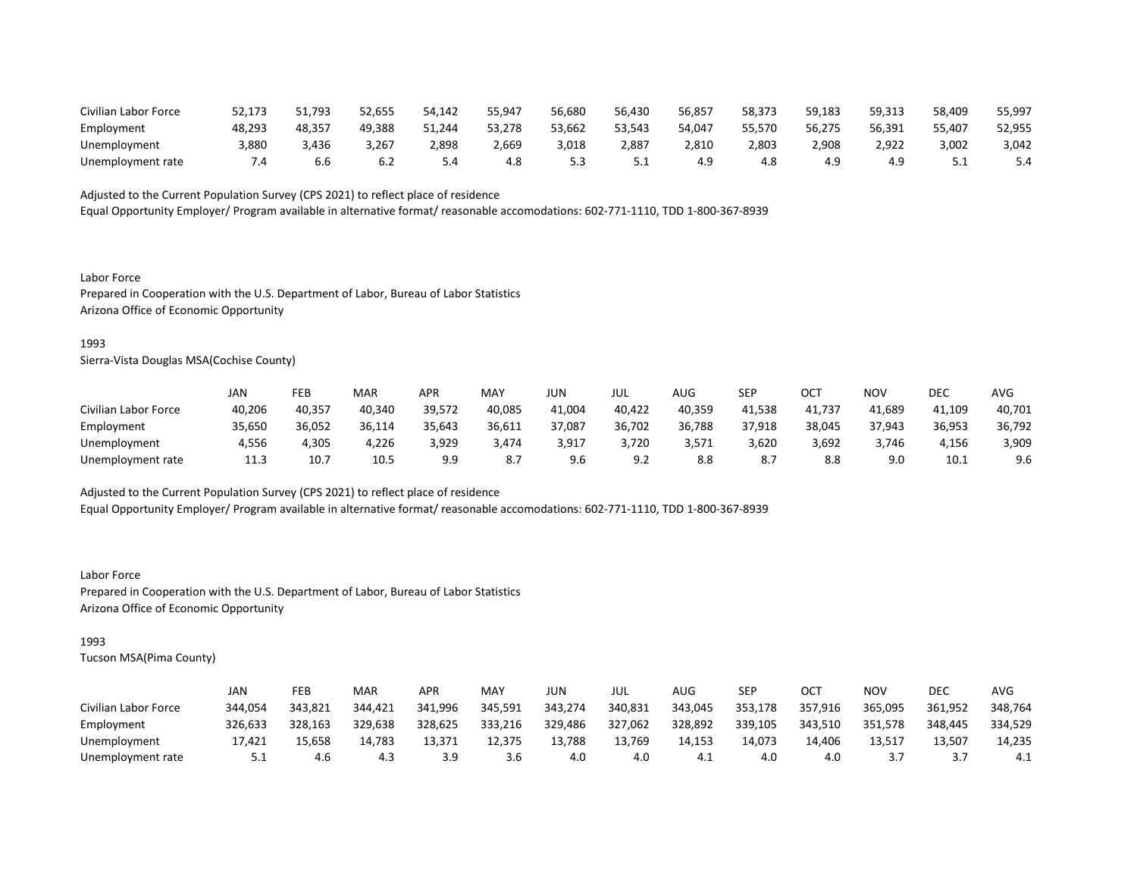| Civilian Labor Force | 52,173 | 51,793 | 52,655 | 54,142 | 55,947 | 56,680 | 56,430   | 56,857 | 58,373 | 59,183 | 59,313 | 58,409 | 55,997 |
|----------------------|--------|--------|--------|--------|--------|--------|----------|--------|--------|--------|--------|--------|--------|
| Employment           | 48.293 | 48.357 | 49.388 | 51.244 | 53,278 | 53,662 | 53,543   | 54,047 | 55,570 | 56,275 | 56,391 | 55,407 | 52,955 |
| Unemployment         | 3,880  | ,436   | 3,267  | 2,898  | 2,669  | 3,018  | 2,887    | 2,810  | 2,803  | 908,י  | 2,922  | 3,002  | 3,042  |
| Unemployment rate    |        |        |        |        | 4.8    |        | <u>.</u> |        | 4.8    | 4.9    | 4.9    |        | 5.4    |

Equal Opportunity Employer/ Program available in alternative format/ reasonable accomodations: 602-771-1110, TDD 1-800-367-8939

Labor Force Prepared in Cooperation with the U.S. Department of Labor, Bureau of Labor Statistics Arizona Office of Economic Opportunity

#### 1993

Sierra-Vista Douglas MSA(Cochise County)

|                      | JAN    | FEB    | <b>MAR</b> | APR    | <b>MAY</b> | JUN    | JUL    | AUG    | SEP    | OCT    | NOV    | DEC    | <b>AVG</b> |
|----------------------|--------|--------|------------|--------|------------|--------|--------|--------|--------|--------|--------|--------|------------|
| Civilian Labor Force | 40,206 | 40,357 | 40,340     | 39,572 | 40,085     | 41,004 | 40,422 | 40,359 | 41,538 | 41,737 | 41,689 | 41,109 | 40,701     |
| Employment           | 35,650 | 36,052 | 36,114     | 35,643 | 36,611     | 37,087 | 36,702 | 36,788 | 37,918 | 38,045 | 37,943 | 36,953 | 36,792     |
| Unemployment         | 4,556  | 4,305  | 4,226      | 3,929  | 3,474      | 3,917  | 3,720  | 3,571  | 3,620  | 3,692  | 3,746  | 4,156  | 3,909      |
| Unemployment rate    | 11.3   | 10.7   | 10.5       | 9.9    | 8.7        | 9.6    | 9.2    | 8.8    | 8.7    | 8.8    | 9.0    | 10.1   | 9.6        |

Adjusted to the Current Population Survey (CPS 2021) to reflect place of residence

Equal Opportunity Employer/ Program available in alternative format/ reasonable accomodations: 602-771-1110, TDD 1-800-367-8939

Labor Force Prepared in Cooperation with the U.S. Department of Labor, Bureau of Labor Statistics Arizona Office of Economic Opportunity

## 1993

|                      | JAN      | FEB     | <b>MAR</b> | APR     | MAY     | JUN     | JUL     | AUG     | SEP     | ОСТ     | NOV     | DEC     | AVG     |
|----------------------|----------|---------|------------|---------|---------|---------|---------|---------|---------|---------|---------|---------|---------|
| Civilian Labor Force | 344.054  | 343.821 | 344.421    | 341.996 | 345,591 | 343.274 | 340,831 | 343.045 | 353,178 | 357,916 | 365,095 | 361,952 | 348,764 |
| Employment           | 326,633  | 328,163 | 329,638    | 328,625 | 333,216 | 329,486 | 327,062 | 328,892 | 339,105 | 343.510 | 351,578 | 348.445 | 334,529 |
| Unemployment         | 17.421   | 15.658  | 14.783     | 13.371  | 12.375  | 13,788  | 13,769  | 14.153  | 14.073  | 14.406  | 13.517  | 13,507  | 14,235  |
| Unemployment rate    | <u>.</u> | 4.6     | 4.3        | 3.9     | 3.6     | 4.0     | 4.0     | 4.⊥     | 4.0     | 4.0     |         |         | 4.1     |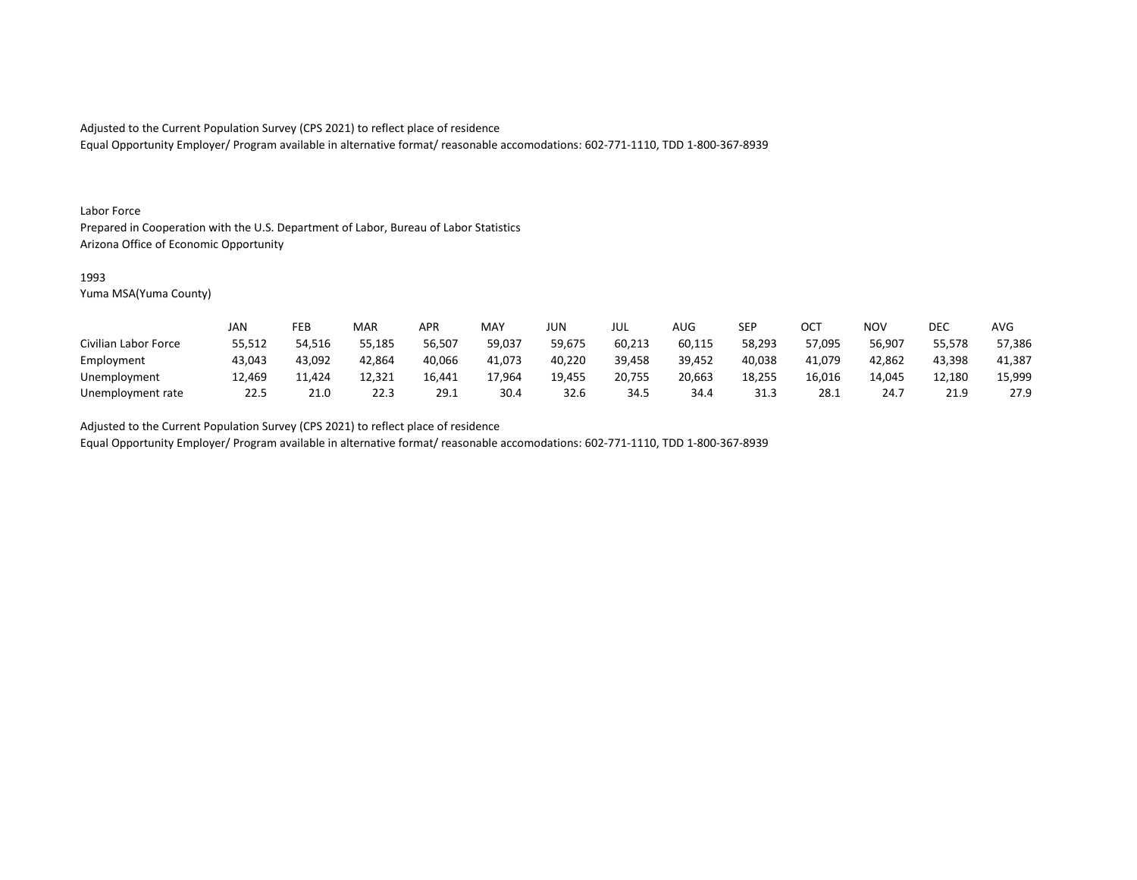Equal Opportunity Employer/ Program available in alternative format/ reasonable accomodations: 602-771-1110, TDD 1-800-367-8939

#### Labor Force

Prepared in Cooperation with the U.S. Department of Labor, Bureau of Labor Statistics Arizona Office of Economic Opportunity

#### 1993

Yuma MSA(Yuma County)

|                      | JAN    | FEB    | MAR    | APR    | <b>MAY</b> | <b>JUN</b> | JUL    | <b>AUG</b> | <b>SEP</b> | ОСТ    | NOV    | DEC         | <b>AVG</b> |
|----------------------|--------|--------|--------|--------|------------|------------|--------|------------|------------|--------|--------|-------------|------------|
| Civilian Labor Force | 55,512 | 54,516 | 55,185 | 56,507 | 59,037     | 59,675     | 60,213 | 60,115     | 58,293     | 57,095 | 56,907 | 55,578      | 57,386     |
| Employment           | 43,043 | 43,092 | 42,864 | 40,066 | 41.073     | 40,220     | 39,458 | 39,452     | 40,038     | 41,079 | 42,862 | 43,398      | 41,387     |
| Unemployment         | 12,469 | 11,424 | 12,321 | 16.441 | 17,964     | 19,455     | 20,755 | 20,663     | 18,255     | 16,016 | 14.045 | 12,180      | 15,999     |
| Unemployment rate    | 22.5   | 21.0   | 22.3   | 29.1   | 30.4       | 32.6       | 34.5   | 34.4       | 31.3       | 28.1   | 24.7   | <u>າາ ດ</u> | 27.9       |

Adjusted to the Current Population Survey (CPS 2021) to reflect place of residence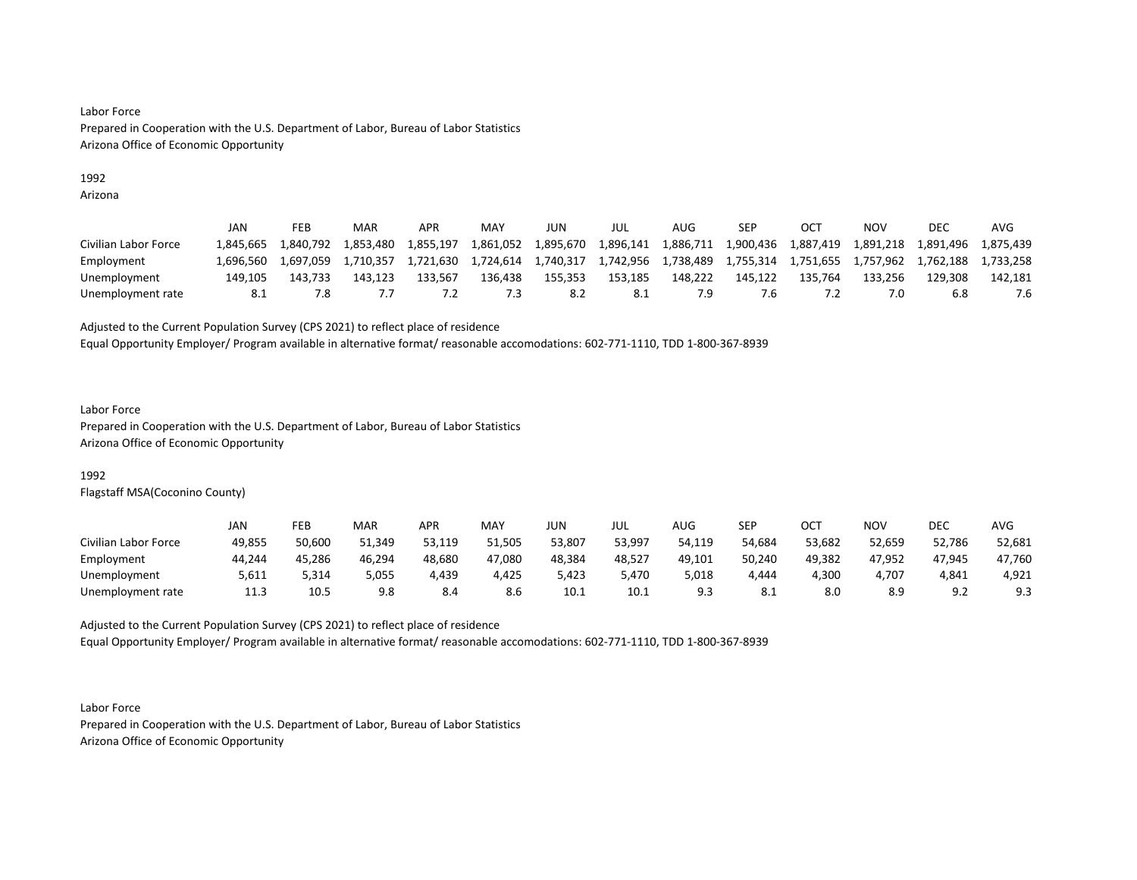## 1992

Arizona

|                      | JAN       | FEB       | <b>MAR</b> | APR       | MAY       | JUN       | JUL       | AUG       | SEP       | OC1       | NOV       | DEC       | AVG       |
|----------------------|-----------|-----------|------------|-----------|-----------|-----------|-----------|-----------|-----------|-----------|-----------|-----------|-----------|
| Civilian Labor Force | 1.845.665 | 1.840.792 | 1.853.480  | 1,855,197 | 1,861,052 | 1,895,670 | 1,896,141 | 1,886,711 | 1,900,436 | 1,887,419 | 1,891,218 | 1,891,496 | 1.875.439 |
| Employment           | 1.696.560 | 1.697.059 | 1.710.357  | 1.721.630 | 1,724,614 | 1,740,317 | 1,742,956 | 1,738,489 | 1,755,314 | 1,751,655 | 1,757,962 | 1,762,188 | 1.733.258 |
| Unemployment         | 149.105   | 143.733   | 143.123    | 133.567   | 136.438   | 155.353   | 153,185   | 148.222   | 145.122   | 135.764   | 133.256   | 129.308   | 142.181   |
| Unemployment rate    |           | 7.8       |            |           | .3        | 8.2       | -8.1      |           | .b        |           |           | 6.8       |           |

Adjusted to the Current Population Survey (CPS 2021) to reflect place of residence

Equal Opportunity Employer/ Program available in alternative format/ reasonable accomodations: 602-771-1110, TDD 1-800-367-8939

#### Labor Force

Prepared in Cooperation with the U.S. Department of Labor, Bureau of Labor Statistics Arizona Office of Economic Opportunity

## 1992

Flagstaff MSA(Coconino County)

|                      | JAN    | FEB    | MAR    | APR    | MAY    | JUN    | JUL    | <b>AUG</b> | <b>SEP</b> | ост    | <b>NOV</b> | <b>DEC</b>             | <b>AVG</b> |
|----------------------|--------|--------|--------|--------|--------|--------|--------|------------|------------|--------|------------|------------------------|------------|
| Civilian Labor Force | 49,855 | 50,600 | 51,349 | 53,119 | 51,505 | 53,807 | 53,997 | 54,119     | 54,684     | 53,682 | 52,659     | 52,786                 | 52,681     |
| Employment           | 44,244 | 45,286 | 46,294 | 48,680 | 47,080 | 48,384 | 48,527 | 49,101     | 50,240     | 49,382 | 47,952     | 47,945                 | 47,760     |
| Unemployment         | 5,611  | 5,314  | 5,055  | 4,439  | 4,425  | 423,د  | 5,470  | 5,018      | 4,444      | 4,300  | 4,707      | 4,841                  | 4,921      |
| Unemployment rate    | 11.3   | 10.5   | 9.8    | 8.4    | 8.6    | 10.1   | 10.1   | <u></u>    | O.L        | 8.0    | 8.9        | $\alpha$ ?<br><u>.</u> | 9.3        |

Adjusted to the Current Population Survey (CPS 2021) to reflect place of residence Equal Opportunity Employer/ Program available in alternative format/ reasonable accomodations: 602-771-1110, TDD 1-800-367-8939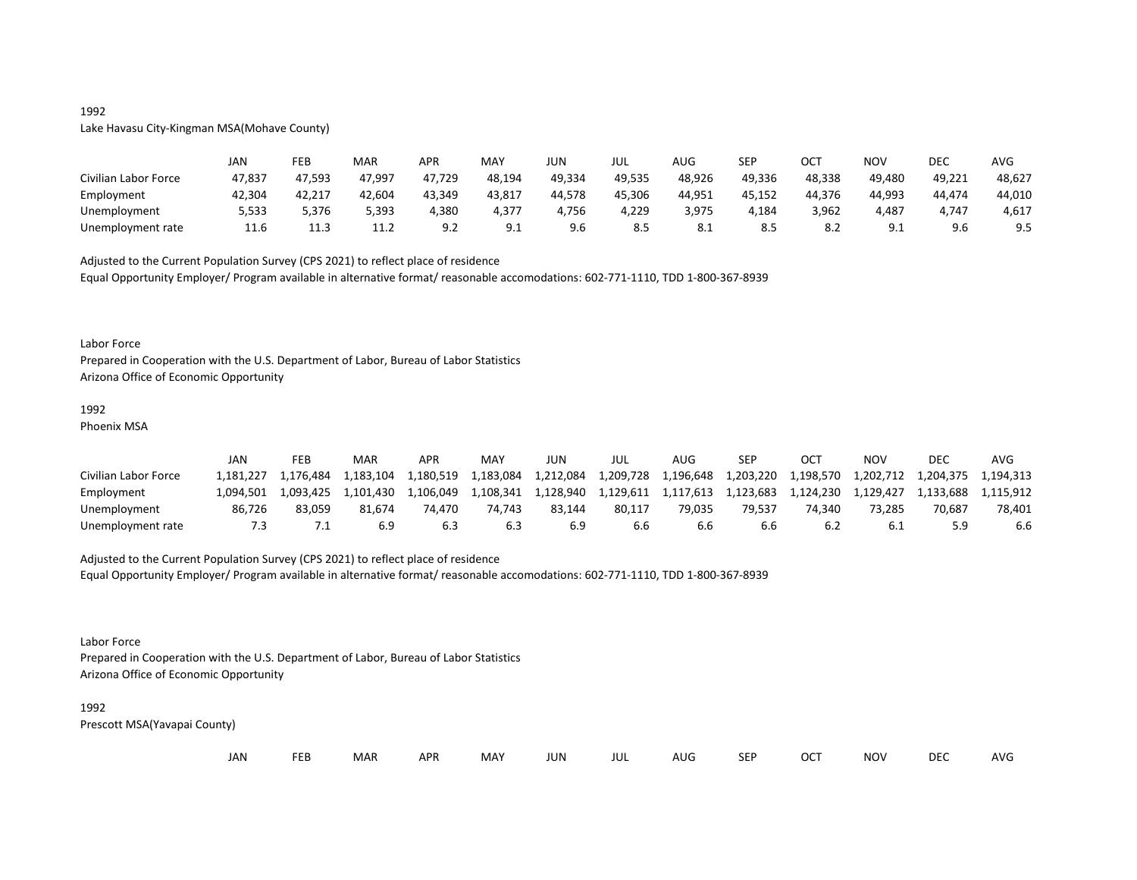## 1992 Lake Havasu City-Kingman MSA(Mohave County)

|                      | JAN    | FEB             | MAR    | APR    | MAY    | JUN    | JUL    | AUG        | <b>SEP</b> | ост    | <b>NOV</b>      | DEC        | AVG    |
|----------------------|--------|-----------------|--------|--------|--------|--------|--------|------------|------------|--------|-----------------|------------|--------|
| Civilian Labor Force | 47,837 | 47,593          | 47,997 | 47,729 | 48,194 | 49,334 | 49,535 | 48,926     | 49,336     | 48,338 | 49,480          | 49,221     | 48,627 |
| Employment           | 42,304 | 42,217          | 42,604 | 43,349 | 43,817 | 44,578 | 45,306 | 44,951     | 45,152     | 44,376 | 44.993          | 44,474     | 44,010 |
| Unemployment         | 5,533  | 5,376           | 5,393  | 4,380  | 4,377  | 4,756  | 4,229  | 3,975      | 4,184      | 3,962  | 4,487           | 1,747<br>– | 4,617  |
| Unemployment rate    | 11.6   | .<br>. <u>.</u> | 11.2   |        | 9.1    | 9.6    | 8.5    | <b>8.1</b> | 8.5        |        | ∩ ′<br><u>.</u> | 9.6        | 9.5    |

Adjusted to the Current Population Survey (CPS 2021) to reflect place of residence Equal Opportunity Employer/ Program available in alternative format/ reasonable accomodations: 602-771-1110, TDD 1-800-367-8939

#### Labor Force

Prepared in Cooperation with the U.S. Department of Labor, Bureau of Labor Statistics Arizona Office of Economic Opportunity

# 1992

Phoenix MSA

|                      | JAN       | FEB       | MAR       | APR       | MAY       | JUN       | JUL       | AUG       | SEP       | OCT       | NOV                           | DEC       | AVG       |
|----------------------|-----------|-----------|-----------|-----------|-----------|-----------|-----------|-----------|-----------|-----------|-------------------------------|-----------|-----------|
| Civilian Labor Force | 1.181.227 | 1.176.484 | 1.183.104 | 1,180,519 | 1,183,084 | 1,212,084 | 1,209,728 | 1,196,648 | 1,203,220 | 1,198,570 | 1,202,712 1,204,375 1,194,313 |           |           |
| Employment           | 1.094.501 | 1.093.425 | 1.101.430 | 1.106.049 | 1.108.341 | 1,128,940 | 1.129.611 | 1,117,613 | 1,123,683 | 1,124,230 | 1.129.427                     | 1.133.688 | 1.115.912 |
| Unemployment         | 86.726    | 83.059    | 81.674    | 74.470    | 74.743    | 83.144    | 80.117    | 79.035    | 79.537    | 74.340    | 73.285                        | 70.687    | 78.401    |
| Unemployment rate    |           |           | 6.9       | 6.3       | 6.3       |           | 6.6       | b.b       | b.b       |           |                               |           | 6.6       |

#### Adjusted to the Current Population Survey (CPS 2021) to reflect place of residence

Equal Opportunity Employer/ Program available in alternative format/ reasonable accomodations: 602-771-1110, TDD 1-800-367-8939

#### Labor Force

Prepared in Cooperation with the U.S. Department of Labor, Bureau of Labor Statistics Arizona Office of Economic Opportunity

#### 1992

| JAN |  | <b>FEB</b> | MAR | <b>APR</b> | MAY | JUN | JUL | AUG | <b>SEP</b> | <b>OCT</b> | <b>NOV</b> | <b>DEC</b> | AVG |
|-----|--|------------|-----|------------|-----|-----|-----|-----|------------|------------|------------|------------|-----|
|-----|--|------------|-----|------------|-----|-----|-----|-----|------------|------------|------------|------------|-----|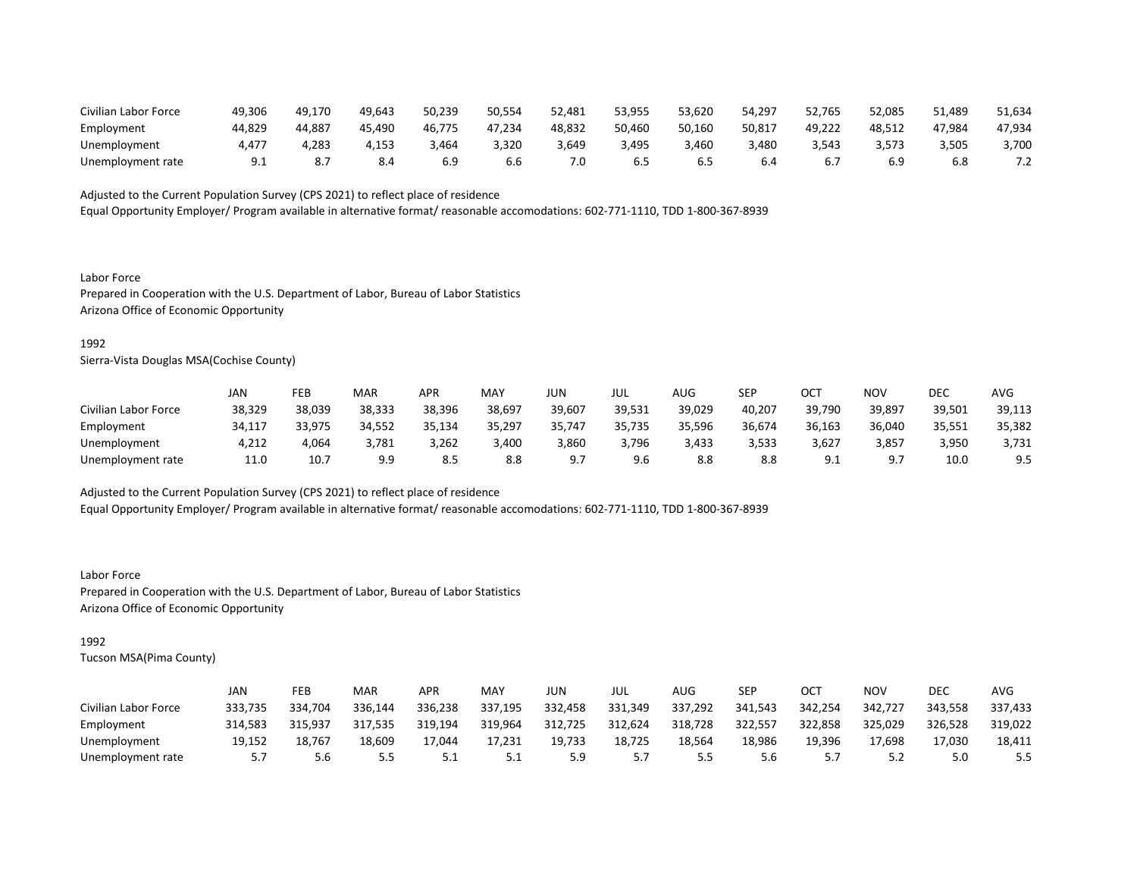| Civilian Labor Force | 49,306 | 49.170 | 49,643 | 50,239 | 50,554 | 52.481 | 53,955 | 53.620 | 54.297 | 52,765 | 52,085 | 51.489 | 51,634 |
|----------------------|--------|--------|--------|--------|--------|--------|--------|--------|--------|--------|--------|--------|--------|
| Employment           | 44.829 | 44.887 | 45.490 | 46,775 | 47.234 | 48,832 | 50,460 | 50,160 | 50,817 | 49.222 | 48.512 | 47,984 | 47,934 |
| Unemployment         | 4,477  | 283,   | 4,153  | 3,464  | 3,320  | 1,649  | 3,495  | 3,460  | 3,480  | 3.543  | 3,573  | 3,505  | 3,700  |
| Unemployment rate    |        |        | 8.4    |        | b.b    | 7.0    |        |        | 6.4    |        | 6.9    |        | 7.4    |

Equal Opportunity Employer/ Program available in alternative format/ reasonable accomodations: 602-771-1110, TDD 1-800-367-8939

Labor Force Prepared in Cooperation with the U.S. Department of Labor, Bureau of Labor Statistics Arizona Office of Economic Opportunity

#### 1992

Sierra-Vista Douglas MSA(Cochise County)

|                      | JAN    | FEB    | <b>MAR</b> | APR    | <b>MAY</b> | JUN    | JUL    | AUG    | SEP    | OCT             | NOV                         | DEC    | <b>AVG</b> |
|----------------------|--------|--------|------------|--------|------------|--------|--------|--------|--------|-----------------|-----------------------------|--------|------------|
| Civilian Labor Force | 38,329 | 38,039 | 38,333     | 38,396 | 38,697     | 39,607 | 39,531 | 39,029 | 40,207 | 39,790          | 39,897                      | 39,501 | 39,113     |
| Employment           | 34,117 | 33.975 | 34.552     | 35,134 | 35,297     | 35,747 | 35,735 | 35,596 | 36,674 | 36,163          | 36,040                      | 35,551 | 35,382     |
| Unemployment         | 4,212  | 4,064  | 3,781      | 3,262  | 3,400      | 3,860  | 3,796  | 3,433  | 3,533  | 3,627           | 3,857                       | 3,950  | 3,731      |
| Unemployment rate    | 11.0   | 10.7   | 9.9        | 8.5    | 8.8        | Q 7    | 9.6    | 8.8    | 8.8    | ، ۵<br><u>.</u> | Q <sub>7</sub><br><u>.,</u> | 10.0   | 9.5        |

Adjusted to the Current Population Survey (CPS 2021) to reflect place of residence

Equal Opportunity Employer/ Program available in alternative format/ reasonable accomodations: 602-771-1110, TDD 1-800-367-8939

Labor Force Prepared in Cooperation with the U.S. Department of Labor, Bureau of Labor Statistics Arizona Office of Economic Opportunity

## 1992

|                      | JAN     | FEB     | MAR     | APR     | MAY     | JUN     | JUL     | AUG.    | SEP     | ост     | NOV     | DEC     | <b>AVG</b> |
|----------------------|---------|---------|---------|---------|---------|---------|---------|---------|---------|---------|---------|---------|------------|
| Civilian Labor Force | 333,735 | 334,704 | 336,144 | 336,238 | 337,195 | 332,458 | 331,349 | 337,292 | 341,543 | 342,254 | 342,727 | 343,558 | 337,433    |
| Employment           | 314.583 | 315.937 | 317.535 | 319.194 | 319.964 | 312,725 | 312,624 | 318,728 | 322,557 | 322,858 | 325,029 | 326,528 | 319,022    |
| Unemployment         | 19,152  | 18,767  | 18,609  | 17.044  | 17,231  | 19,733  | 18,725  | 18,564  | 18,986  | 19,396  | 17,698  | 17,030  | 18,411     |
| Unemployment rate    | 57      | 5.6     | ל.ל     | ـ . ـ   |         |         | .       |         | 5.6     |         | ے . ۔   | 5.0     | 5.5        |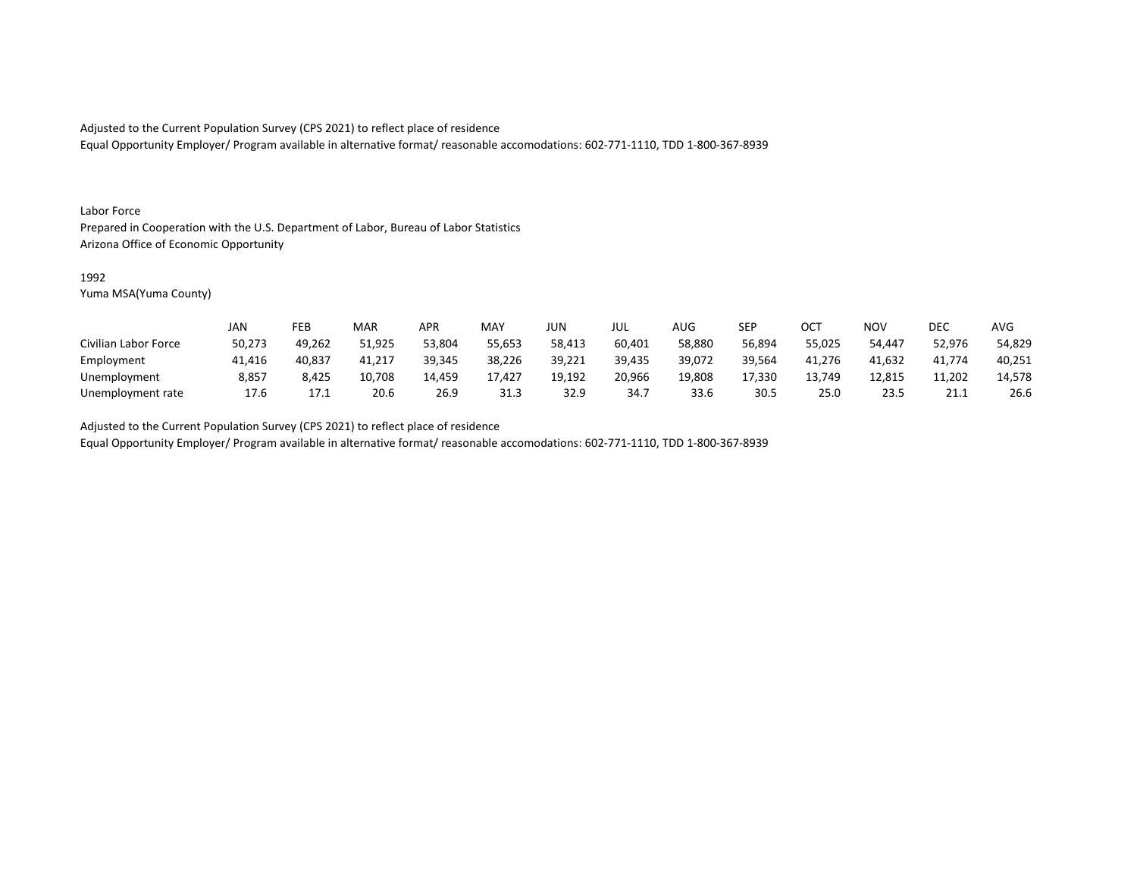Equal Opportunity Employer/ Program available in alternative format/ reasonable accomodations: 602-771-1110, TDD 1-800-367-8939

#### Labor Force

Prepared in Cooperation with the U.S. Department of Labor, Bureau of Labor Statistics Arizona Office of Economic Opportunity

#### 1992

Yuma MSA(Yuma County)

|                      | JAN    | FEB    | MAR    | APR    | <b>MAY</b> | JUN    | JUL    | AUG    | <b>SEP</b> | ∩∩⊤<br>◡◡ | NOV    | DEC            | <b>AVG</b> |
|----------------------|--------|--------|--------|--------|------------|--------|--------|--------|------------|-----------|--------|----------------|------------|
| Civilian Labor Force | 50,273 | 49,262 | 51,925 | 53,804 | 55,653     | 58,413 | 60,401 | 58,880 | 56,894     | 55,025    | 54.447 | 52,976         | 54,829     |
| Employment           | 41,416 | 40,837 | 41,217 | 39,345 | 38,226     | 39,221 | 39,435 | 39,072 | 39,564     | 41,276    | 41,632 | 41,774         | 40,251     |
| Unemployment         | 8,857  | 8,425  | 10,708 | 14,459 | 17,427     | 19,192 | 20,966 | 19,808 | 17,330     | 13,749    | 12,815 | 11,202         | 14,578     |
| Unemployment rate    | 17.6   | 17     | 20.6   | 26.9   | 31.3       | 32.9   | 34.7   | 33.6   | 30.5       | 25.C      | 23.5   | 211<br>ـ . ـ . | 26.6       |

Adjusted to the Current Population Survey (CPS 2021) to reflect place of residence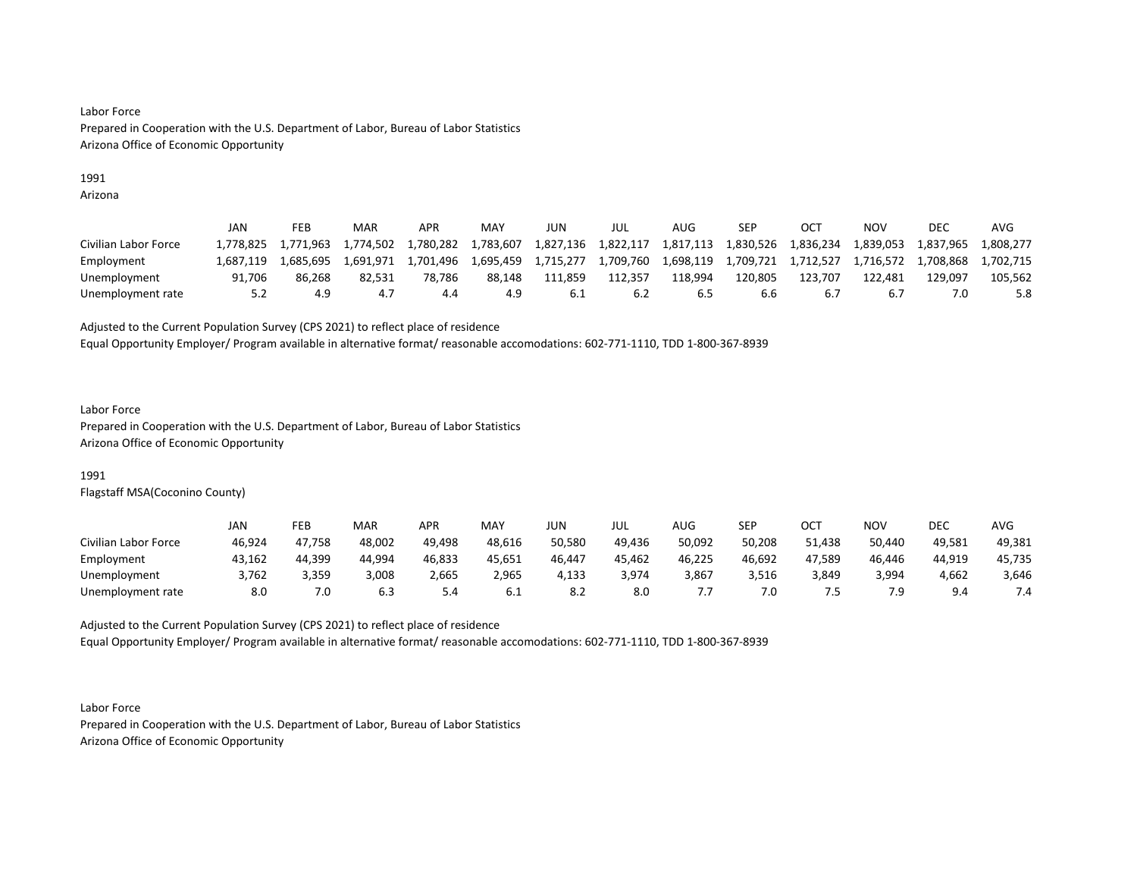## 1991

Arizona

|                      | JAN       | FEB       | <b>MAR</b> | APR       | MAY       | JUN       | JUL       | AUG       | SEP       | OC <sup>T</sup> | NOV       | <b>DEC</b> | AVG       |
|----------------------|-----------|-----------|------------|-----------|-----------|-----------|-----------|-----------|-----------|-----------------|-----------|------------|-----------|
| Civilian Labor Force | 1.778.825 | 1.771.963 | 1.774.502  | 1.780.282 | 1,783,607 | 1,827,136 | 1,822,117 | 1,817,113 | 1,830,526 | 1,836,234       | 1,839,053 | 1,837,965  | 1.808.277 |
| Employment           | 1.687.119 | 1.685.695 | 1.691.971  | 1.701.496 | 1.695.459 | 1,715,277 | 1,709,760 | 1,698,119 | 1,709,721 | 1.712.527       | 1,716,572 | 1.708.868  | 1.702.715 |
| Unemployment         | 91.706    | 86.268    | 82.531     | 78,786    | 88.148    | 111,859   | 112.357   | 118.994   | 120,805   | 123.707         | 122.481   | L29.097    | 105,562   |
| Unemployment rate    | 5.2       | 4.9       | 4.7        | 4.4       | 4.9       | -6.1      | 6.2       |           | b.b       | b.,             | 6.1       |            | 5.8       |

Adjusted to the Current Population Survey (CPS 2021) to reflect place of residence

Equal Opportunity Employer/ Program available in alternative format/ reasonable accomodations: 602-771-1110, TDD 1-800-367-8939

#### Labor Force

Prepared in Cooperation with the U.S. Department of Labor, Bureau of Labor Statistics Arizona Office of Economic Opportunity

## 1991

Flagstaff MSA(Coconino County)

|                      | JAN    | FEB    | MAR    | APR    | MAY    | JUN    | JUL    | <b>AUG</b> | <b>SEP</b> | ост    | <b>NOV</b> | <b>DEC</b> | <b>AVG</b> |
|----------------------|--------|--------|--------|--------|--------|--------|--------|------------|------------|--------|------------|------------|------------|
| Civilian Labor Force | 46,924 | 47,758 | 48,002 | 49,498 | 48,616 | 50,580 | 49,436 | 50,092     | 50,208     | 51,438 | 50,440     | 49,581     | 49,381     |
| Employment           | 43,162 | 44,399 | 44.994 | 46,833 | 45,651 | 46,447 | 45.462 | 46,225     | 46,692     | 47,589 | 46,446     | 44,919     | 45,735     |
| Unemployment         | 3,762  | 3,359  | 3,008  | 2,665  | 2,965  | 4,133  | 3,974  | 3,867      | 3,516      | 3,849  | 3,994      | 4,662      | 3,646      |
| Unemployment rate    | 8.0    | 7.0    | 6.3    | 4.د    | 0.1    | o.z    | 8.0    |            | 7.0        |        | 7.9        | $Q \Delta$ |            |

Adjusted to the Current Population Survey (CPS 2021) to reflect place of residence Equal Opportunity Employer/ Program available in alternative format/ reasonable accomodations: 602-771-1110, TDD 1-800-367-8939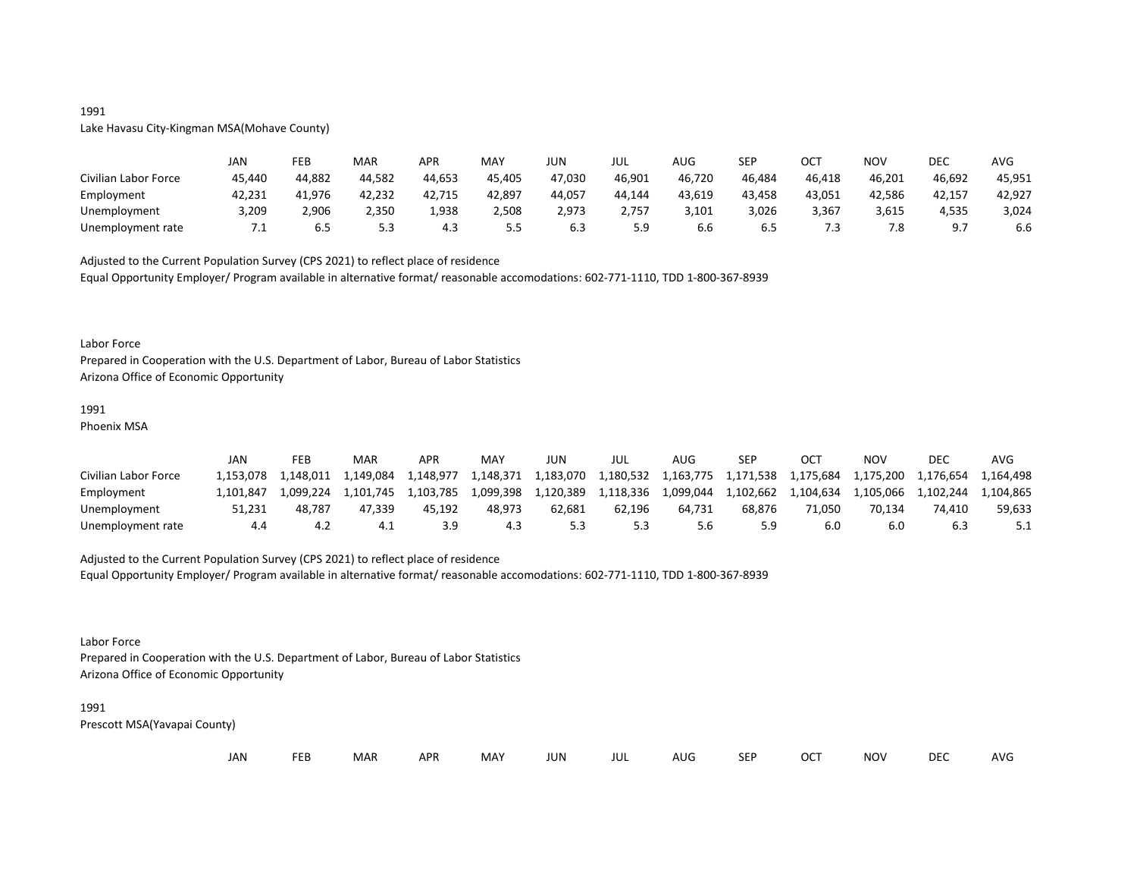# Lake Havasu City-Kingman MSA(Mohave County)

|                      | JAN    | FEB    | <b>MAR</b> | APR    | <b>MAY</b> | JUN    | JUL     | AUG    | SEP    | ост    | <b>NOV</b> | DEC    | AVG    |
|----------------------|--------|--------|------------|--------|------------|--------|---------|--------|--------|--------|------------|--------|--------|
| Civilian Labor Force | 45,440 | 44,882 | 44,582     | 44,653 | 45,405     | 47,030 | 46,901  | 46,720 | 46.484 | 46,418 | 46,201     | 46,692 | 45,951 |
| Employment           | 42,231 | 41,976 | 42,232     | 42,715 | 42,897     | 44,057 | 44,144  | 43,619 | 43,458 | 43,051 | 42,586     | 42,157 | 42,927 |
| Unemployment         | 3,209  | 2,906  | 2,350      | 1,938  | 2,508      | 2,973  | 2,757   | 3,101  | 3,026  | 3,367  | 3,615      | 4,535  | 3,024  |
| Unemployment rate    | ـ ،    | כ.ס    | ر.ر        | 4.3    | 5.5        | b.3    | <u></u> | b.b    | 6.5    |        | ס ד<br>۰Ö. |        | 6.6    |

Adjusted to the Current Population Survey (CPS 2021) to reflect place of residence Equal Opportunity Employer/ Program available in alternative format/ reasonable accomodations: 602-771-1110, TDD 1-800-367-8939

#### Labor Force

Prepared in Cooperation with the U.S. Department of Labor, Bureau of Labor Statistics Arizona Office of Economic Opportunity

# 1991

Phoenix MSA

|                      | JAN       | FEB       | MAR       | <b>APR</b> | MA <sup>V</sup> | JUN       | JUL       | AUG       | SEP       | ост       | NOV       | DEC       | AVG       |
|----------------------|-----------|-----------|-----------|------------|-----------------|-----------|-----------|-----------|-----------|-----------|-----------|-----------|-----------|
| Civilian Labor Force | .153.078  | 1.148.011 | 1,149,084 | 1,148,977  | 1,148,371       | 1,183,070 | 1,180,532 | 1,163,775 | 1,171,538 | 1,175,684 | 1,175,200 | 1,176,654 | 1.164.498 |
| Employment           | 1.101.847 | 1.099.224 | 1.101.745 | 1.103.785  | 1,099,398       | 1,120,389 | 1,118,336 | 1,099,044 | 1.102.662 | 1,104,634 | 1,105,066 | 1.102.244 | 1,104,865 |
| Unemployment         | 51.231    | 48.787    | 47.339    | 45.192     | 48.973          | 62.681    | 62.196    | 64.731    | 68.876    | 71.050    | 70.134    | 74.410    | 59,633    |
| Unemployment rate    | 4.4       |           |           | 3.9        | 4.3             |           | 5.3       | o.c       | 5.9       |           | 6.0       | b.3       |           |

#### Adjusted to the Current Population Survey (CPS 2021) to reflect place of residence

Equal Opportunity Employer/ Program available in alternative format/ reasonable accomodations: 602-771-1110, TDD 1-800-367-8939

#### Labor Force

Prepared in Cooperation with the U.S. Department of Labor, Bureau of Labor Statistics Arizona Office of Economic Opportunity

#### 1991

Prescott MSA(Yavapai County)

|  | JAN | <b>FEB</b><br>MAR | <b>APR</b> | MAY | JUN | JUL | AUG | <b>SEP</b> | <b>OCT</b> | <b>NOV</b> | <b>DEC</b> | AVG |
|--|-----|-------------------|------------|-----|-----|-----|-----|------------|------------|------------|------------|-----|
|--|-----|-------------------|------------|-----|-----|-----|-----|------------|------------|------------|------------|-----|

## 1991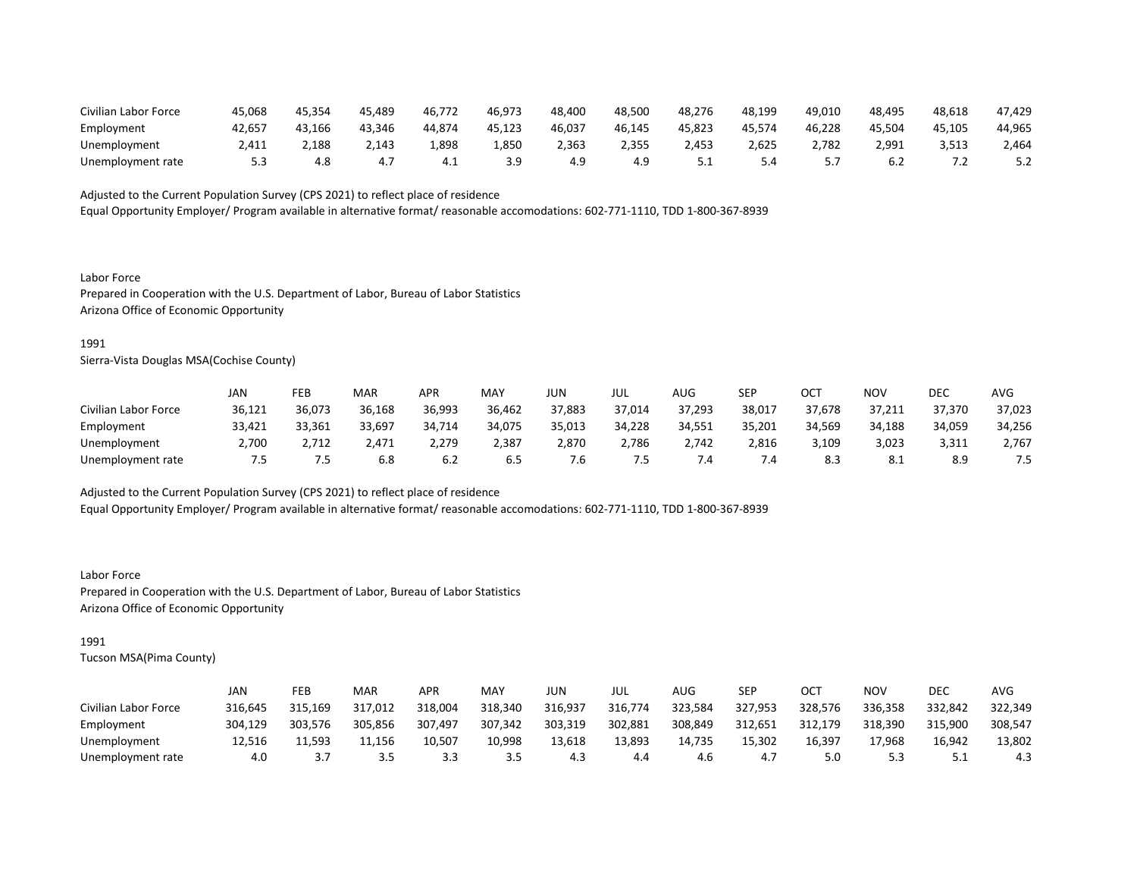| Civilian Labor Force | 45,068 | 45.354 | 45.489 | 46,772 | 46.973 | 48.400 | 48.500 | 48,276 | 48.199 | 49,010 | 48.495 | 48,618       | 47,429 |
|----------------------|--------|--------|--------|--------|--------|--------|--------|--------|--------|--------|--------|--------------|--------|
| Employment           | 42.657 | 43.166 | 43.346 | 44.874 | 45.123 | 46,037 | 46.145 | 45.823 | 45.574 | 46.228 | 45.504 | 45,105       | 44,965 |
| Unemployment         | 1,411  | 2,188  | 2,143  | L,898  | 1,850  | 2,363  | 2,355  | 2,453  | 2,625  | 2,782  | 2,991  | 3,513        | 2,464  |
| Unemployment rate    |        |        |        | — 4.⊥  |        | 4.9    | 4.9    | ـ . ـ  | 4.د    |        | b.z    | . . <u>.</u> |        |

Equal Opportunity Employer/ Program available in alternative format/ reasonable accomodations: 602-771-1110, TDD 1-800-367-8939

Labor Force Prepared in Cooperation with the U.S. Department of Labor, Bureau of Labor Statistics Arizona Office of Economic Opportunity

#### 1991

Sierra-Vista Douglas MSA(Cochise County)

|                      | JAN    | FEB    | <b>MAR</b> | APR    | <b>MAY</b> | JUN    | JUL    | AUG    | SEP    | OCT    | NOV        | DEC    | AVG    |
|----------------------|--------|--------|------------|--------|------------|--------|--------|--------|--------|--------|------------|--------|--------|
| Civilian Labor Force | 36,121 | 36,073 | 36,168     | 36,993 | 36,462     | 37,883 | 37,014 | 37,293 | 38,017 | 37,678 | 37,211     | 37,370 | 37,023 |
| Employment           | 33,421 | 33,361 | 33,697     | 34,714 | 34.075     | 35,013 | 34,228 | 34.551 | 35,201 | 34,569 | 34,188     | 34.059 | 34,256 |
| Unemployment         | 2,700  | 2,712  | 2,471      | 2,279  | 2,387      | 2,870  | 2,786  | 2,742  | 2,816  | 3,109  | 3,023      | 3,311  | 2,767  |
| Unemployment rate    | כ.'    | כ.     | 6.8        | 6.2    | 6.5        | ՜.Ե    | 7.5    | .4     | 7.4    | 8.3    | O 1<br>0.1 | 8.9    | 7.5    |

Adjusted to the Current Population Survey (CPS 2021) to reflect place of residence

Equal Opportunity Employer/ Program available in alternative format/ reasonable accomodations: 602-771-1110, TDD 1-800-367-8939

Labor Force Prepared in Cooperation with the U.S. Department of Labor, Bureau of Labor Statistics Arizona Office of Economic Opportunity

## 1991

|                      | JAN     | <b>FEB</b> | <b>MAR</b> | <b>APR</b> | MAY     | JUN     | JUL     | AUG     | <b>SEP</b> | OCT     | NOV     | DEC      | AVG     |
|----------------------|---------|------------|------------|------------|---------|---------|---------|---------|------------|---------|---------|----------|---------|
| Civilian Labor Force | 316,645 | 315,169    | 317,012    | 318,004    | 318,340 | 316,937 | 316,774 | 323,584 | 327,953    | 328,576 | 336,358 | 332,842  | 322,349 |
| Employment           | 304.129 | 303.576    | 305,856    | 307,497    | 307,342 | 303,319 | 302,881 | 308,849 | 312,651    | 312,179 | 318,390 | 315.900  | 308,547 |
| Unemployment         | 12,516  | 11.593     | 11.156     | 10.507     | 10,998  | 13,618  | 13,893  | 14,735  | 15,302     | 16,397  | 17,968  | 16,942   | 13,802  |
| Unemployment rate    | 4.0     |            | 3.5        | 3.3        | 3.5     | 4.3     | 4.4     | 4.6     | 4.7        |         | 5.3     | <u>.</u> | 4.3     |